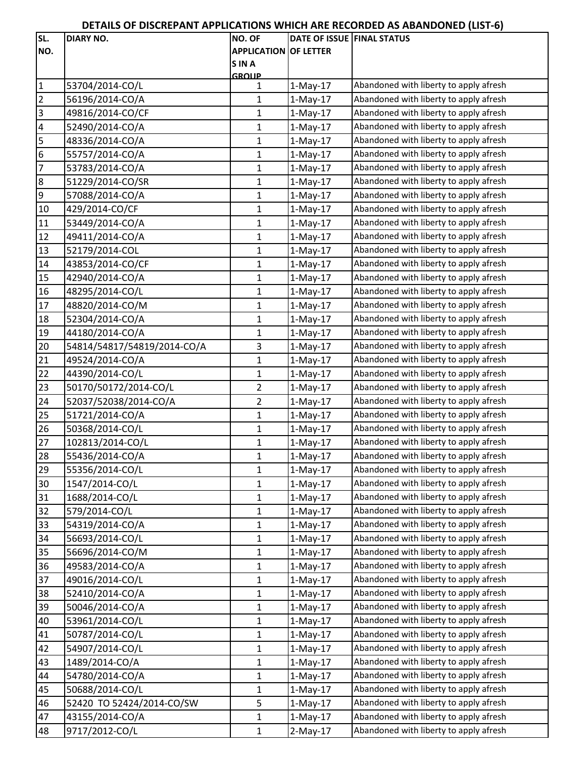## **DETAILS OF DISCREPANT APPLICATIONS WHICH ARE RECORDED AS ABANDONED (LIST‐6)**

| SL.                     | <b>DIARY NO.</b>            | NO. OF                       | DATE OF ISSUE FINAL STATUS |                                        |
|-------------------------|-----------------------------|------------------------------|----------------------------|----------------------------------------|
| NO.                     |                             | <b>APPLICATION OF LETTER</b> |                            |                                        |
|                         |                             | <b>SINA</b>                  |                            |                                        |
|                         |                             | GROUP                        |                            |                                        |
| $\vert$ 1               | 53704/2014-CO/L             | 1                            | $1-May-17$                 | Abandoned with liberty to apply afresh |
| $\overline{2}$          | 56196/2014-CO/A             | 1                            | $1-May-17$                 | Abandoned with liberty to apply afresh |
| $\overline{3}$          | 49816/2014-CO/CF            | $\mathbf{1}$                 | $1-May-17$                 | Abandoned with liberty to apply afresh |
| $\overline{\mathbf{4}}$ | 52490/2014-CO/A             | $\mathbf{1}$                 | $1-May-17$                 | Abandoned with liberty to apply afresh |
| 5                       | 48336/2014-CO/A             | $\mathbf{1}$                 | $1-May-17$                 | Abandoned with liberty to apply afresh |
| $6\overline{6}$         | 55757/2014-CO/A             | 1                            | $1-May-17$                 | Abandoned with liberty to apply afresh |
| 7                       | 53783/2014-CO/A             | $\mathbf{1}$                 | $1-May-17$                 | Abandoned with liberty to apply afresh |
| $\infty$                | 51229/2014-CO/SR            | 1                            | $1-May-17$                 | Abandoned with liberty to apply afresh |
| $\overline{9}$          | 57088/2014-CO/A             | $\mathbf{1}$                 | $1-May-17$                 | Abandoned with liberty to apply afresh |
| 10                      | 429/2014-CO/CF              | 1                            | $1-May-17$                 | Abandoned with liberty to apply afresh |
| 11                      | 53449/2014-CO/A             | $\mathbf{1}$                 | $1-May-17$                 | Abandoned with liberty to apply afresh |
| 12                      | 49411/2014-CO/A             | $\mathbf{1}$                 | $1-May-17$                 | Abandoned with liberty to apply afresh |
| 13                      | 52179/2014-COL              | $\mathbf{1}$                 | $1-May-17$                 | Abandoned with liberty to apply afresh |
| 14                      | 43853/2014-CO/CF            | 1                            | $1-May-17$                 | Abandoned with liberty to apply afresh |
| 15                      | 42940/2014-CO/A             | $\mathbf{1}$                 | $1-May-17$                 | Abandoned with liberty to apply afresh |
| 16                      | 48295/2014-CO/L             | $\mathbf{1}$                 | $1-May-17$                 | Abandoned with liberty to apply afresh |
| $\overline{17}$         | 48820/2014-CO/M             | 1                            | $1-May-17$                 | Abandoned with liberty to apply afresh |
| 18                      | 52304/2014-CO/A             | $\mathbf 1$                  | $1-May-17$                 | Abandoned with liberty to apply afresh |
| 19                      | 44180/2014-CO/A             | 1                            | $1-May-17$                 | Abandoned with liberty to apply afresh |
| $\overline{20}$         | 54814/54817/54819/2014-CO/A | $\mathsf 3$                  | $1-May-17$                 | Abandoned with liberty to apply afresh |
| 21                      | 49524/2014-CO/A             | $\mathbf 1$                  | $1-May-17$                 | Abandoned with liberty to apply afresh |
| 22                      | 44390/2014-CO/L             | $\mathbf{1}$                 | $1-May-17$                 | Abandoned with liberty to apply afresh |
| 23                      | 50170/50172/2014-CO/L       | $\overline{2}$               | $1-May-17$                 | Abandoned with liberty to apply afresh |
| 24                      | 52037/52038/2014-CO/A       | $\overline{2}$               | $1-May-17$                 | Abandoned with liberty to apply afresh |
| 25                      | 51721/2014-CO/A             | $\mathbf 1$                  | $1-May-17$                 | Abandoned with liberty to apply afresh |
| 26                      |                             |                              |                            | Abandoned with liberty to apply afresh |
|                         | 50368/2014-CO/L             | 1                            | $1-May-17$                 | Abandoned with liberty to apply afresh |
| 27                      | 102813/2014-CO/L            | $\mathbf 1$                  | $1-May-17$                 |                                        |
| 28                      | 55436/2014-CO/A             | $\mathbf{1}$                 | $1-May-17$                 | Abandoned with liberty to apply afresh |
| 29                      | 55356/2014-CO/L             | 1                            | $1-May-17$                 | Abandoned with liberty to apply afresh |
| 30                      | 1547/2014-CO/L              | $\mathbf 1$                  | $1-May-17$                 | Abandoned with liberty to apply afresh |
| 31                      | 1688/2014-CO/L              | $\mathbf{1}$                 | $1-May-17$                 | Abandoned with liberty to apply afresh |
| 32                      | 579/2014-CO/L               | $\mathbf{1}$                 | $1-May-17$                 | Abandoned with liberty to apply afresh |
| 33                      | 54319/2014-CO/A             | $\mathbf{1}$                 | $1-May-17$                 | Abandoned with liberty to apply afresh |
| 34                      | 56693/2014-CO/L             | $\mathbf{1}$                 | $1-May-17$                 | Abandoned with liberty to apply afresh |
| 35                      | 56696/2014-CO/M             | $\mathbf{1}$                 | $1-May-17$                 | Abandoned with liberty to apply afresh |
| 36                      | 49583/2014-CO/A             | $\mathbf{1}$                 | $1-May-17$                 | Abandoned with liberty to apply afresh |
| 37                      | 49016/2014-CO/L             | 1                            | $1-May-17$                 | Abandoned with liberty to apply afresh |
| 38                      | 52410/2014-CO/A             | $\mathbf{1}$                 | $1-May-17$                 | Abandoned with liberty to apply afresh |
| 39                      | 50046/2014-CO/A             | $\mathbf{1}$                 | $1-May-17$                 | Abandoned with liberty to apply afresh |
| 40                      | 53961/2014-CO/L             | $\mathbf 1$                  | $1-May-17$                 | Abandoned with liberty to apply afresh |
| 41                      | 50787/2014-CO/L             | $\mathbf{1}$                 | $1-May-17$                 | Abandoned with liberty to apply afresh |
| 42                      | 54907/2014-CO/L             | 1                            | $1-May-17$                 | Abandoned with liberty to apply afresh |
| 43                      | 1489/2014-CO/A              | $\mathbf{1}$                 | $1-May-17$                 | Abandoned with liberty to apply afresh |
| 44                      | 54780/2014-CO/A             | $\mathbf{1}$                 | $1-May-17$                 | Abandoned with liberty to apply afresh |
| 45                      | 50688/2014-CO/L             | $\mathbf 1$                  | $1-May-17$                 | Abandoned with liberty to apply afresh |
| 46                      | 52420 TO 52424/2014-CO/SW   | 5                            | $1-May-17$                 | Abandoned with liberty to apply afresh |
| 47                      | 43155/2014-CO/A             | 1                            | $1-May-17$                 | Abandoned with liberty to apply afresh |
| 48                      | 9717/2012-CO/L              | $\mathbf 1$                  | $2-May-17$                 | Abandoned with liberty to apply afresh |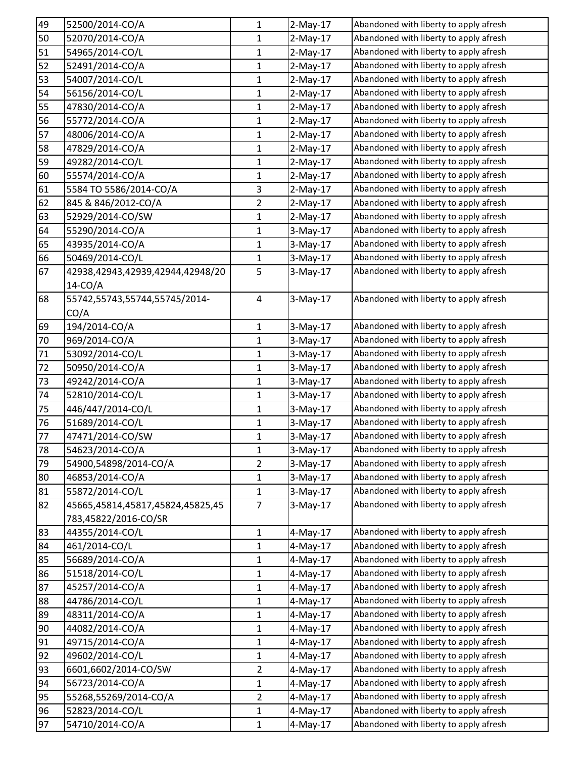| 49              | 52500/2014-CO/A                  | 1              | $2-May-17$  | Abandoned with liberty to apply afresh |
|-----------------|----------------------------------|----------------|-------------|----------------------------------------|
| 50              | 52070/2014-CO/A                  | 1              | $2-May-17$  | Abandoned with liberty to apply afresh |
| 51              | 54965/2014-CO/L                  | $\mathbf{1}$   | $2-May-17$  | Abandoned with liberty to apply afresh |
| 52              | 52491/2014-CO/A                  | $\mathbf{1}$   | $2-May-17$  | Abandoned with liberty to apply afresh |
| 53              | 54007/2014-CO/L                  | $\mathbf{1}$   | $2-May-17$  | Abandoned with liberty to apply afresh |
| 54              | 56156/2014-CO/L                  | $\mathbf{1}$   | $2-May-17$  | Abandoned with liberty to apply afresh |
| 55              | 47830/2014-CO/A                  | $\mathbf{1}$   | $2-May-17$  | Abandoned with liberty to apply afresh |
| 56              | 55772/2014-CO/A                  | 1              | $2-May-17$  | Abandoned with liberty to apply afresh |
| 57              | 48006/2014-CO/A                  | $\mathbf{1}$   | $2-May-17$  | Abandoned with liberty to apply afresh |
| 58              | 47829/2014-CO/A                  | $\mathbf{1}$   | $2-May-17$  | Abandoned with liberty to apply afresh |
| 59              | 49282/2014-CO/L                  | $\mathbf{1}$   | $2-May-17$  | Abandoned with liberty to apply afresh |
| 60              | 55574/2014-CO/A                  | $\mathbf{1}$   | $2-May-17$  | Abandoned with liberty to apply afresh |
| 61              | 5584 TO 5586/2014-CO/A           | 3              | $2-May-17$  | Abandoned with liberty to apply afresh |
| 62              | 845 & 846/2012-CO/A              | $\overline{2}$ | $2-May-17$  | Abandoned with liberty to apply afresh |
| 63              | 52929/2014-CO/SW                 | 1              | $2-May-17$  | Abandoned with liberty to apply afresh |
| 64              | 55290/2014-CO/A                  | $\mathbf{1}$   | $3-May-17$  | Abandoned with liberty to apply afresh |
| 65              | 43935/2014-CO/A                  | $\mathbf{1}$   | $3-May-17$  | Abandoned with liberty to apply afresh |
| 66              | 50469/2014-CO/L                  | 1              | 3-May-17    | Abandoned with liberty to apply afresh |
| 67              | 42938,42943,42939,42944,42948/20 | 5              | $3-May-17$  | Abandoned with liberty to apply afresh |
|                 | $14$ -CO/A                       |                |             |                                        |
| 68              | 55742,55743,55744,55745/2014-    | 4              | $3-May-17$  | Abandoned with liberty to apply afresh |
|                 | CO/A                             |                |             |                                        |
| 69              | 194/2014-CO/A                    | $\mathbf{1}$   | $3-May-17$  | Abandoned with liberty to apply afresh |
| 70              | 969/2014-CO/A                    | $\mathbf{1}$   | $3-May-17$  | Abandoned with liberty to apply afresh |
| 71              | 53092/2014-CO/L                  | $\mathbf{1}$   | $3-May-17$  | Abandoned with liberty to apply afresh |
| 72              | 50950/2014-CO/A                  | $\mathbf{1}$   | $3-May-17$  | Abandoned with liberty to apply afresh |
| 73              | 49242/2014-CO/A                  | 1              | $3-May-17$  | Abandoned with liberty to apply afresh |
| 74              | 52810/2014-CO/L                  | 1              | $3-May-17$  | Abandoned with liberty to apply afresh |
| 75              | 446/447/2014-CO/L                | $\mathbf{1}$   | $3-May-17$  | Abandoned with liberty to apply afresh |
| 76              | 51689/2014-CO/L                  | $\mathbf{1}$   | 3-May-17    | Abandoned with liberty to apply afresh |
| 77              | 47471/2014-CO/SW                 | $\mathbf{1}$   | 3-May-17    | Abandoned with liberty to apply afresh |
| $\overline{78}$ | 54623/2014-CO/A                  | 1              | 3-May-17    | Abandoned with liberty to apply afresh |
| 79              | 54900,54898/2014-CO/A            | $\overline{2}$ | $3-May-17$  | Abandoned with liberty to apply afresh |
| 80              | 46853/2014-CO/A                  | $\mathbf{1}$   | $3-May-17$  | Abandoned with liberty to apply afresh |
| 81              | 55872/2014-CO/L                  | $\mathbf{1}$   | 3-May-17    | Abandoned with liberty to apply afresh |
| 82              | 45665,45814,45817,45824,45825,45 | 7              | $3-May-17$  | Abandoned with liberty to apply afresh |
|                 | 783,45822/2016-CO/SR             |                |             |                                        |
| 83              | 44355/2014-CO/L                  | 1              | $4$ -May-17 | Abandoned with liberty to apply afresh |
| 84              | 461/2014-CO/L                    | $\mathbf{1}$   | $4-May-17$  | Abandoned with liberty to apply afresh |
| 85              | 56689/2014-CO/A                  | 1              | 4-May-17    | Abandoned with liberty to apply afresh |
| 86              | 51518/2014-CO/L                  | $\mathbf{1}$   | 4-May-17    | Abandoned with liberty to apply afresh |
| 87              | 45257/2014-CO/A                  | $\mathbf{1}$   | 4-May-17    | Abandoned with liberty to apply afresh |
| 88              | 44786/2014-CO/L                  | $\mathbf{1}$   | 4-May-17    | Abandoned with liberty to apply afresh |
| 89              | 48311/2014-CO/A                  | 1              | $4-May-17$  | Abandoned with liberty to apply afresh |
| 90              | 44082/2014-CO/A                  | 1              | 4-May-17    | Abandoned with liberty to apply afresh |
| 91              | 49715/2014-CO/A                  | 1              | $4$ -May-17 | Abandoned with liberty to apply afresh |
| 92              | 49602/2014-CO/L                  | $\mathbf{1}$   | 4-May-17    | Abandoned with liberty to apply afresh |
| 93              | 6601,6602/2014-CO/SW             | $\overline{2}$ | $4$ -May-17 | Abandoned with liberty to apply afresh |
| 94              | 56723/2014-CO/A                  | 1              | $4$ -May-17 | Abandoned with liberty to apply afresh |
| 95              | 55268,55269/2014-CO/A            | $\overline{2}$ | 4-May-17    | Abandoned with liberty to apply afresh |
| 96              | 52823/2014-CO/L                  | 1              | $4-May-17$  | Abandoned with liberty to apply afresh |
| 97              | 54710/2014-CO/A                  | $\mathbf{1}$   | 4-May-17    | Abandoned with liberty to apply afresh |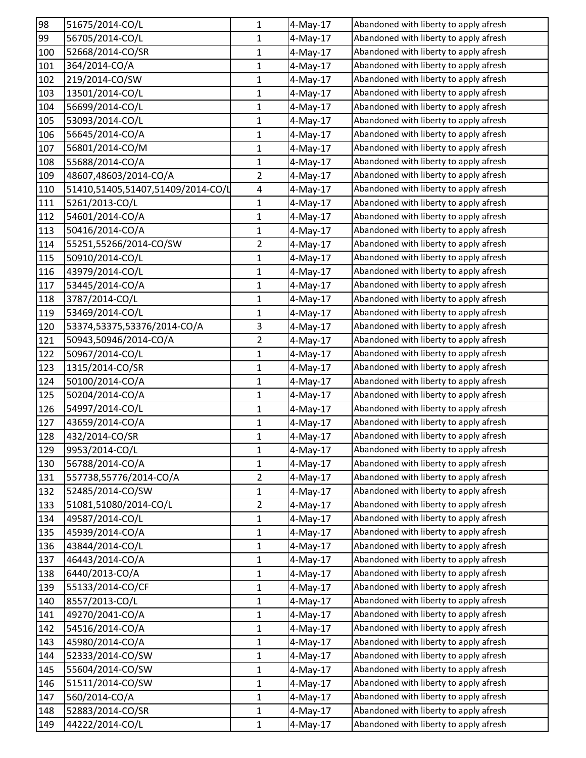| 98  | 51675/2014-CO/L                   | $\mathbf{1}$   | 4-May-17    | Abandoned with liberty to apply afresh |
|-----|-----------------------------------|----------------|-------------|----------------------------------------|
| 99  | 56705/2014-CO/L                   | 1              | 4-May-17    | Abandoned with liberty to apply afresh |
| 100 | 52668/2014-CO/SR                  | $\mathbf{1}$   | 4-May-17    | Abandoned with liberty to apply afresh |
| 101 | 364/2014-CO/A                     | 1              | 4-May-17    | Abandoned with liberty to apply afresh |
| 102 | 219/2014-CO/SW                    | 1              | 4-May-17    | Abandoned with liberty to apply afresh |
| 103 | 13501/2014-CO/L                   | $\mathbf{1}$   | 4-May-17    | Abandoned with liberty to apply afresh |
| 104 | 56699/2014-CO/L                   | 1              | 4-May-17    | Abandoned with liberty to apply afresh |
| 105 | 53093/2014-CO/L                   | $\mathbf{1}$   | $4$ -May-17 | Abandoned with liberty to apply afresh |
| 106 | 56645/2014-CO/A                   | $\mathbf{1}$   | 4-May-17    | Abandoned with liberty to apply afresh |
| 107 | 56801/2014-CO/M                   | $\mathbf{1}$   | 4-May-17    | Abandoned with liberty to apply afresh |
| 108 | 55688/2014-CO/A                   | $\mathbf{1}$   | 4-May-17    | Abandoned with liberty to apply afresh |
| 109 | 48607,48603/2014-CO/A             | $\overline{2}$ | $4$ -May-17 | Abandoned with liberty to apply afresh |
| 110 | 51410,51405,51407,51409/2014-CO/L | $\overline{4}$ | 4-May-17    | Abandoned with liberty to apply afresh |
| 111 | 5261/2013-CO/L                    | 1              | 4-May-17    | Abandoned with liberty to apply afresh |
| 112 | 54601/2014-CO/A                   | 1              | 4-May-17    | Abandoned with liberty to apply afresh |
| 113 | 50416/2014-CO/A                   | $\mathbf{1}$   | 4-May-17    | Abandoned with liberty to apply afresh |
| 114 | 55251,55266/2014-CO/SW            | $\overline{2}$ | 4-May-17    | Abandoned with liberty to apply afresh |
| 115 | 50910/2014-CO/L                   | 1              | $4$ -May-17 | Abandoned with liberty to apply afresh |
| 116 | 43979/2014-CO/L                   | $\mathbf{1}$   | 4-May-17    | Abandoned with liberty to apply afresh |
| 117 | 53445/2014-CO/A                   | 1              | $4$ -May-17 | Abandoned with liberty to apply afresh |
| 118 | 3787/2014-CO/L                    | $\mathbf{1}$   | 4-May-17    | Abandoned with liberty to apply afresh |
| 119 | 53469/2014-CO/L                   | 1              | 4-May-17    | Abandoned with liberty to apply afresh |
| 120 | 53374,53375,53376/2014-CO/A       | 3              | 4-May-17    | Abandoned with liberty to apply afresh |
| 121 | 50943,50946/2014-CO/A             | $\overline{2}$ | 4-May-17    | Abandoned with liberty to apply afresh |
| 122 | 50967/2014-CO/L                   | 1              | 4-May-17    | Abandoned with liberty to apply afresh |
| 123 | 1315/2014-CO/SR                   | $\mathbf{1}$   | 4-May-17    | Abandoned with liberty to apply afresh |
| 124 | 50100/2014-CO/A                   | 1              | $4$ -May-17 | Abandoned with liberty to apply afresh |
| 125 | 50204/2014-CO/A                   | $\mathbf{1}$   | 4-May-17    | Abandoned with liberty to apply afresh |
| 126 | 54997/2014-CO/L                   | $\mathbf{1}$   | 4-May-17    | Abandoned with liberty to apply afresh |
| 127 | 43659/2014-CO/A                   | $\mathbf{1}$   | 4-May-17    | Abandoned with liberty to apply afresh |
| 128 | 432/2014-CO/SR                    | $\mathbf{1}$   | $4$ -May-17 | Abandoned with liberty to apply afresh |
| 129 | 9953/2014-CO/L                    | 1              | 4-May-17    | Abandoned with liberty to apply afresh |
| 130 | 56788/2014-CO/A                   | 1              | 4-May-17    | Abandoned with liberty to apply afresh |
| 131 | 557738,55776/2014-CO/A            | $\overline{2}$ | 4-May-17    | Abandoned with liberty to apply afresh |
| 132 | 52485/2014-CO/SW                  | $\mathbf{1}$   | $4$ -May-17 | Abandoned with liberty to apply afresh |
| 133 | 51081,51080/2014-CO/L             | $\overline{2}$ | $4$ -May-17 | Abandoned with liberty to apply afresh |
| 134 | 49587/2014-CO/L                   | $\mathbf{1}$   | 4-May-17    | Abandoned with liberty to apply afresh |
| 135 | 45939/2014-CO/A                   | 1              | 4-May-17    | Abandoned with liberty to apply afresh |
| 136 | 43844/2014-CO/L                   | $\mathbf{1}$   | $4-May-17$  | Abandoned with liberty to apply afresh |
| 137 | 46443/2014-CO/A                   | 1              | $4-May-17$  | Abandoned with liberty to apply afresh |
| 138 | 6440/2013-CO/A                    | 1              | 4-May-17    | Abandoned with liberty to apply afresh |
| 139 | 55133/2014-CO/CF                  | $\mathbf 1$    | 4-May-17    | Abandoned with liberty to apply afresh |
| 140 | 8557/2013-CO/L                    | 1              | 4-May-17    | Abandoned with liberty to apply afresh |
| 141 | 49270/2041-CO/A                   | $\mathbf{1}$   | $4-May-17$  | Abandoned with liberty to apply afresh |
| 142 | 54516/2014-CO/A                   | 1              | $4$ -May-17 | Abandoned with liberty to apply afresh |
| 143 | 45980/2014-CO/A                   | 1              | 4-May-17    | Abandoned with liberty to apply afresh |
| 144 | 52333/2014-CO/SW                  | $\mathbf{1}$   | 4-May-17    | Abandoned with liberty to apply afresh |
| 145 | 55604/2014-CO/SW                  | 1              | 4-May-17    | Abandoned with liberty to apply afresh |
| 146 | 51511/2014-CO/SW                  | $\mathbf{1}$   | 4-May-17    | Abandoned with liberty to apply afresh |
| 147 | 560/2014-CO/A                     | 1              | 4-May-17    | Abandoned with liberty to apply afresh |
| 148 | 52883/2014-CO/SR                  | $\mathbf{1}$   | $4-May-17$  | Abandoned with liberty to apply afresh |
| 149 | 44222/2014-CO/L                   | $\mathbf{1}$   | 4-May-17    | Abandoned with liberty to apply afresh |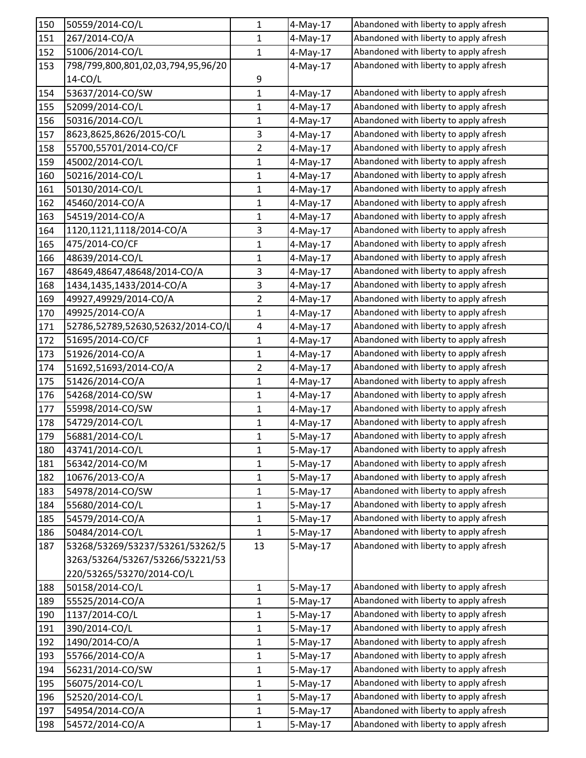| 150 | 50559/2014-CO/L                    | 1              | 4-May-17    | Abandoned with liberty to apply afresh |
|-----|------------------------------------|----------------|-------------|----------------------------------------|
| 151 | 267/2014-CO/A                      | $\mathbf{1}$   | $4$ -May-17 | Abandoned with liberty to apply afresh |
| 152 | 51006/2014-CO/L                    | $\mathbf{1}$   | $4-May-17$  | Abandoned with liberty to apply afresh |
| 153 | 798/799,800,801,02,03,794,95,96/20 |                | $4$ -May-17 | Abandoned with liberty to apply afresh |
|     | $14$ -CO/L                         | 9              |             |                                        |
| 154 | 53637/2014-CO/SW                   | $\mathbf 1$    | $4$ -May-17 | Abandoned with liberty to apply afresh |
| 155 | 52099/2014-CO/L                    | 1              | $4$ -May-17 | Abandoned with liberty to apply afresh |
| 156 | 50316/2014-CO/L                    | $\mathbf 1$    | $4$ -May-17 | Abandoned with liberty to apply afresh |
| 157 | 8623,8625,8626/2015-CO/L           | $\mathbf{3}$   | $4$ -May-17 | Abandoned with liberty to apply afresh |
| 158 | 55700,55701/2014-CO/CF             | $\overline{2}$ | 4-May-17    | Abandoned with liberty to apply afresh |
| 159 | 45002/2014-CO/L                    | $\mathbf{1}$   | $4$ -May-17 | Abandoned with liberty to apply afresh |
| 160 | 50216/2014-CO/L                    | 1              | 4-May-17    | Abandoned with liberty to apply afresh |
| 161 | 50130/2014-CO/L                    | $\mathbf 1$    | 4-May-17    | Abandoned with liberty to apply afresh |
| 162 | 45460/2014-CO/A                    | $\mathbf{1}$   | 4-May-17    | Abandoned with liberty to apply afresh |
| 163 | 54519/2014-CO/A                    | 1              | $4$ -May-17 | Abandoned with liberty to apply afresh |
| 164 | 1120,1121,1118/2014-CO/A           | $\mathbf{3}$   | $4$ -May-17 | Abandoned with liberty to apply afresh |
| 165 | 475/2014-CO/CF                     | 1              | 4-May-17    | Abandoned with liberty to apply afresh |
| 166 | 48639/2014-CO/L                    | $\mathbf{1}$   | $4$ -May-17 | Abandoned with liberty to apply afresh |
| 167 | 48649,48647,48648/2014-CO/A        | 3              | $4-May-17$  | Abandoned with liberty to apply afresh |
| 168 | 1434,1435,1433/2014-CO/A           | 3              | $4-May-17$  | Abandoned with liberty to apply afresh |
| 169 | 49927,49929/2014-CO/A              | $\overline{2}$ | $4$ -May-17 | Abandoned with liberty to apply afresh |
| 170 | 49925/2014-CO/A                    | $\mathbf{1}$   | 4-May-17    | Abandoned with liberty to apply afresh |
| 171 | 52786,52789,52630,52632/2014-CO/L  | $\overline{4}$ | $4$ -May-17 | Abandoned with liberty to apply afresh |
| 172 | 51695/2014-CO/CF                   | 1              | $4$ -May-17 | Abandoned with liberty to apply afresh |
| 173 | 51926/2014-CO/A                    | $\mathbf{1}$   | $4$ -May-17 | Abandoned with liberty to apply afresh |
| 174 | 51692,51693/2014-CO/A              | $\overline{2}$ | $4$ -May-17 | Abandoned with liberty to apply afresh |
| 175 | 51426/2014-CO/A                    | $\mathbf{1}$   | $4$ -May-17 | Abandoned with liberty to apply afresh |
| 176 | 54268/2014-CO/SW                   | 1              | $4$ -May-17 | Abandoned with liberty to apply afresh |
| 177 | 55998/2014-CO/SW                   | $\mathbf{1}$   | $4$ -May-17 | Abandoned with liberty to apply afresh |
| 178 | 54729/2014-CO/L                    | 1              | 4-May-17    | Abandoned with liberty to apply afresh |
| 179 | 56881/2014-CO/L                    | $\mathbf{1}$   | 5-May-17    | Abandoned with liberty to apply afresh |
| 180 | 43741/2014-CO/L                    | $\mathbf{1}$   | 5-May-17    | Abandoned with liberty to apply afresh |
| 181 | 56342/2014-CO/M                    | 1              | $5-May-17$  | Abandoned with liberty to apply afresh |
| 182 | 10676/2013-CO/A                    | $\mathbf 1$    | $5-May-17$  | Abandoned with liberty to apply afresh |
| 183 | 54978/2014-CO/SW                   | 1              | $5-May-17$  | Abandoned with liberty to apply afresh |
| 184 | 55680/2014-CO/L                    | $\mathbf 1$    | $5-May-17$  | Abandoned with liberty to apply afresh |
| 185 | 54579/2014-CO/A                    | $\mathbf{1}$   | $5-May-17$  | Abandoned with liberty to apply afresh |
| 186 | 50484/2014-CO/L                    | $\mathbf{1}$   | $5-May-17$  | Abandoned with liberty to apply afresh |
| 187 | 53268/53269/53237/53261/53262/5    | 13             | $5-May-17$  | Abandoned with liberty to apply afresh |
|     | 3263/53264/53267/53266/53221/53    |                |             |                                        |
|     | 220/53265/53270/2014-CO/L          |                |             |                                        |
| 188 | 50158/2014-CO/L                    | 1              | 5-May-17    | Abandoned with liberty to apply afresh |
| 189 | 55525/2014-CO/A                    | $\mathbf{1}$   | $5-May-17$  | Abandoned with liberty to apply afresh |
| 190 | 1137/2014-CO/L                     | $\mathbf 1$    | $5-May-17$  | Abandoned with liberty to apply afresh |
| 191 | 390/2014-CO/L                      | $\mathbf{1}$   | $5-May-17$  | Abandoned with liberty to apply afresh |
| 192 | 1490/2014-CO/A                     | 1              | $5-May-17$  | Abandoned with liberty to apply afresh |
| 193 | 55766/2014-CO/A                    | 1              | $5-May-17$  | Abandoned with liberty to apply afresh |
| 194 | 56231/2014-CO/SW                   | 1              | $5-May-17$  | Abandoned with liberty to apply afresh |
| 195 | 56075/2014-CO/L                    | $\mathbf 1$    | $5-May-17$  | Abandoned with liberty to apply afresh |
| 196 | 52520/2014-CO/L                    | $\mathbf{1}$   | 5-May-17    | Abandoned with liberty to apply afresh |
| 197 | 54954/2014-CO/A                    | 1              | $5-May-17$  | Abandoned with liberty to apply afresh |
| 198 | 54572/2014-CO/A                    | $\mathbf 1$    | $5-May-17$  | Abandoned with liberty to apply afresh |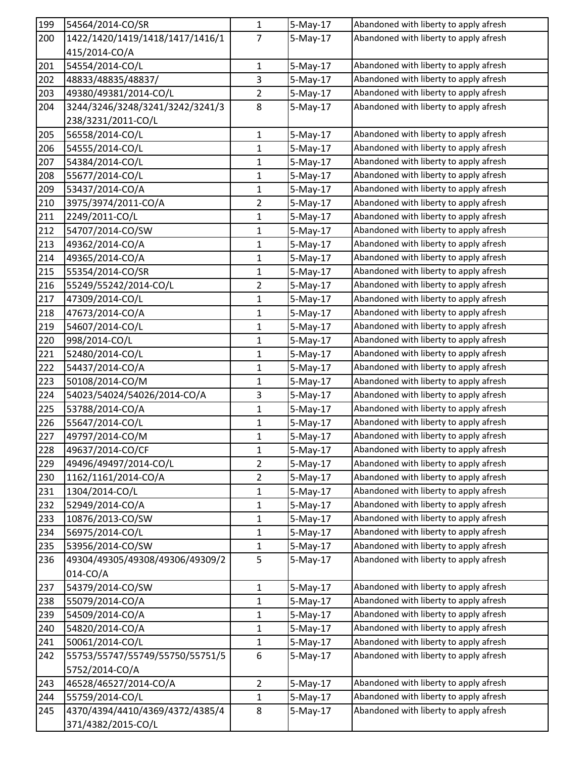| 199 | 54564/2014-CO/SR                | $\mathbf{1}$   | 5-May-17               | Abandoned with liberty to apply afresh |
|-----|---------------------------------|----------------|------------------------|----------------------------------------|
| 200 | 1422/1420/1419/1418/1417/1416/1 | $\overline{7}$ | $5-May-17$             | Abandoned with liberty to apply afresh |
|     | 415/2014-CO/A                   |                |                        |                                        |
| 201 | 54554/2014-CO/L                 | $\mathbf 1$    | $5-May-17$             | Abandoned with liberty to apply afresh |
| 202 | 48833/48835/48837/              | 3              | $5-May-17$             | Abandoned with liberty to apply afresh |
| 203 | 49380/49381/2014-CO/L           | $\overline{2}$ | $5-May-17$             | Abandoned with liberty to apply afresh |
| 204 | 3244/3246/3248/3241/3242/3241/3 | 8              | 5-May-17               | Abandoned with liberty to apply afresh |
|     | 238/3231/2011-CO/L              |                |                        |                                        |
| 205 | 56558/2014-CO/L                 | $\mathbf 1$    | $5-May-17$             | Abandoned with liberty to apply afresh |
| 206 | 54555/2014-CO/L                 | 1              | $5-May-17$             | Abandoned with liberty to apply afresh |
| 207 | 54384/2014-CO/L                 | $\mathbf{1}$   | $5-May-17$             | Abandoned with liberty to apply afresh |
| 208 | 55677/2014-CO/L                 | 1              | 5-May-17               | Abandoned with liberty to apply afresh |
| 209 | 53437/2014-CO/A                 | 1              | 5-May-17               | Abandoned with liberty to apply afresh |
| 210 | 3975/3974/2011-CO/A             | $\overline{2}$ | $5-May-17$             | Abandoned with liberty to apply afresh |
| 211 | 2249/2011-CO/L                  | $\mathbf{1}$   | $5-May-17$             | Abandoned with liberty to apply afresh |
| 212 | 54707/2014-CO/SW                | $\mathbf{1}$   | $5-May-17$             | Abandoned with liberty to apply afresh |
| 213 | 49362/2014-CO/A                 | 1              | 5-May-17               | Abandoned with liberty to apply afresh |
| 214 | 49365/2014-CO/A                 | $\mathbf{1}$   | 5-May-17               | Abandoned with liberty to apply afresh |
| 215 | 55354/2014-CO/SR                | $\mathbf 1$    | $5-May-17$             | Abandoned with liberty to apply afresh |
| 216 | 55249/55242/2014-CO/L           | $\overline{2}$ | $5-May-17$             | Abandoned with liberty to apply afresh |
| 217 | 47309/2014-CO/L                 | 1              | $5-May-17$             | Abandoned with liberty to apply afresh |
| 218 | 47673/2014-CO/A                 | 1              | 5-May-17               | Abandoned with liberty to apply afresh |
| 219 | 54607/2014-CO/L                 | 1              | $5-May-17$             | Abandoned with liberty to apply afresh |
| 220 | 998/2014-CO/L                   | $\mathbf 1$    | $5-May-17$             | Abandoned with liberty to apply afresh |
| 221 | 52480/2014-CO/L                 | $\mathbf{1}$   | 5-May-17               | Abandoned with liberty to apply afresh |
| 222 | 54437/2014-CO/A                 | 1              | $5-May-17$             | Abandoned with liberty to apply afresh |
| 223 | 50108/2014-CO/M                 | $\mathbf 1$    | 5-May-17               | Abandoned with liberty to apply afresh |
| 224 | 54023/54024/54026/2014-CO/A     | 3              | 5-May-17               | Abandoned with liberty to apply afresh |
| 225 | 53788/2014-CO/A                 | $\mathbf{1}$   | $5-May-17$             | Abandoned with liberty to apply afresh |
| 226 | 55647/2014-CO/L                 | 1              | $5-May-17$             | Abandoned with liberty to apply afresh |
| 227 | 49797/2014-CO/M                 | 1              | $5-May-17$             | Abandoned with liberty to apply afresh |
| 228 | 49637/2014-CO/CF                | 1              | $\overline{5}$ -May-17 | Abandoned with liberty to apply afresh |
| 229 | 49496/49497/2014-CO/L           | $\overline{2}$ | $5-May-17$             | Abandoned with liberty to apply afresh |
| 230 | 1162/1161/2014-CO/A             | $\overline{2}$ | $5-May-17$             | Abandoned with liberty to apply afresh |
| 231 | 1304/2014-CO/L                  | 1              | $5-May-17$             | Abandoned with liberty to apply afresh |
| 232 | 52949/2014-CO/A                 | 1              | $5-May-17$             | Abandoned with liberty to apply afresh |
| 233 | 10876/2013-CO/SW                | $\mathbf 1$    | $5-May-17$             | Abandoned with liberty to apply afresh |
| 234 | 56975/2014-CO/L                 | $\mathbf{1}$   | 5-May-17               | Abandoned with liberty to apply afresh |
| 235 | 53956/2014-CO/SW                | $\mathbf{1}$   | $5-May-17$             | Abandoned with liberty to apply afresh |
| 236 | 49304/49305/49308/49306/49309/2 | 5              | 5-May-17               | Abandoned with liberty to apply afresh |
|     | 014-CO/A                        |                |                        |                                        |
| 237 | 54379/2014-CO/SW                | $\mathbf 1$    | $5-May-17$             | Abandoned with liberty to apply afresh |
| 238 | 55079/2014-CO/A                 | $\mathbf{1}$   | $5-May-17$             | Abandoned with liberty to apply afresh |
| 239 | 54509/2014-CO/A                 | 1              | $5-May-17$             | Abandoned with liberty to apply afresh |
| 240 | 54820/2014-CO/A                 | 1              | $5-May-17$             | Abandoned with liberty to apply afresh |
| 241 | 50061/2014-CO/L                 | 1              | $5-May-17$             | Abandoned with liberty to apply afresh |
| 242 | 55753/55747/55749/55750/55751/5 | 6              | $5-May-17$             | Abandoned with liberty to apply afresh |
|     | 5752/2014-CO/A                  |                |                        |                                        |
| 243 | 46528/46527/2014-CO/A           | $\overline{2}$ | $5-May-17$             | Abandoned with liberty to apply afresh |
| 244 | 55759/2014-CO/L                 | $\mathbf{1}$   | $5-May-17$             | Abandoned with liberty to apply afresh |
| 245 | 4370/4394/4410/4369/4372/4385/4 | 8              | $5-May-17$             | Abandoned with liberty to apply afresh |
|     | 371/4382/2015-CO/L              |                |                        |                                        |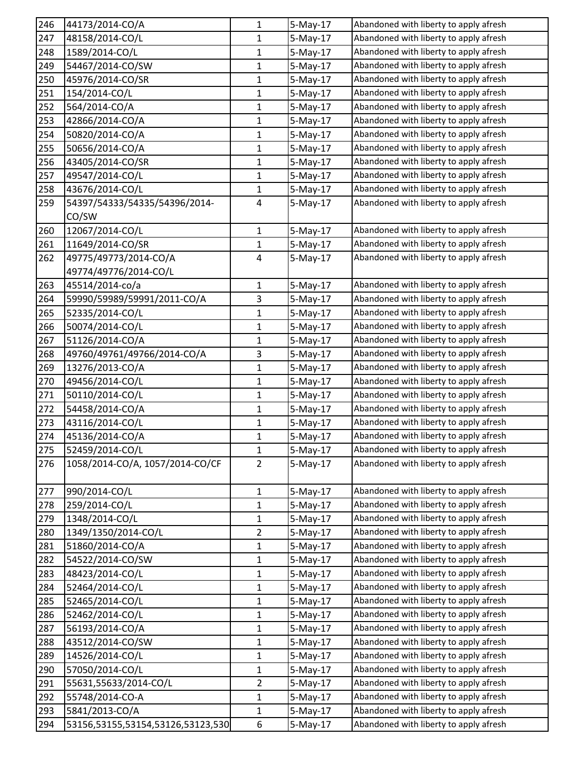| 246             | 44173/2014-CO/A                   | $\mathbf{1}$   | 5-May-17   | Abandoned with liberty to apply afresh |
|-----------------|-----------------------------------|----------------|------------|----------------------------------------|
| 247             | 48158/2014-CO/L                   | 1              | 5-May-17   | Abandoned with liberty to apply afresh |
| 248             | 1589/2014-CO/L                    | $\mathbf 1$    | 5-May-17   | Abandoned with liberty to apply afresh |
| 249             | 54467/2014-CO/SW                  | 1              | 5-May-17   | Abandoned with liberty to apply afresh |
| 250             | 45976/2014-CO/SR                  | 1              | $5-May-17$ | Abandoned with liberty to apply afresh |
| 251             | 154/2014-CO/L                     | $\mathbf 1$    | $5-May-17$ | Abandoned with liberty to apply afresh |
| 252             | 564/2014-CO/A                     | 1              | 5-May-17   | Abandoned with liberty to apply afresh |
| 253             | 42866/2014-CO/A                   | $\mathbf{1}$   | 5-May-17   | Abandoned with liberty to apply afresh |
| 254             | 50820/2014-CO/A                   | 1              | $5-May-17$ | Abandoned with liberty to apply afresh |
| 255             | 50656/2014-CO/A                   | $\mathbf{1}$   | 5-May-17   | Abandoned with liberty to apply afresh |
| 256             | 43405/2014-CO/SR                  | $\mathbf 1$    | $5-May-17$ | Abandoned with liberty to apply afresh |
| 257             | 49547/2014-CO/L                   | 1              | 5-May-17   | Abandoned with liberty to apply afresh |
| 258             | 43676/2014-CO/L                   | 1              | 5-May-17   | Abandoned with liberty to apply afresh |
| 259             | 54397/54333/54335/54396/2014-     | 4              | $5-May-17$ | Abandoned with liberty to apply afresh |
|                 | CO/SW                             |                |            |                                        |
| 260             | 12067/2014-CO/L                   | $\mathbf 1$    | $5-May-17$ | Abandoned with liberty to apply afresh |
| 261             | 11649/2014-CO/SR                  | 1              | 5-May-17   | Abandoned with liberty to apply afresh |
| 262             | 49775/49773/2014-CO/A             | 4              | $5-May-17$ | Abandoned with liberty to apply afresh |
|                 | 49774/49776/2014-CO/L             |                |            |                                        |
| 263             | 45514/2014-co/a                   | 1              | 5-May-17   | Abandoned with liberty to apply afresh |
| 264             | 59990/59989/59991/2011-CO/A       | 3              | $5-May-17$ | Abandoned with liberty to apply afresh |
| 265             | 52335/2014-CO/L                   | 1              | 5-May-17   | Abandoned with liberty to apply afresh |
| 266             | 50074/2014-CO/L                   | 1              | $5-May-17$ | Abandoned with liberty to apply afresh |
| 267             | 51126/2014-CO/A                   | 1              | $5-May-17$ | Abandoned with liberty to apply afresh |
| 268             | 49760/49761/49766/2014-CO/A       | 3              | 5-May-17   | Abandoned with liberty to apply afresh |
| 269             | 13276/2013-CO/A                   | $\mathbf{1}$   | 5-May-17   | Abandoned with liberty to apply afresh |
| 270             | 49456/2014-CO/L                   | 1              | 5-May-17   | Abandoned with liberty to apply afresh |
| 271             | 50110/2014-CO/L                   | $\mathbf{1}$   | 5-May-17   | Abandoned with liberty to apply afresh |
| 272             | 54458/2014-CO/A                   | $\mathbf 1$    | $5-May-17$ | Abandoned with liberty to apply afresh |
| 273             | 43116/2014-CO/L                   | $\mathbf{1}$   | 5-May-17   | Abandoned with liberty to apply afresh |
| $\frac{274}{1}$ | 45136/2014-CO/A                   | 1              | 5-May-17   | Abandoned with liberty to apply afresh |
| 275             | 52459/2014-CO/L                   | 1              | 5-May-17   | Abandoned with liberty to apply afresh |
| 276             | 1058/2014-CO/A, 1057/2014-CO/CF   | $\overline{2}$ | 5-May-17   | Abandoned with liberty to apply afresh |
|                 |                                   |                |            |                                        |
| 277             | 990/2014-CO/L                     | $\mathbf 1$    | 5-May-17   | Abandoned with liberty to apply afresh |
| 278             | 259/2014-CO/L                     | 1              | 5-May-17   | Abandoned with liberty to apply afresh |
| 279             | 1348/2014-CO/L                    | $\mathbf 1$    | $5-May-17$ | Abandoned with liberty to apply afresh |
| 280             | 1349/1350/2014-CO/L               | $\overline{2}$ | 5-May-17   | Abandoned with liberty to apply afresh |
| 281             | 51860/2014-CO/A                   | $\mathbf 1$    | $5-May-17$ | Abandoned with liberty to apply afresh |
| 282             | 54522/2014-CO/SW                  | 1              | 5-May-17   | Abandoned with liberty to apply afresh |
| 283             | 48423/2014-CO/L                   | 1              | $5-May-17$ | Abandoned with liberty to apply afresh |
| 284             | 52464/2014-CO/L                   | $\mathbf 1$    | $5-May-17$ | Abandoned with liberty to apply afresh |
| 285             | 52465/2014-CO/L                   | 1              | 5-May-17   | Abandoned with liberty to apply afresh |
| 286             | 52462/2014-CO/L                   | $\mathbf 1$    | 5-May-17   | Abandoned with liberty to apply afresh |
| 287             | 56193/2014-CO/A                   | 1              | 5-May-17   | Abandoned with liberty to apply afresh |
| 288             | 43512/2014-CO/SW                  | 1              | 5-May-17   | Abandoned with liberty to apply afresh |
| 289             | 14526/2014-CO/L                   | 1              | $5-May-17$ | Abandoned with liberty to apply afresh |
| 290             | 57050/2014-CO/L                   | 1              | $5-May-17$ | Abandoned with liberty to apply afresh |
| 291             | 55631,55633/2014-CO/L             | $\overline{2}$ | $5-May-17$ | Abandoned with liberty to apply afresh |
| 292             | 55748/2014-CO-A                   | 1              | $5-May-17$ | Abandoned with liberty to apply afresh |
| 293             | 5841/2013-CO/A                    | 1              | 5-May-17   | Abandoned with liberty to apply afresh |
| 294             | 53156,53155,53154,53126,53123,530 | 6              | 5-May-17   | Abandoned with liberty to apply afresh |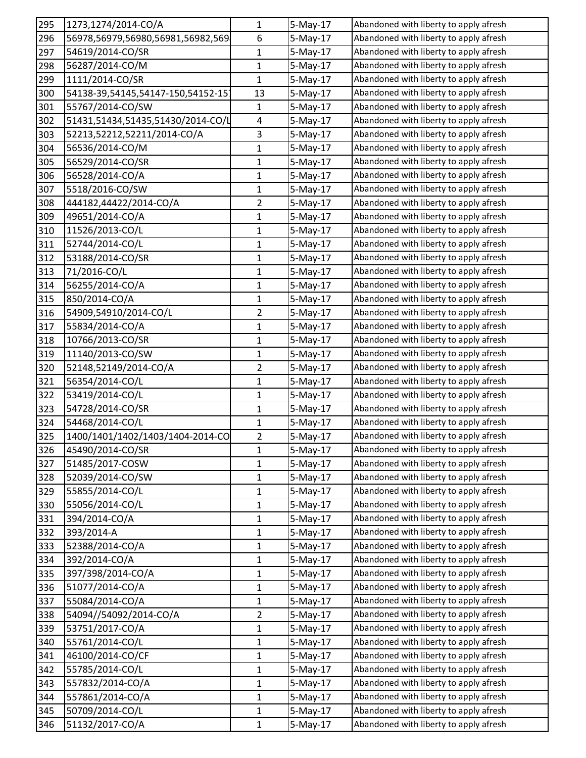| 295 | 1273,1274/2014-CO/A               | 1              | 5-May-17   | Abandoned with liberty to apply afresh |
|-----|-----------------------------------|----------------|------------|----------------------------------------|
| 296 | 56978,56979,56980,56981,56982,569 | 6              | 5-May-17   | Abandoned with liberty to apply afresh |
| 297 | 54619/2014-CO/SR                  | 1              | $5-May-17$ | Abandoned with liberty to apply afresh |
| 298 | 56287/2014-CO/M                   | 1              | 5-May-17   | Abandoned with liberty to apply afresh |
| 299 | 1111/2014-CO/SR                   | 1              | 5-May-17   | Abandoned with liberty to apply afresh |
| 300 | 54138-39,54145,54147-150,54152-15 | 13             | 5-May-17   | Abandoned with liberty to apply afresh |
| 301 | 55767/2014-CO/SW                  | 1              | $5-May-17$ | Abandoned with liberty to apply afresh |
| 302 | 51431,51434,51435,51430/2014-CO/L | 4              | $5-May-17$ | Abandoned with liberty to apply afresh |
| 303 | 52213,52212,52211/2014-CO/A       | 3              | $5-May-17$ | Abandoned with liberty to apply afresh |
| 304 | 56536/2014-CO/M                   | 1              | 5-May-17   | Abandoned with liberty to apply afresh |
| 305 | 56529/2014-CO/SR                  | $\mathbf 1$    | $5-May-17$ | Abandoned with liberty to apply afresh |
| 306 | 56528/2014-CO/A                   | 1              | 5-May-17   | Abandoned with liberty to apply afresh |
| 307 | 5518/2016-CO/SW                   | 1              | 5-May-17   | Abandoned with liberty to apply afresh |
| 308 | 444182,44422/2014-CO/A            | $\overline{2}$ | $5-May-17$ | Abandoned with liberty to apply afresh |
| 309 | 49651/2014-CO/A                   | $\mathbf{1}$   | 5-May-17   | Abandoned with liberty to apply afresh |
| 310 | 11526/2013-CO/L                   | $\mathbf{1}$   | $5-May-17$ | Abandoned with liberty to apply afresh |
| 311 | 52744/2014-CO/L                   | 1              | 5-May-17   | Abandoned with liberty to apply afresh |
| 312 | 53188/2014-CO/SR                  | 1              | 5-May-17   | Abandoned with liberty to apply afresh |
| 313 | 71/2016-CO/L                      | 1              | 5-May-17   | Abandoned with liberty to apply afresh |
| 314 | 56255/2014-CO/A                   | $\mathbf{1}$   | 5-May-17   | Abandoned with liberty to apply afresh |
| 315 | 850/2014-CO/A                     | $\mathbf 1$    | $5-May-17$ | Abandoned with liberty to apply afresh |
| 316 | 54909,54910/2014-CO/L             | $\overline{2}$ | 5-May-17   | Abandoned with liberty to apply afresh |
| 317 | 55834/2014-CO/A                   | 1              | 5-May-17   | Abandoned with liberty to apply afresh |
| 318 | 10766/2013-CO/SR                  | $\mathbf 1$    | 5-May-17   | Abandoned with liberty to apply afresh |
| 319 | 11140/2013-CO/SW                  | 1              | $5-May-17$ | Abandoned with liberty to apply afresh |
| 320 | 52148,52149/2014-CO/A             | $\overline{2}$ | $5-May-17$ | Abandoned with liberty to apply afresh |
| 321 | 56354/2014-CO/L                   | 1              | 5-May-17   | Abandoned with liberty to apply afresh |
| 322 | 53419/2014-CO/L                   | 1              | 5-May-17   | Abandoned with liberty to apply afresh |
| 323 | 54728/2014-CO/SR                  | 1              | $5-May-17$ | Abandoned with liberty to apply afresh |
| 324 | 54468/2014-CO/L                   | 1              | 5-May-17   | Abandoned with liberty to apply afresh |
| 325 | 1400/1401/1402/1403/1404-2014-CO  | $\overline{2}$ | 5-May-17   | Abandoned with liberty to apply afresh |
| 326 | 45490/2014-CO/SR                  | 1              | 5-May-17   | Abandoned with liberty to apply afresh |
| 327 | 51485/2017-COSW                   | $\mathbf{1}$   | $5-May-17$ | Abandoned with liberty to apply afresh |
| 328 | 52039/2014-CO/SW                  | $\mathbf 1$    | $5-May-17$ | Abandoned with liberty to apply afresh |
| 329 | 55855/2014-CO/L                   | 1              | 5-May-17   | Abandoned with liberty to apply afresh |
| 330 | 55056/2014-CO/L                   | 1              | 5-May-17   | Abandoned with liberty to apply afresh |
| 331 | 394/2014-CO/A                     | 1              | $5-May-17$ | Abandoned with liberty to apply afresh |
| 332 | 393/2014-A                        | $\mathbf{1}$   | 5-May-17   | Abandoned with liberty to apply afresh |
| 333 | 52388/2014-CO/A                   | 1              | $5-May-17$ | Abandoned with liberty to apply afresh |
| 334 | 392/2014-CO/A                     | 1              | 5-May-17   | Abandoned with liberty to apply afresh |
| 335 | 397/398/2014-CO/A                 | 1              | 5-May-17   | Abandoned with liberty to apply afresh |
| 336 | 51077/2014-CO/A                   | 1              | $5-May-17$ | Abandoned with liberty to apply afresh |
| 337 | 55084/2014-CO/A                   | 1              | 5-May-17   | Abandoned with liberty to apply afresh |
| 338 | 54094//54092/2014-CO/A            | $\overline{2}$ | $5-May-17$ | Abandoned with liberty to apply afresh |
| 339 | 53751/2017-CO/A                   | $\mathbf{1}$   | 5-May-17   | Abandoned with liberty to apply afresh |
| 340 | 55761/2014-CO/L                   | 1              | 5-May-17   | Abandoned with liberty to apply afresh |
| 341 | 46100/2014-CO/CF                  | $\mathbf 1$    | $5-May-17$ | Abandoned with liberty to apply afresh |
| 342 | 55785/2014-CO/L                   | 1              | 5-May-17   | Abandoned with liberty to apply afresh |
| 343 | 557832/2014-CO/A                  | $\mathbf{1}$   | 5-May-17   | Abandoned with liberty to apply afresh |
| 344 | 557861/2014-CO/A                  | 1              | 5-May-17   | Abandoned with liberty to apply afresh |
| 345 | 50709/2014-CO/L                   | 1              | 5-May-17   | Abandoned with liberty to apply afresh |
| 346 | 51132/2017-CO/A                   | $\mathbf{1}$   | 5-May-17   | Abandoned with liberty to apply afresh |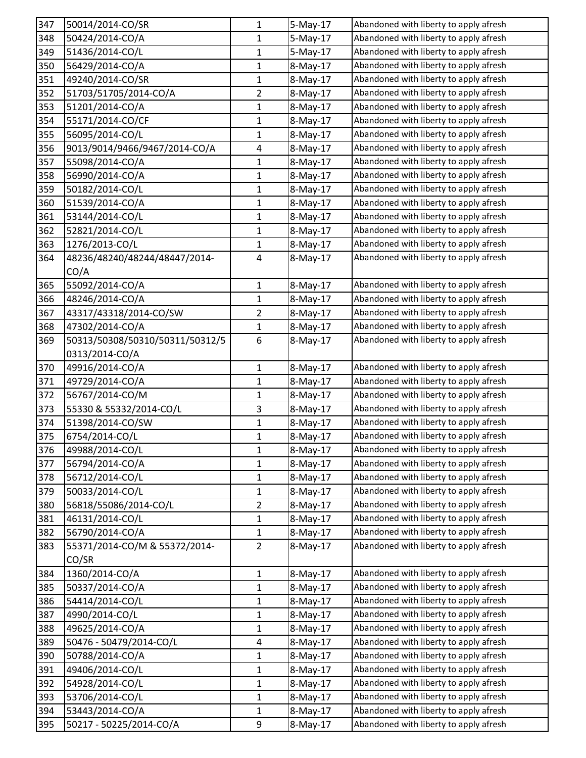| 347 | 50014/2014-CO/SR                | 1              | 5-May-17   | Abandoned with liberty to apply afresh |
|-----|---------------------------------|----------------|------------|----------------------------------------|
| 348 | 50424/2014-CO/A                 | 1              | 5-May-17   | Abandoned with liberty to apply afresh |
| 349 | 51436/2014-CO/L                 | 1              | $5-May-17$ | Abandoned with liberty to apply afresh |
| 350 | 56429/2014-CO/A                 | 1              | 8-May-17   | Abandoned with liberty to apply afresh |
| 351 | 49240/2014-CO/SR                | $\mathbf{1}$   | 8-May-17   | Abandoned with liberty to apply afresh |
| 352 | 51703/51705/2014-CO/A           | $\overline{2}$ | 8-May-17   | Abandoned with liberty to apply afresh |
| 353 | 51201/2014-CO/A                 | 1              | 8-May-17   | Abandoned with liberty to apply afresh |
| 354 | 55171/2014-CO/CF                | 1              | 8-May-17   | Abandoned with liberty to apply afresh |
| 355 | 56095/2014-CO/L                 | 1              | 8-May-17   | Abandoned with liberty to apply afresh |
| 356 | 9013/9014/9466/9467/2014-CO/A   | 4              | 8-May-17   | Abandoned with liberty to apply afresh |
| 357 | 55098/2014-CO/A                 | $\mathbf 1$    | 8-May-17   | Abandoned with liberty to apply afresh |
| 358 | 56990/2014-CO/A                 | 1              | 8-May-17   | Abandoned with liberty to apply afresh |
| 359 | 50182/2014-CO/L                 | 1              | 8-May-17   | Abandoned with liberty to apply afresh |
| 360 | 51539/2014-CO/A                 | $\mathbf 1$    | 8-May-17   | Abandoned with liberty to apply afresh |
| 361 | 53144/2014-CO/L                 | 1              | 8-May-17   | Abandoned with liberty to apply afresh |
| 362 | 52821/2014-CO/L                 | $\mathbf 1$    | 8-May-17   | Abandoned with liberty to apply afresh |
| 363 | 1276/2013-CO/L                  | 1              | 8-May-17   | Abandoned with liberty to apply afresh |
| 364 | 48236/48240/48244/48447/2014-   | 4              | 8-May-17   | Abandoned with liberty to apply afresh |
|     | CO/A                            |                |            |                                        |
| 365 | 55092/2014-CO/A                 | 1              | 8-May-17   | Abandoned with liberty to apply afresh |
| 366 | 48246/2014-CO/A                 | $\mathbf{1}$   | 8-May-17   | Abandoned with liberty to apply afresh |
| 367 | 43317/43318/2014-CO/SW          | 2              | 8-May-17   | Abandoned with liberty to apply afresh |
| 368 | 47302/2014-CO/A                 | $\mathbf{1}$   | 8-May-17   | Abandoned with liberty to apply afresh |
| 369 | 50313/50308/50310/50311/50312/5 | 6              | 8-May-17   | Abandoned with liberty to apply afresh |
|     | 0313/2014-CO/A                  |                |            |                                        |
| 370 | 49916/2014-CO/A                 | $\mathbf{1}$   | 8-May-17   | Abandoned with liberty to apply afresh |
| 371 | 49729/2014-CO/A                 | 1              | 8-May-17   | Abandoned with liberty to apply afresh |
| 372 | 56767/2014-CO/M                 | 1              | 8-May-17   | Abandoned with liberty to apply afresh |
| 373 | 55330 & 55332/2014-CO/L         | 3              | 8-May-17   | Abandoned with liberty to apply afresh |
| 374 | 51398/2014-CO/SW                | $\mathbf 1$    | 8-May-17   | Abandoned with liberty to apply afresh |
| 375 | 6754/2014-CO/L                  | 1              | 8-May-17   | Abandoned with liberty to apply afresh |
| 376 | 49988/2014-CO/L                 | 1              | 8-May-17   | Abandoned with liberty to apply afresh |
| 377 | 56794/2014-CO/A                 | 1              | 8-May-17   | Abandoned with liberty to apply afresh |
| 378 | 56712/2014-CO/L                 | $\mathbf 1$    | 8-May-17   | Abandoned with liberty to apply afresh |
| 379 | 50033/2014-CO/L                 | 1              | 8-May-17   | Abandoned with liberty to apply afresh |
| 380 | 56818/55086/2014-CO/L           | 2              | 8-May-17   | Abandoned with liberty to apply afresh |
| 381 | 46131/2014-CO/L                 | 1              | 8-May-17   | Abandoned with liberty to apply afresh |
| 382 | 56790/2014-CO/A                 | 1              | 8-May-17   | Abandoned with liberty to apply afresh |
| 383 | 55371/2014-CO/M & 55372/2014-   | $\overline{2}$ | 8-May-17   | Abandoned with liberty to apply afresh |
|     | CO/SR                           |                |            |                                        |
| 384 | 1360/2014-CO/A                  | $\mathbf{1}$   | 8-May-17   | Abandoned with liberty to apply afresh |
| 385 | 50337/2014-CO/A                 | $\mathbf 1$    | 8-May-17   | Abandoned with liberty to apply afresh |
| 386 | 54414/2014-CO/L                 | 1              | 8-May-17   | Abandoned with liberty to apply afresh |
| 387 | 4990/2014-CO/L                  | $\mathbf 1$    | 8-May-17   | Abandoned with liberty to apply afresh |
| 388 | 49625/2014-CO/A                 | 1              | 8-May-17   | Abandoned with liberty to apply afresh |
| 389 | 50476 - 50479/2014-CO/L         | 4              | 8-May-17   | Abandoned with liberty to apply afresh |
| 390 | 50788/2014-CO/A                 | $\mathbf 1$    | 8-May-17   | Abandoned with liberty to apply afresh |
| 391 | 49406/2014-CO/L                 | $\mathbf 1$    | 8-May-17   | Abandoned with liberty to apply afresh |
| 392 | 54928/2014-CO/L                 | 1              | 8-May-17   | Abandoned with liberty to apply afresh |
| 393 | 53706/2014-CO/L                 | 1              | 8-May-17   | Abandoned with liberty to apply afresh |
| 394 | 53443/2014-CO/A                 | 1              | 8-May-17   | Abandoned with liberty to apply afresh |
| 395 | 50217 - 50225/2014-CO/A         | 9              | 8-May-17   | Abandoned with liberty to apply afresh |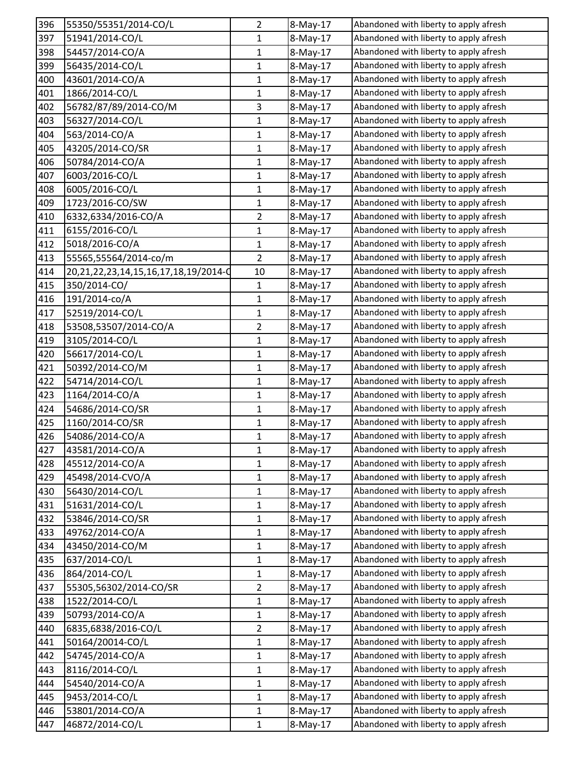| 396 | 55350/55351/2014-CO/L                          | 2              | 8-May-17 | Abandoned with liberty to apply afresh |
|-----|------------------------------------------------|----------------|----------|----------------------------------------|
| 397 | 51941/2014-CO/L                                | 1              | 8-May-17 | Abandoned with liberty to apply afresh |
| 398 | 54457/2014-CO/A                                | $\mathbf 1$    | 8-May-17 | Abandoned with liberty to apply afresh |
| 399 | 56435/2014-CO/L                                | 1              | 8-May-17 | Abandoned with liberty to apply afresh |
| 400 | 43601/2014-CO/A                                | 1              | 8-May-17 | Abandoned with liberty to apply afresh |
| 401 | 1866/2014-CO/L                                 | $\mathbf 1$    | 8-May-17 | Abandoned with liberty to apply afresh |
| 402 | 56782/87/89/2014-CO/M                          | 3              | 8-May-17 | Abandoned with liberty to apply afresh |
| 403 | 56327/2014-CO/L                                | $\mathbf{1}$   | 8-May-17 | Abandoned with liberty to apply afresh |
| 404 | 563/2014-CO/A                                  | 1              | 8-May-17 | Abandoned with liberty to apply afresh |
| 405 | 43205/2014-CO/SR                               | $\mathbf{1}$   | 8-May-17 | Abandoned with liberty to apply afresh |
| 406 | 50784/2014-CO/A                                | $\mathbf 1$    | 8-May-17 | Abandoned with liberty to apply afresh |
| 407 | 6003/2016-CO/L                                 | 1              | 8-May-17 | Abandoned with liberty to apply afresh |
| 408 | 6005/2016-CO/L                                 | 1              | 8-May-17 | Abandoned with liberty to apply afresh |
| 409 | 1723/2016-CO/SW                                | 1              | 8-May-17 | Abandoned with liberty to apply afresh |
| 410 | 6332,6334/2016-CO/A                            | $\overline{2}$ | 8-May-17 | Abandoned with liberty to apply afresh |
| 411 | 6155/2016-CO/L                                 | $\mathbf 1$    | 8-May-17 | Abandoned with liberty to apply afresh |
| 412 | 5018/2016-CO/A                                 | 1              | 8-May-17 | Abandoned with liberty to apply afresh |
| 413 | 55565,55564/2014-co/m                          | $\overline{2}$ | 8-May-17 | Abandoned with liberty to apply afresh |
| 414 | 20, 21, 22, 23, 14, 15, 16, 17, 18, 19/ 2014-0 | 10             | 8-May-17 | Abandoned with liberty to apply afresh |
| 415 | 350/2014-CO/                                   | 1              | 8-May-17 | Abandoned with liberty to apply afresh |
| 416 | 191/2014-co/A                                  | $\mathbf 1$    | 8-May-17 | Abandoned with liberty to apply afresh |
| 417 | 52519/2014-CO/L                                | 1              | 8-May-17 | Abandoned with liberty to apply afresh |
| 418 | 53508,53507/2014-CO/A                          | 2              | 8-May-17 | Abandoned with liberty to apply afresh |
| 419 | 3105/2014-CO/L                                 | 1              | 8-May-17 | Abandoned with liberty to apply afresh |
| 420 | 56617/2014-CO/L                                | 1              | 8-May-17 | Abandoned with liberty to apply afresh |
| 421 | 50392/2014-CO/M                                | $\mathbf{1}$   | 8-May-17 | Abandoned with liberty to apply afresh |
| 422 | 54714/2014-CO/L                                | 1              | 8-May-17 | Abandoned with liberty to apply afresh |
| 423 | 1164/2014-CO/A                                 | $\mathbf{1}$   | 8-May-17 | Abandoned with liberty to apply afresh |
| 424 | 54686/2014-CO/SR                               | $\mathbf 1$    | 8-May-17 | Abandoned with liberty to apply afresh |
| 425 | 1160/2014-CO/SR                                | $\mathbf{1}$   | 8-May-17 | Abandoned with liberty to apply afresh |
| 426 | 54086/2014-CO/A                                | 1              | 8-May-17 | Abandoned with liberty to apply afresh |
| 427 | 43581/2014-CO/A                                | 1              | 8-May-17 | Abandoned with liberty to apply afresh |
| 428 | 45512/2014-CO/A                                | $\mathbf{1}$   | 8-May-17 | Abandoned with liberty to apply afresh |
| 429 | 45498/2014-CVO/A                               | $\mathbf 1$    | 8-May-17 | Abandoned with liberty to apply afresh |
| 430 | 56430/2014-CO/L                                | 1              | 8-May-17 | Abandoned with liberty to apply afresh |
| 431 | 51631/2014-CO/L                                | 1              | 8-May-17 | Abandoned with liberty to apply afresh |
| 432 | 53846/2014-CO/SR                               | $\mathbf 1$    | 8-May-17 | Abandoned with liberty to apply afresh |
| 433 | 49762/2014-CO/A                                | 1              | 8-May-17 | Abandoned with liberty to apply afresh |
| 434 | 43450/2014-CO/M                                | $\mathbf 1$    | 8-May-17 | Abandoned with liberty to apply afresh |
| 435 | 637/2014-CO/L                                  | 1              | 8-May-17 | Abandoned with liberty to apply afresh |
| 436 | 864/2014-CO/L                                  | 1              | 8-May-17 | Abandoned with liberty to apply afresh |
| 437 | 55305,56302/2014-CO/SR                         | $\overline{2}$ | 8-May-17 | Abandoned with liberty to apply afresh |
| 438 | 1522/2014-CO/L                                 | 1              | 8-May-17 | Abandoned with liberty to apply afresh |
| 439 | 50793/2014-CO/A                                | $\mathbf 1$    | 8-May-17 | Abandoned with liberty to apply afresh |
| 440 | 6835,6838/2016-CO/L                            | $\overline{2}$ | 8-May-17 | Abandoned with liberty to apply afresh |
| 441 | 50164/20014-CO/L                               | 1              | 8-May-17 | Abandoned with liberty to apply afresh |
| 442 | 54745/2014-CO/A                                | 1              | 8-May-17 | Abandoned with liberty to apply afresh |
| 443 | 8116/2014-CO/L                                 | 1              | 8-May-17 | Abandoned with liberty to apply afresh |
| 444 | 54540/2014-CO/A                                | $\mathbf{1}$   | 8-May-17 | Abandoned with liberty to apply afresh |
| 445 | 9453/2014-CO/L                                 | 1              | 8-May-17 | Abandoned with liberty to apply afresh |
| 446 | 53801/2014-CO/A                                | 1              | 8-May-17 | Abandoned with liberty to apply afresh |
| 447 | 46872/2014-CO/L                                | 1              | 8-May-17 | Abandoned with liberty to apply afresh |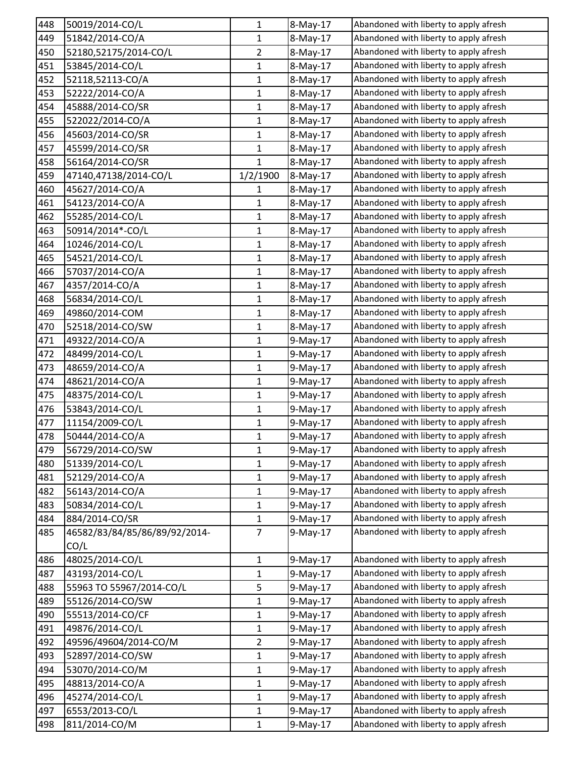| 448 | 50019/2014-CO/L               | $\mathbf 1$    | 8-May-17 | Abandoned with liberty to apply afresh |
|-----|-------------------------------|----------------|----------|----------------------------------------|
| 449 | 51842/2014-CO/A               | 1              | 8-May-17 | Abandoned with liberty to apply afresh |
| 450 | 52180,52175/2014-CO/L         | $\overline{2}$ | 8-May-17 | Abandoned with liberty to apply afresh |
| 451 | 53845/2014-CO/L               | 1              | 8-May-17 | Abandoned with liberty to apply afresh |
| 452 | 52118,52113-CO/A              | 1              | 8-May-17 | Abandoned with liberty to apply afresh |
| 453 | 52222/2014-CO/A               | $\mathbf 1$    | 8-May-17 | Abandoned with liberty to apply afresh |
| 454 | 45888/2014-CO/SR              | 1              | 8-May-17 | Abandoned with liberty to apply afresh |
| 455 | 522022/2014-CO/A              | $\mathbf{1}$   | 8-May-17 | Abandoned with liberty to apply afresh |
| 456 | 45603/2014-CO/SR              | 1              | 8-May-17 | Abandoned with liberty to apply afresh |
| 457 | 45599/2014-CO/SR              | $\mathbf{1}$   | 8-May-17 | Abandoned with liberty to apply afresh |
| 458 | 56164/2014-CO/SR              | $\mathbf{1}$   | 8-May-17 | Abandoned with liberty to apply afresh |
| 459 | 47140,47138/2014-CO/L         | 1/2/1900       | 8-May-17 | Abandoned with liberty to apply afresh |
| 460 | 45627/2014-CO/A               | 1              | 8-May-17 | Abandoned with liberty to apply afresh |
| 461 | 54123/2014-CO/A               | 1              | 8-May-17 | Abandoned with liberty to apply afresh |
| 462 | 55285/2014-CO/L               | $\mathbf{1}$   | 8-May-17 | Abandoned with liberty to apply afresh |
| 463 | 50914/2014*-CO/L              | $\mathbf 1$    | 8-May-17 | Abandoned with liberty to apply afresh |
| 464 | 10246/2014-CO/L               | 1              | 8-May-17 | Abandoned with liberty to apply afresh |
| 465 | 54521/2014-CO/L               | 1              | 8-May-17 | Abandoned with liberty to apply afresh |
| 466 | 57037/2014-CO/A               | $\mathbf 1$    | 8-May-17 | Abandoned with liberty to apply afresh |
| 467 | 4357/2014-CO/A                | 1              | 8-May-17 | Abandoned with liberty to apply afresh |
| 468 | 56834/2014-CO/L               | $\mathbf 1$    | 8-May-17 | Abandoned with liberty to apply afresh |
| 469 | 49860/2014-COM                | 1              | 8-May-17 | Abandoned with liberty to apply afresh |
| 470 | 52518/2014-CO/SW              | 1              | 8-May-17 | Abandoned with liberty to apply afresh |
| 471 | 49322/2014-CO/A               | 1              | 9-May-17 | Abandoned with liberty to apply afresh |
| 472 | 48499/2014-CO/L               | $\mathbf 1$    | 9-May-17 | Abandoned with liberty to apply afresh |
| 473 | 48659/2014-CO/A               | $\mathbf{1}$   | 9-May-17 | Abandoned with liberty to apply afresh |
| 474 | 48621/2014-CO/A               | 1              | 9-May-17 | Abandoned with liberty to apply afresh |
| 475 | 48375/2014-CO/L               | $\mathbf 1$    | 9-May-17 | Abandoned with liberty to apply afresh |
| 476 | 53843/2014-CO/L               | $\mathbf 1$    | 9-May-17 | Abandoned with liberty to apply afresh |
| 477 | 11154/2009-CO/L               | $\mathbf{1}$   | 9-May-17 | Abandoned with liberty to apply afresh |
| 478 | 50444/2014-CO/A               | 1              | 9-May-17 | Abandoned with liberty to apply afresh |
| 479 | 56729/2014-CO/SW              | 1              | 9-May-17 | Abandoned with liberty to apply afresh |
| 480 | 51339/2014-CO/L               | 1              | 9-May-17 | Abandoned with liberty to apply afresh |
| 481 | 52129/2014-CO/A               | $\mathbf 1$    | 9-May-17 | Abandoned with liberty to apply afresh |
| 482 | 56143/2014-CO/A               | 1              | 9-May-17 | Abandoned with liberty to apply afresh |
| 483 | 50834/2014-CO/L               | 1              | 9-May-17 | Abandoned with liberty to apply afresh |
| 484 | 884/2014-CO/SR                | $\mathbf 1$    | 9-May-17 | Abandoned with liberty to apply afresh |
| 485 | 46582/83/84/85/86/89/92/2014- | $\overline{7}$ | 9-May-17 | Abandoned with liberty to apply afresh |
|     | CO/L                          |                |          |                                        |
| 486 | 48025/2014-CO/L               | 1              | 9-May-17 | Abandoned with liberty to apply afresh |
| 487 | 43193/2014-CO/L               | 1              | 9-May-17 | Abandoned with liberty to apply afresh |
| 488 | 55963 TO 55967/2014-CO/L      | 5              | 9-May-17 | Abandoned with liberty to apply afresh |
| 489 | 55126/2014-CO/SW              | 1              | 9-May-17 | Abandoned with liberty to apply afresh |
| 490 | 55513/2014-CO/CF              | $\mathbf 1$    | 9-May-17 | Abandoned with liberty to apply afresh |
| 491 | 49876/2014-CO/L               | 1              | 9-May-17 | Abandoned with liberty to apply afresh |
| 492 | 49596/49604/2014-CO/M         | 2              | 9-May-17 | Abandoned with liberty to apply afresh |
| 493 | 52897/2014-CO/SW              | 1              | 9-May-17 | Abandoned with liberty to apply afresh |
| 494 | 53070/2014-CO/M               | 1              | 9-May-17 | Abandoned with liberty to apply afresh |
| 495 | 48813/2014-CO/A               | $\mathbf{1}$   | 9-May-17 | Abandoned with liberty to apply afresh |
| 496 | 45274/2014-CO/L               | 1              | 9-May-17 | Abandoned with liberty to apply afresh |
| 497 | 6553/2013-CO/L                | 1              | 9-May-17 | Abandoned with liberty to apply afresh |
| 498 | 811/2014-CO/M                 | 1              | 9-May-17 | Abandoned with liberty to apply afresh |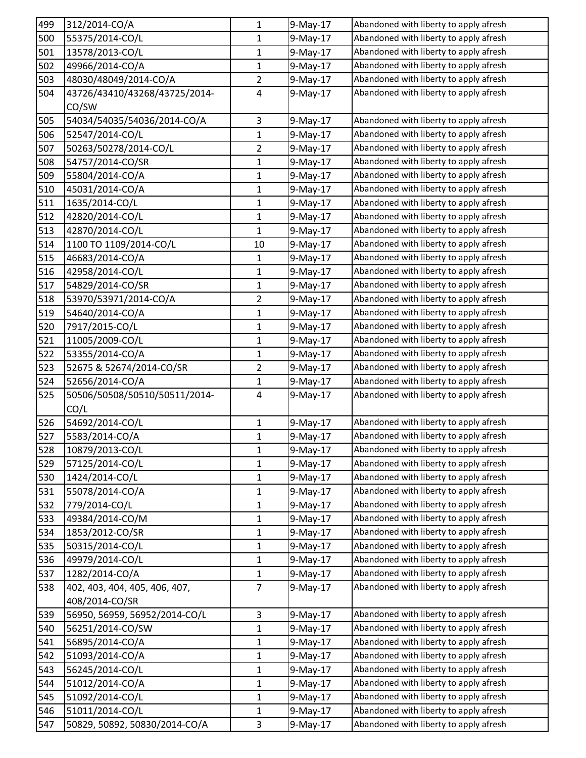| 499 | 312/2014-CO/A                 | $\mathbf{1}$   | 9-May-17   | Abandoned with liberty to apply afresh |
|-----|-------------------------------|----------------|------------|----------------------------------------|
| 500 | 55375/2014-CO/L               | 1              | 9-May-17   | Abandoned with liberty to apply afresh |
| 501 | 13578/2013-CO/L               | $\mathbf{1}$   | 9-May-17   | Abandoned with liberty to apply afresh |
| 502 | 49966/2014-CO/A               | $\mathbf{1}$   | 9-May-17   | Abandoned with liberty to apply afresh |
| 503 | 48030/48049/2014-CO/A         | $\overline{2}$ | $9-May-17$ | Abandoned with liberty to apply afresh |
| 504 | 43726/43410/43268/43725/2014- | $\overline{4}$ | 9-May-17   | Abandoned with liberty to apply afresh |
|     | CO/SW                         |                |            |                                        |
| 505 | 54034/54035/54036/2014-CO/A   | $\mathbf{3}$   | 9-May-17   | Abandoned with liberty to apply afresh |
| 506 | 52547/2014-CO/L               | $\mathbf{1}$   | 9-May-17   | Abandoned with liberty to apply afresh |
| 507 | 50263/50278/2014-CO/L         | $\overline{2}$ | $9-May-17$ | Abandoned with liberty to apply afresh |
| 508 | 54757/2014-CO/SR              | $\mathbf 1$    | 9-May-17   | Abandoned with liberty to apply afresh |
| 509 | 55804/2014-CO/A               | $\mathbf{1}$   | 9-May-17   | Abandoned with liberty to apply afresh |
| 510 | 45031/2014-CO/A               | $\mathbf{1}$   | 9-May-17   | Abandoned with liberty to apply afresh |
| 511 | 1635/2014-CO/L                | $\mathbf{1}$   | 9-May-17   | Abandoned with liberty to apply afresh |
| 512 | 42820/2014-CO/L               | $\mathbf{1}$   | $9-May-17$ | Abandoned with liberty to apply afresh |
| 513 | 42870/2014-CO/L               | $\mathbf{1}$   | $9-May-17$ | Abandoned with liberty to apply afresh |
| 514 | 1100 TO 1109/2014-CO/L        | 10             | 9-May-17   | Abandoned with liberty to apply afresh |
| 515 | 46683/2014-CO/A               | $\mathbf{1}$   | $9-May-17$ | Abandoned with liberty to apply afresh |
| 516 | 42958/2014-CO/L               | $\mathbf{1}$   | $9-May-17$ | Abandoned with liberty to apply afresh |
| 517 | 54829/2014-CO/SR              | $\mathbf{1}$   | $9-May-17$ | Abandoned with liberty to apply afresh |
| 518 | 53970/53971/2014-CO/A         | $\overline{2}$ | 9-May-17   | Abandoned with liberty to apply afresh |
| 519 | 54640/2014-CO/A               | $\mathbf{1}$   | 9-May-17   | Abandoned with liberty to apply afresh |
| 520 | 7917/2015-CO/L                | $\mathbf{1}$   | 9-May-17   | Abandoned with liberty to apply afresh |
| 521 | 11005/2009-CO/L               | $\mathbf{1}$   | 9-May-17   | Abandoned with liberty to apply afresh |
| 522 | 53355/2014-CO/A               | $\mathbf{1}$   | $9-May-17$ | Abandoned with liberty to apply afresh |
| 523 | 52675 & 52674/2014-CO/SR      | $\overline{2}$ | 9-May-17   | Abandoned with liberty to apply afresh |
| 524 | 52656/2014-CO/A               | $\mathbf{1}$   | 9-May-17   | Abandoned with liberty to apply afresh |
| 525 | 50506/50508/50510/50511/2014- | 4              | 9-May-17   | Abandoned with liberty to apply afresh |
|     | CO/L                          |                |            |                                        |
| 526 | 54692/2014-CO/L               | $\mathbf{1}$   | 9-May-17   | Abandoned with liberty to apply afresh |
| 527 | 5583/2014-CO/A                | $\mathbf 1$    | 9-May-17   | Abandoned with liberty to apply afresh |
| 528 | 10879/2013-CO/L               | 1              | 9-May-17   | Abandoned with liberty to apply afresh |
| 529 | 57125/2014-CO/L               | $\mathbf{1}$   | $9-May-17$ | Abandoned with liberty to apply afresh |
| 530 | 1424/2014-CO/L                | $\mathbf{1}$   | 9-May-17   | Abandoned with liberty to apply afresh |
| 531 | 55078/2014-CO/A               | $\mathbf{1}$   | 9-May-17   | Abandoned with liberty to apply afresh |
| 532 | 779/2014-CO/L                 | $\mathbf{1}$   | 9-May-17   | Abandoned with liberty to apply afresh |
| 533 | 49384/2014-CO/M               | $\mathbf{1}$   | 9-May-17   | Abandoned with liberty to apply afresh |
| 534 | 1853/2012-CO/SR               | $\mathbf{1}$   | 9-May-17   | Abandoned with liberty to apply afresh |
| 535 | 50315/2014-CO/L               | $\mathbf 1$    | $9-May-17$ | Abandoned with liberty to apply afresh |
| 536 | 49979/2014-CO/L               | $\mathbf{1}$   | 9-May-17   | Abandoned with liberty to apply afresh |
| 537 | 1282/2014-CO/A                | $\mathbf{1}$   | 9-May-17   | Abandoned with liberty to apply afresh |
| 538 | 402, 403, 404, 405, 406, 407, | $\overline{7}$ | 9-May-17   | Abandoned with liberty to apply afresh |
|     | 408/2014-CO/SR                |                |            |                                        |
| 539 | 56950, 56959, 56952/2014-CO/L | $\mathsf 3$    | 9-May-17   | Abandoned with liberty to apply afresh |
| 540 | 56251/2014-CO/SW              | $\mathbf{1}$   | 9-May-17   | Abandoned with liberty to apply afresh |
| 541 | 56895/2014-CO/A               | $\mathbf{1}$   | 9-May-17   | Abandoned with liberty to apply afresh |
| 542 | 51093/2014-CO/A               | $\mathbf{1}$   | 9-May-17   | Abandoned with liberty to apply afresh |
| 543 | 56245/2014-CO/L               | $\mathbf{1}$   | $9-May-17$ | Abandoned with liberty to apply afresh |
| 544 | 51012/2014-CO/A               | $\mathbf 1$    | $9-May-17$ | Abandoned with liberty to apply afresh |
| 545 | 51092/2014-CO/L               | $\mathbf{1}$   | 9-May-17   | Abandoned with liberty to apply afresh |
| 546 | 51011/2014-CO/L               | $\mathbf{1}$   | $9-May-17$ | Abandoned with liberty to apply afresh |
| 547 | 50829, 50892, 50830/2014-CO/A | 3              | 9-May-17   | Abandoned with liberty to apply afresh |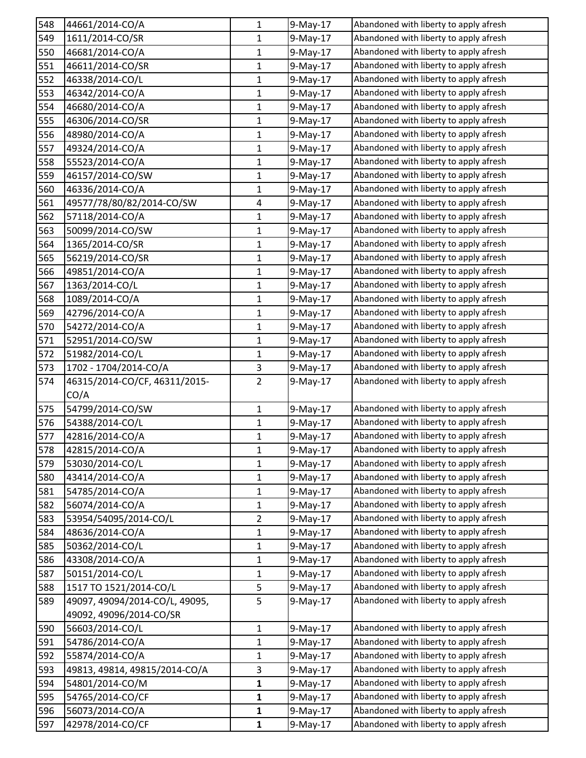| 548 | 44661/2014-CO/A                | $\mathbf{1}$   | 9-May-17    | Abandoned with liberty to apply afresh |
|-----|--------------------------------|----------------|-------------|----------------------------------------|
| 549 | 1611/2014-CO/SR                | 1              | 9-May-17    | Abandoned with liberty to apply afresh |
| 550 | 46681/2014-CO/A                | $\mathbf{1}$   | 9-May-17    | Abandoned with liberty to apply afresh |
| 551 | 46611/2014-CO/SR               | $\mathbf{1}$   | 9-May-17    | Abandoned with liberty to apply afresh |
| 552 | 46338/2014-CO/L                | 1              | 9-May-17    | Abandoned with liberty to apply afresh |
| 553 | 46342/2014-CO/A                | $\mathbf{1}$   | 9-May-17    | Abandoned with liberty to apply afresh |
| 554 | 46680/2014-CO/A                | 1              | 9-May-17    | Abandoned with liberty to apply afresh |
| 555 | 46306/2014-CO/SR               | 1              | 9-May-17    | Abandoned with liberty to apply afresh |
| 556 | 48980/2014-CO/A                | $\mathbf{1}$   | 9-May-17    | Abandoned with liberty to apply afresh |
| 557 | 49324/2014-CO/A                | $\mathbf{1}$   | 9-May-17    | Abandoned with liberty to apply afresh |
| 558 | 55523/2014-CO/A                | $\mathbf 1$    | 9-May-17    | Abandoned with liberty to apply afresh |
| 559 | 46157/2014-CO/SW               | $\mathbf{1}$   | $9$ -May-17 | Abandoned with liberty to apply afresh |
| 560 | 46336/2014-CO/A                | 1              | 9-May-17    | Abandoned with liberty to apply afresh |
| 561 | 49577/78/80/82/2014-CO/SW      | 4              | $9-May-17$  | Abandoned with liberty to apply afresh |
| 562 | 57118/2014-CO/A                | 1              | 9-May-17    | Abandoned with liberty to apply afresh |
| 563 | 50099/2014-CO/SW               | $\mathbf{1}$   | 9-May-17    | Abandoned with liberty to apply afresh |
| 564 | 1365/2014-CO/SR                | $\mathbf{1}$   | 9-May-17    | Abandoned with liberty to apply afresh |
| 565 | 56219/2014-CO/SR               | 1              | 9-May-17    | Abandoned with liberty to apply afresh |
| 566 | 49851/2014-CO/A                | $\mathbf{1}$   | 9-May-17    | Abandoned with liberty to apply afresh |
| 567 | 1363/2014-CO/L                 | 1              | 9-May-17    | Abandoned with liberty to apply afresh |
| 568 | 1089/2014-CO/A                 | $\mathbf{1}$   | 9-May-17    | Abandoned with liberty to apply afresh |
| 569 | 42796/2014-CO/A                | 1              | $9$ -May-17 | Abandoned with liberty to apply afresh |
| 570 | 54272/2014-CO/A                | 1              | 9-May-17    | Abandoned with liberty to apply afresh |
| 571 | 52951/2014-CO/SW               | $\mathbf{1}$   | 9-May-17    | Abandoned with liberty to apply afresh |
| 572 | 51982/2014-CO/L                | 1              | 9-May-17    | Abandoned with liberty to apply afresh |
| 573 | 1702 - 1704/2014-CO/A          | 3              | 9-May-17    | Abandoned with liberty to apply afresh |
| 574 | 46315/2014-CO/CF, 46311/2015-  | $\overline{2}$ | 9-May-17    | Abandoned with liberty to apply afresh |
|     | CO/A                           |                |             |                                        |
| 575 | 54799/2014-CO/SW               | $\mathbf{1}$   | 9-May-17    | Abandoned with liberty to apply afresh |
| 576 | 54388/2014-CO/L                | $\mathbf{1}$   | $9$ -May-17 | Abandoned with liberty to apply afresh |
| 577 | 42816/2014-CO/A                | $\mathbf{1}$   | 9-May-17    | Abandoned with liberty to apply afresh |
| 578 | 42815/2014-CO/A                | 1              | 9-May-17    | Abandoned with liberty to apply afresh |
| 579 | 53030/2014-CO/L                | 1              | 9-May-17    | Abandoned with liberty to apply afresh |
| 580 | 43414/2014-CO/A                | $\mathbf{1}$   | 9-May-17    | Abandoned with liberty to apply afresh |
| 581 | 54785/2014-CO/A                | $\mathbf{1}$   | 9-May-17    | Abandoned with liberty to apply afresh |
| 582 | 56074/2014-CO/A                | 1              | 9-May-17    | Abandoned with liberty to apply afresh |
| 583 | 53954/54095/2014-CO/L          | $\overline{2}$ | 9-May-17    | Abandoned with liberty to apply afresh |
| 584 | 48636/2014-CO/A                | 1              | 9-May-17    | Abandoned with liberty to apply afresh |
| 585 | 50362/2014-CO/L                | $\mathbf 1$    | $9-May-17$  | Abandoned with liberty to apply afresh |
| 586 | 43308/2014-CO/A                | 1              | 9-May-17    | Abandoned with liberty to apply afresh |
| 587 | 50151/2014-CO/L                | 1              | 9-May-17    | Abandoned with liberty to apply afresh |
| 588 | 1517 TO 1521/2014-CO/L         | 5              | 9-May-17    | Abandoned with liberty to apply afresh |
| 589 | 49097, 49094/2014-CO/L, 49095, | 5              | 9-May-17    | Abandoned with liberty to apply afresh |
|     | 49092, 49096/2014-CO/SR        |                |             |                                        |
| 590 | 56603/2014-CO/L                | $\mathbf{1}$   | 9-May-17    | Abandoned with liberty to apply afresh |
| 591 | 54786/2014-CO/A                | 1              | 9-May-17    | Abandoned with liberty to apply afresh |
| 592 | 55874/2014-CO/A                | $\mathbf{1}$   | 9-May-17    | Abandoned with liberty to apply afresh |
| 593 | 49813, 49814, 49815/2014-CO/A  | 3              | $9-May-17$  | Abandoned with liberty to apply afresh |
| 594 | 54801/2014-CO/M                | $\mathbf 1$    | 9-May-17    | Abandoned with liberty to apply afresh |
| 595 | 54765/2014-CO/CF               | 1              | 9-May-17    | Abandoned with liberty to apply afresh |
| 596 | 56073/2014-CO/A                | $\mathbf{1}$   | 9-May-17    | Abandoned with liberty to apply afresh |
| 597 | 42978/2014-CO/CF               | $\mathbf{1}$   | 9-May-17    | Abandoned with liberty to apply afresh |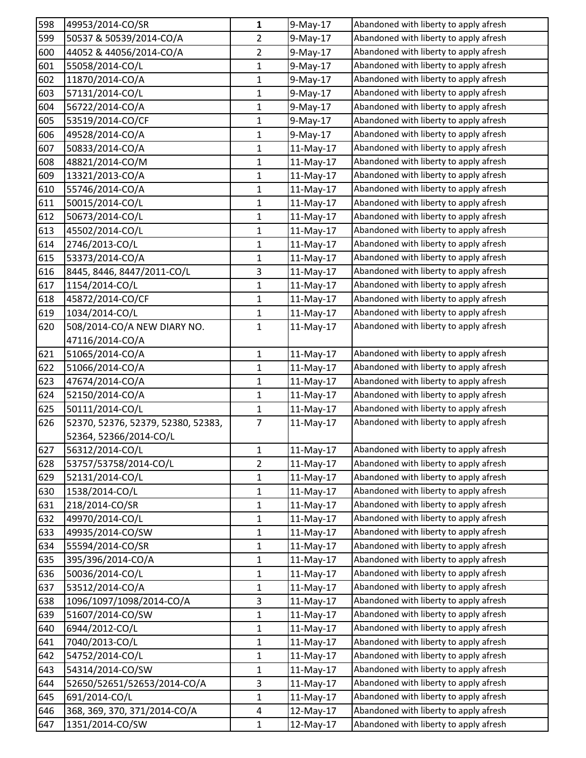| 598 | 49953/2014-CO/SR                   | 1              | 9-May-17    | Abandoned with liberty to apply afresh |
|-----|------------------------------------|----------------|-------------|----------------------------------------|
| 599 | 50537 & 50539/2014-CO/A            | $\overline{2}$ | 9-May-17    | Abandoned with liberty to apply afresh |
| 600 | 44052 & 44056/2014-CO/A            | $\overline{2}$ | 9-May-17    | Abandoned with liberty to apply afresh |
| 601 | 55058/2014-CO/L                    | 1              | 9-May-17    | Abandoned with liberty to apply afresh |
| 602 | 11870/2014-CO/A                    | 1              | 9-May-17    | Abandoned with liberty to apply afresh |
| 603 | 57131/2014-CO/L                    | $\mathbf 1$    | 9-May-17    | Abandoned with liberty to apply afresh |
| 604 | 56722/2014-CO/A                    | 1              | 9-May-17    | Abandoned with liberty to apply afresh |
| 605 | 53519/2014-CO/CF                   | $\mathbf{1}$   | 9-May-17    | Abandoned with liberty to apply afresh |
| 606 | 49528/2014-CO/A                    | 1              | 9-May-17    | Abandoned with liberty to apply afresh |
| 607 | 50833/2014-CO/A                    | $\mathbf{1}$   | 11-May-17   | Abandoned with liberty to apply afresh |
| 608 | 48821/2014-CO/M                    | $\mathbf 1$    | 11-May-17   | Abandoned with liberty to apply afresh |
| 609 | 13321/2013-CO/A                    | 1              | 11-May-17   | Abandoned with liberty to apply afresh |
| 610 | 55746/2014-CO/A                    | 1              | 11-May-17   | Abandoned with liberty to apply afresh |
| 611 | 50015/2014-CO/L                    | 1              | 11-May-17   | Abandoned with liberty to apply afresh |
| 612 | 50673/2014-CO/L                    | $\mathbf{1}$   | $11-May-17$ | Abandoned with liberty to apply afresh |
| 613 | 45502/2014-CO/L                    | $\mathbf 1$    | 11-May-17   | Abandoned with liberty to apply afresh |
| 614 | 2746/2013-CO/L                     | 1              | 11-May-17   | Abandoned with liberty to apply afresh |
| 615 | 53373/2014-CO/A                    | 1              | 11-May-17   | Abandoned with liberty to apply afresh |
| 616 | 8445, 8446, 8447/2011-CO/L         | 3              | 11-May-17   | Abandoned with liberty to apply afresh |
| 617 | 1154/2014-CO/L                     | 1              | 11-May-17   | Abandoned with liberty to apply afresh |
| 618 | 45872/2014-CO/CF                   | $\mathbf{1}$   | 11-May-17   | Abandoned with liberty to apply afresh |
| 619 | 1034/2014-CO/L                     | 1              | 11-May-17   | Abandoned with liberty to apply afresh |
| 620 | 508/2014-CO/A NEW DIARY NO.        | 1              | 11-May-17   | Abandoned with liberty to apply afresh |
|     | 47116/2014-CO/A                    |                |             |                                        |
| 621 | 51065/2014-CO/A                    | $\mathbf{1}$   | 11-May-17   | Abandoned with liberty to apply afresh |
| 622 | 51066/2014-CO/A                    | $\mathbf{1}$   | 11-May-17   | Abandoned with liberty to apply afresh |
| 623 | 47674/2014-CO/A                    | 1              | 11-May-17   | Abandoned with liberty to apply afresh |
| 624 | 52150/2014-CO/A                    | $\mathbf{1}$   | 11-May-17   | Abandoned with liberty to apply afresh |
| 625 | 50111/2014-CO/L                    | $\mathbf 1$    | 11-May-17   | Abandoned with liberty to apply afresh |
| 626 | 52370, 52376, 52379, 52380, 52383, | $\overline{7}$ | 11-May-17   | Abandoned with liberty to apply afresh |
|     | 52364, 52366/2014-CO/L             |                |             |                                        |
| 627 | 56312/2014-CO/L                    | 1              | 11-May-17   | Abandoned with liberty to apply afresh |
| 628 | 53757/53758/2014-CO/L              | $\overline{2}$ | 11-May-17   | Abandoned with liberty to apply afresh |
| 629 | 52131/2014-CO/L                    | $\mathbf 1$    | 11-May-17   | Abandoned with liberty to apply afresh |
| 630 | 1538/2014-CO/L                     | 1              | 11-May-17   | Abandoned with liberty to apply afresh |
| 631 | 218/2014-CO/SR                     | 1              | 11-May-17   | Abandoned with liberty to apply afresh |
| 632 | 49970/2014-CO/L                    | $\mathbf 1$    | 11-May-17   | Abandoned with liberty to apply afresh |
| 633 | 49935/2014-CO/SW                   | 1              | 11-May-17   | Abandoned with liberty to apply afresh |
| 634 | 55594/2014-CO/SR                   | $\mathbf 1$    | 11-May-17   | Abandoned with liberty to apply afresh |
| 635 | 395/396/2014-CO/A                  | 1              | 11-May-17   | Abandoned with liberty to apply afresh |
| 636 | 50036/2014-CO/L                    | 1              | 11-May-17   | Abandoned with liberty to apply afresh |
| 637 | 53512/2014-CO/A                    | $\mathbf 1$    | 11-May-17   | Abandoned with liberty to apply afresh |
| 638 | 1096/1097/1098/2014-CO/A           | 3              | 11-May-17   | Abandoned with liberty to apply afresh |
| 639 | 51607/2014-CO/SW                   | $\mathbf 1$    | $11-May-17$ | Abandoned with liberty to apply afresh |
| 640 | 6944/2012-CO/L                     | 1              | 11-May-17   | Abandoned with liberty to apply afresh |
| 641 | 7040/2013-CO/L                     | 1              | 11-May-17   | Abandoned with liberty to apply afresh |
| 642 | 54752/2014-CO/L                    | 1              | 11-May-17   | Abandoned with liberty to apply afresh |
| 643 | 54314/2014-CO/SW                   | 1              | 11-May-17   | Abandoned with liberty to apply afresh |
| 644 | 52650/52651/52653/2014-CO/A        | 3              | 11-May-17   | Abandoned with liberty to apply afresh |
| 645 | 691/2014-CO/L                      | 1              | $11-May-17$ | Abandoned with liberty to apply afresh |
| 646 | 368, 369, 370, 371/2014-CO/A       | 4              | 12-May-17   | Abandoned with liberty to apply afresh |
| 647 | 1351/2014-CO/SW                    | 1              | 12-May-17   | Abandoned with liberty to apply afresh |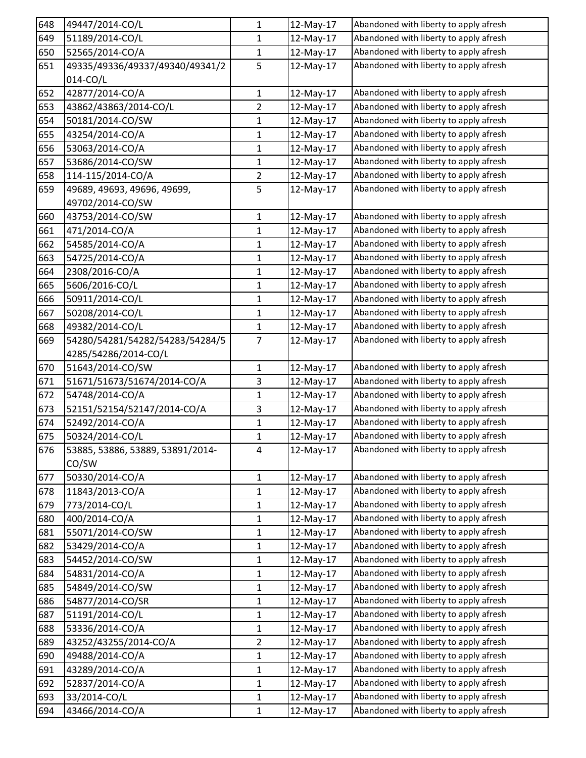| 648 | 49447/2014-CO/L                  | 1              | 12-May-17 | Abandoned with liberty to apply afresh |
|-----|----------------------------------|----------------|-----------|----------------------------------------|
| 649 | 51189/2014-CO/L                  | $\mathbf{1}$   | 12-May-17 | Abandoned with liberty to apply afresh |
| 650 | 52565/2014-CO/A                  | 1              | 12-May-17 | Abandoned with liberty to apply afresh |
| 651 | 49335/49336/49337/49340/49341/2  | 5              | 12-May-17 | Abandoned with liberty to apply afresh |
|     | 014-CO/L                         |                |           |                                        |
| 652 | 42877/2014-CO/A                  | $\mathbf 1$    | 12-May-17 | Abandoned with liberty to apply afresh |
| 653 | 43862/43863/2014-CO/L            | $\overline{2}$ | 12-May-17 | Abandoned with liberty to apply afresh |
| 654 | 50181/2014-CO/SW                 | 1              | 12-May-17 | Abandoned with liberty to apply afresh |
| 655 | 43254/2014-CO/A                  | $\mathbf 1$    | 12-May-17 | Abandoned with liberty to apply afresh |
| 656 | 53063/2014-CO/A                  | 1              | 12-May-17 | Abandoned with liberty to apply afresh |
| 657 | 53686/2014-CO/SW                 | $\mathbf 1$    | 12-May-17 | Abandoned with liberty to apply afresh |
| 658 | 114-115/2014-CO/A                | $\overline{2}$ | 12-May-17 | Abandoned with liberty to apply afresh |
| 659 | 49689, 49693, 49696, 49699,      | 5              | 12-May-17 | Abandoned with liberty to apply afresh |
|     | 49702/2014-CO/SW                 |                |           |                                        |
| 660 | 43753/2014-CO/SW                 | $\mathbf{1}$   | 12-May-17 | Abandoned with liberty to apply afresh |
| 661 | 471/2014-CO/A                    | $\mathbf{1}$   | 12-May-17 | Abandoned with liberty to apply afresh |
| 662 | 54585/2014-CO/A                  | 1              | 12-May-17 | Abandoned with liberty to apply afresh |
| 663 | 54725/2014-CO/A                  | $\mathbf{1}$   | 12-May-17 | Abandoned with liberty to apply afresh |
| 664 | 2308/2016-CO/A                   | 1              | 12-May-17 | Abandoned with liberty to apply afresh |
| 665 | 5606/2016-CO/L                   | $\mathbf{1}$   | 12-May-17 | Abandoned with liberty to apply afresh |
| 666 | 50911/2014-CO/L                  | 1              | 12-May-17 | Abandoned with liberty to apply afresh |
| 667 | 50208/2014-CO/L                  | $\mathbf{1}$   | 12-May-17 | Abandoned with liberty to apply afresh |
| 668 | 49382/2014-CO/L                  | $\mathbf{1}$   | 12-May-17 | Abandoned with liberty to apply afresh |
| 669 | 54280/54281/54282/54283/54284/5  | $\overline{7}$ | 12-May-17 | Abandoned with liberty to apply afresh |
|     | 4285/54286/2014-CO/L             |                |           |                                        |
| 670 | 51643/2014-CO/SW                 | $\mathbf{1}$   | 12-May-17 | Abandoned with liberty to apply afresh |
| 671 | 51671/51673/51674/2014-CO/A      | 3              | 12-May-17 | Abandoned with liberty to apply afresh |
| 672 | 54748/2014-CO/A                  | 1              | 12-May-17 | Abandoned with liberty to apply afresh |
| 673 | 52151/52154/52147/2014-CO/A      | 3              | 12-May-17 | Abandoned with liberty to apply afresh |
| 674 | 52492/2014-CO/A                  | 1              | 12-May-17 | Abandoned with liberty to apply afresh |
| 675 | 50324/2014-CO/L                  | 1              | 12-May-17 | Abandoned with liberty to apply afresh |
| 676 | 53885, 53886, 53889, 53891/2014- | 4              | 12-May-17 | Abandoned with liberty to apply afresh |
|     | CO/SW                            |                |           |                                        |
| 677 | 50330/2014-CO/A                  | $\mathbf{1}$   | 12-May-17 | Abandoned with liberty to apply afresh |
| 678 | 11843/2013-CO/A                  | $\mathbf{1}$   | 12-May-17 | Abandoned with liberty to apply afresh |
| 679 | 773/2014-CO/L                    | $\mathbf{1}$   | 12-May-17 | Abandoned with liberty to apply afresh |
| 680 | 400/2014-CO/A                    | $\mathbf{1}$   | 12-May-17 | Abandoned with liberty to apply afresh |
| 681 | 55071/2014-CO/SW                 | $\mathbf{1}$   | 12-May-17 | Abandoned with liberty to apply afresh |
| 682 | 53429/2014-CO/A                  | $\mathbf{1}$   | 12-May-17 | Abandoned with liberty to apply afresh |
| 683 | 54452/2014-CO/SW                 | $\mathbf{1}$   | 12-May-17 | Abandoned with liberty to apply afresh |
| 684 | 54831/2014-CO/A                  | $\mathbf{1}$   | 12-May-17 | Abandoned with liberty to apply afresh |
| 685 | 54849/2014-CO/SW                 | $\mathbf 1$    | 12-May-17 | Abandoned with liberty to apply afresh |
| 686 | 54877/2014-CO/SR                 | $\mathbf{1}$   | 12-May-17 | Abandoned with liberty to apply afresh |
| 687 | 51191/2014-CO/L                  | $\mathbf{1}$   | 12-May-17 | Abandoned with liberty to apply afresh |
| 688 | 53336/2014-CO/A                  | $\mathbf{1}$   | 12-May-17 | Abandoned with liberty to apply afresh |
| 689 | 43252/43255/2014-CO/A            | $\overline{2}$ | 12-May-17 | Abandoned with liberty to apply afresh |
| 690 | 49488/2014-CO/A                  | $\mathbf{1}$   | 12-May-17 | Abandoned with liberty to apply afresh |
| 691 | 43289/2014-CO/A                  | $\mathbf{1}$   | 12-May-17 | Abandoned with liberty to apply afresh |
| 692 | 52837/2014-CO/A                  | 1              | 12-May-17 | Abandoned with liberty to apply afresh |
| 693 | 33/2014-CO/L                     | $\mathbf 1$    | 12-May-17 | Abandoned with liberty to apply afresh |
| 694 | 43466/2014-CO/A                  | $\mathbf{1}$   | 12-May-17 | Abandoned with liberty to apply afresh |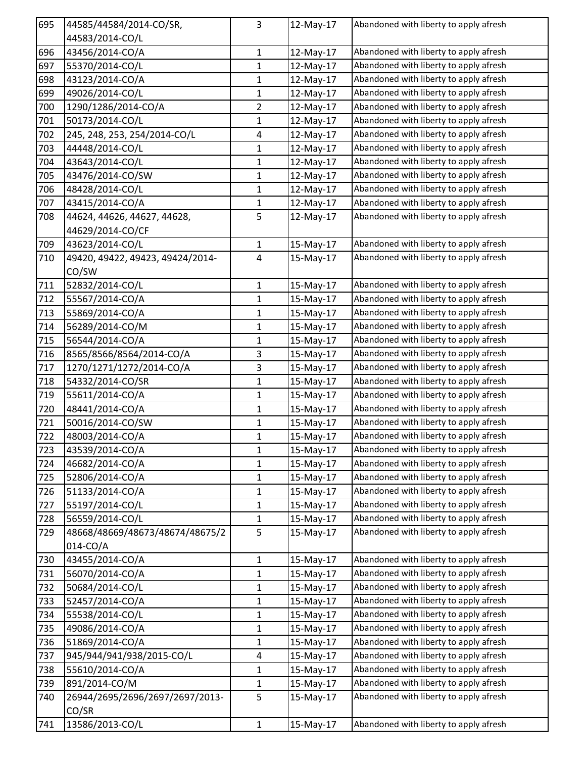| 695 | 44585/44584/2014-CO/SR,          | 3              | 12-May-17 | Abandoned with liberty to apply afresh |
|-----|----------------------------------|----------------|-----------|----------------------------------------|
|     | 44583/2014-CO/L                  |                |           |                                        |
| 696 | 43456/2014-CO/A                  | $\mathbf{1}$   | 12-May-17 | Abandoned with liberty to apply afresh |
| 697 | 55370/2014-CO/L                  | 1              | 12-May-17 | Abandoned with liberty to apply afresh |
| 698 | 43123/2014-CO/A                  | 1              | 12-May-17 | Abandoned with liberty to apply afresh |
| 699 | 49026/2014-CO/L                  | $\mathbf{1}$   | 12-May-17 | Abandoned with liberty to apply afresh |
| 700 | 1290/1286/2014-CO/A              | $\overline{2}$ | 12-May-17 | Abandoned with liberty to apply afresh |
| 701 | 50173/2014-CO/L                  | $\mathbf{1}$   | 12-May-17 | Abandoned with liberty to apply afresh |
| 702 | 245, 248, 253, 254/2014-CO/L     | 4              | 12-May-17 | Abandoned with liberty to apply afresh |
| 703 | 44448/2014-CO/L                  | $\mathbf{1}$   | 12-May-17 | Abandoned with liberty to apply afresh |
| 704 | 43643/2014-CO/L                  | $\mathbf 1$    | 12-May-17 | Abandoned with liberty to apply afresh |
| 705 | 43476/2014-CO/SW                 | $\mathbf{1}$   | 12-May-17 | Abandoned with liberty to apply afresh |
| 706 | 48428/2014-CO/L                  | 1              | 12-May-17 | Abandoned with liberty to apply afresh |
| 707 | 43415/2014-CO/A                  | 1              | 12-May-17 | Abandoned with liberty to apply afresh |
| 708 | 44624, 44626, 44627, 44628,      | 5              | 12-May-17 | Abandoned with liberty to apply afresh |
|     | 44629/2014-CO/CF                 |                |           |                                        |
| 709 | 43623/2014-CO/L                  | $\mathbf{1}$   | 15-May-17 | Abandoned with liberty to apply afresh |
| 710 | 49420, 49422, 49423, 49424/2014- | 4              | 15-May-17 | Abandoned with liberty to apply afresh |
|     | CO/SW                            |                |           |                                        |
| 711 | 52832/2014-CO/L                  | 1              | 15-May-17 | Abandoned with liberty to apply afresh |
| 712 | 55567/2014-CO/A                  | $\mathbf{1}$   | 15-May-17 | Abandoned with liberty to apply afresh |
| 713 | 55869/2014-CO/A                  | 1              | 15-May-17 | Abandoned with liberty to apply afresh |
| 714 | 56289/2014-CO/M                  | 1              | 15-May-17 | Abandoned with liberty to apply afresh |
| 715 | 56544/2014-CO/A                  | $\mathbf{1}$   | 15-May-17 | Abandoned with liberty to apply afresh |
| 716 | 8565/8566/8564/2014-CO/A         | 3              | 15-May-17 | Abandoned with liberty to apply afresh |
| 717 | 1270/1271/1272/2014-CO/A         | 3              | 15-May-17 | Abandoned with liberty to apply afresh |
| 718 | 54332/2014-CO/SR                 | 1              | 15-May-17 | Abandoned with liberty to apply afresh |
| 719 | 55611/2014-CO/A                  | $\mathbf{1}$   | 15-May-17 | Abandoned with liberty to apply afresh |
| 720 | 48441/2014-CO/A                  | $\mathbf{1}$   | 15-May-17 | Abandoned with liberty to apply afresh |
| 721 | 50016/2014-CO/SW                 | $\mathbf{1}$   | 15-May-17 | Abandoned with liberty to apply afresh |
| 722 | 48003/2014-CO/A                  | $\mathbf{1}$   | 15-May-17 | Abandoned with liberty to apply afresh |
| 723 | 43539/2014-CO/A                  | 1              | 15-May-17 | Abandoned with liberty to apply afresh |
| 724 | 46682/2014-CO/A                  | $\mathbf{1}$   | 15-May-17 | Abandoned with liberty to apply afresh |
| 725 | 52806/2014-CO/A                  | $\mathbf 1$    | 15-May-17 | Abandoned with liberty to apply afresh |
| 726 | 51133/2014-CO/A                  | $\mathbf{1}$   | 15-May-17 | Abandoned with liberty to apply afresh |
| 727 | 55197/2014-CO/L                  | $\mathbf{1}$   | 15-May-17 | Abandoned with liberty to apply afresh |
| 728 | 56559/2014-CO/L                  | $\mathbf{1}$   | 15-May-17 | Abandoned with liberty to apply afresh |
| 729 | 48668/48669/48673/48674/48675/2  | 5              | 15-May-17 | Abandoned with liberty to apply afresh |
|     | 014-CO/A                         |                |           |                                        |
| 730 | 43455/2014-CO/A                  | $\mathbf{1}$   | 15-May-17 | Abandoned with liberty to apply afresh |
| 731 | 56070/2014-CO/A                  | 1              | 15-May-17 | Abandoned with liberty to apply afresh |
| 732 | 50684/2014-CO/L                  | $\mathbf 1$    | 15-May-17 | Abandoned with liberty to apply afresh |
| 733 | 52457/2014-CO/A                  | $\mathbf{1}$   | 15-May-17 | Abandoned with liberty to apply afresh |
| 734 | 55538/2014-CO/L                  | $\mathbf 1$    | 15-May-17 | Abandoned with liberty to apply afresh |
| 735 | 49086/2014-CO/A                  | $\mathbf{1}$   | 15-May-17 | Abandoned with liberty to apply afresh |
| 736 | 51869/2014-CO/A                  | $\mathbf{1}$   | 15-May-17 | Abandoned with liberty to apply afresh |
| 737 | 945/944/941/938/2015-CO/L        | 4              | 15-May-17 | Abandoned with liberty to apply afresh |
| 738 | 55610/2014-CO/A                  | 1              | 15-May-17 | Abandoned with liberty to apply afresh |
| 739 | 891/2014-CO/M                    | $\mathbf{1}$   | 15-May-17 | Abandoned with liberty to apply afresh |
| 740 | 26944/2695/2696/2697/2697/2013-  | 5              | 15-May-17 | Abandoned with liberty to apply afresh |
|     | CO/SR                            |                |           |                                        |
| 741 | 13586/2013-CO/L                  | $\mathbf{1}$   | 15-May-17 | Abandoned with liberty to apply afresh |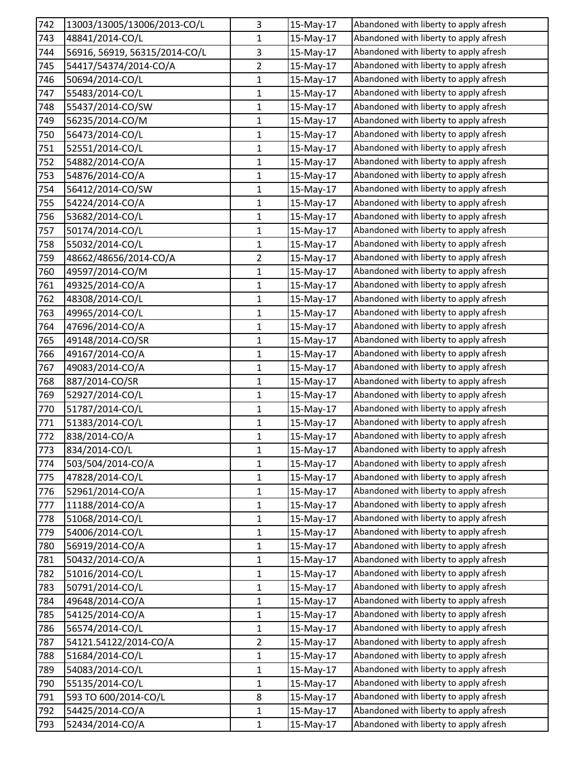| 742 | 13003/13005/13006/2013-CO/L   | 3              | 15-May-17 | Abandoned with liberty to apply afresh |
|-----|-------------------------------|----------------|-----------|----------------------------------------|
| 743 | 48841/2014-CO/L               | 1              | 15-May-17 | Abandoned with liberty to apply afresh |
| 744 | 56916, 56919, 56315/2014-CO/L | 3              | 15-May-17 | Abandoned with liberty to apply afresh |
| 745 | 54417/54374/2014-CO/A         | $\overline{2}$ | 15-May-17 | Abandoned with liberty to apply afresh |
| 746 | 50694/2014-CO/L               | $\mathbf{1}$   | 15-May-17 | Abandoned with liberty to apply afresh |
| 747 | 55483/2014-CO/L               | $\mathbf 1$    | 15-May-17 | Abandoned with liberty to apply afresh |
| 748 | 55437/2014-CO/SW              | 1              | 15-May-17 | Abandoned with liberty to apply afresh |
| 749 | 56235/2014-CO/M               | 1              | 15-May-17 | Abandoned with liberty to apply afresh |
| 750 | 56473/2014-CO/L               | 1              | 15-May-17 | Abandoned with liberty to apply afresh |
| 751 | 52551/2014-CO/L               | 1              | 15-May-17 | Abandoned with liberty to apply afresh |
| 752 | 54882/2014-CO/A               | $\mathbf 1$    | 15-May-17 | Abandoned with liberty to apply afresh |
| 753 | 54876/2014-CO/A               | 1              | 15-May-17 | Abandoned with liberty to apply afresh |
| 754 | 56412/2014-CO/SW              | 1              | 15-May-17 | Abandoned with liberty to apply afresh |
| 755 | 54224/2014-CO/A               | $\mathbf 1$    | 15-May-17 | Abandoned with liberty to apply afresh |
| 756 | 53682/2014-CO/L               | 1              | 15-May-17 | Abandoned with liberty to apply afresh |
| 757 | 50174/2014-CO/L               | $\mathbf 1$    | 15-May-17 | Abandoned with liberty to apply afresh |
| 758 | 55032/2014-CO/L               | 1              | 15-May-17 | Abandoned with liberty to apply afresh |
| 759 | 48662/48656/2014-CO/A         | 2              | 15-May-17 | Abandoned with liberty to apply afresh |
| 760 | 49597/2014-CO/M               | $\mathbf 1$    | 15-May-17 | Abandoned with liberty to apply afresh |
| 761 | 49325/2014-CO/A               | 1              | 15-May-17 | Abandoned with liberty to apply afresh |
| 762 | 48308/2014-CO/L               | $\mathbf{1}$   | 15-May-17 | Abandoned with liberty to apply afresh |
| 763 | 49965/2014-CO/L               | 1              | 15-May-17 | Abandoned with liberty to apply afresh |
| 764 | 47696/2014-CO/A               | $\mathbf{1}$   | 15-May-17 | Abandoned with liberty to apply afresh |
| 765 | 49148/2014-CO/SR              | 1              | 15-May-17 | Abandoned with liberty to apply afresh |
| 766 | 49167/2014-CO/A               | $\mathbf{1}$   | 15-May-17 | Abandoned with liberty to apply afresh |
| 767 | 49083/2014-CO/A               | $\mathbf{1}$   | 15-May-17 | Abandoned with liberty to apply afresh |
| 768 | 887/2014-CO/SR                | 1              | 15-May-17 | Abandoned with liberty to apply afresh |
| 769 | 52927/2014-CO/L               | 1              | 15-May-17 | Abandoned with liberty to apply afresh |
| 770 | 51787/2014-CO/L               | $\mathbf 1$    | 15-May-17 | Abandoned with liberty to apply afresh |
| 771 | 51383/2014-CO/L               | $\mathbf{1}$   | 15-May-17 | Abandoned with liberty to apply afresh |
| 772 | 838/2014-CO/A                 | 1              | 15-May-17 | Abandoned with liberty to apply afresh |
| 773 | 834/2014-CO/L                 | 1              | 15-May-17 | Abandoned with liberty to apply afresh |
| 774 | 503/504/2014-CO/A             | 1              | 15-May-17 | Abandoned with liberty to apply afresh |
| 775 | 47828/2014-CO/L               | $\mathbf 1$    | 15-May-17 | Abandoned with liberty to apply afresh |
| 776 | 52961/2014-CO/A               | 1              | 15-May-17 | Abandoned with liberty to apply afresh |
| 777 | 11188/2014-CO/A               | 1              | 15-May-17 | Abandoned with liberty to apply afresh |
| 778 | 51068/2014-CO/L               | 1              | 15-May-17 | Abandoned with liberty to apply afresh |
| 779 | 54006/2014-CO/L               | 1              | 15-May-17 | Abandoned with liberty to apply afresh |
| 780 | 56919/2014-CO/A               | $\mathbf{1}$   | 15-May-17 | Abandoned with liberty to apply afresh |
| 781 | 50432/2014-CO/A               | 1              | 15-May-17 | Abandoned with liberty to apply afresh |
| 782 | 51016/2014-CO/L               | $\mathbf{1}$   | 15-May-17 | Abandoned with liberty to apply afresh |
| 783 | 50791/2014-CO/L               | 1              | 15-May-17 | Abandoned with liberty to apply afresh |
| 784 | 49648/2014-CO/A               | $\mathbf{1}$   | 15-May-17 | Abandoned with liberty to apply afresh |
| 785 | 54125/2014-CO/A               | 1              | 15-May-17 | Abandoned with liberty to apply afresh |
| 786 | 56574/2014-CO/L               | 1              | 15-May-17 | Abandoned with liberty to apply afresh |
| 787 | 54121.54122/2014-CO/A         | $\overline{2}$ | 15-May-17 | Abandoned with liberty to apply afresh |
| 788 | 51684/2014-CO/L               | 1              | 15-May-17 | Abandoned with liberty to apply afresh |
| 789 | 54083/2014-CO/L               | $\mathbf 1$    | 15-May-17 | Abandoned with liberty to apply afresh |
| 790 | 55135/2014-CO/L               | 1              | 15-May-17 | Abandoned with liberty to apply afresh |
| 791 | 593 TO 600/2014-CO/L          | 8              | 15-May-17 | Abandoned with liberty to apply afresh |
| 792 | 54425/2014-CO/A               | 1              | 15-May-17 | Abandoned with liberty to apply afresh |
| 793 | 52434/2014-CO/A               | 1              | 15-May-17 | Abandoned with liberty to apply afresh |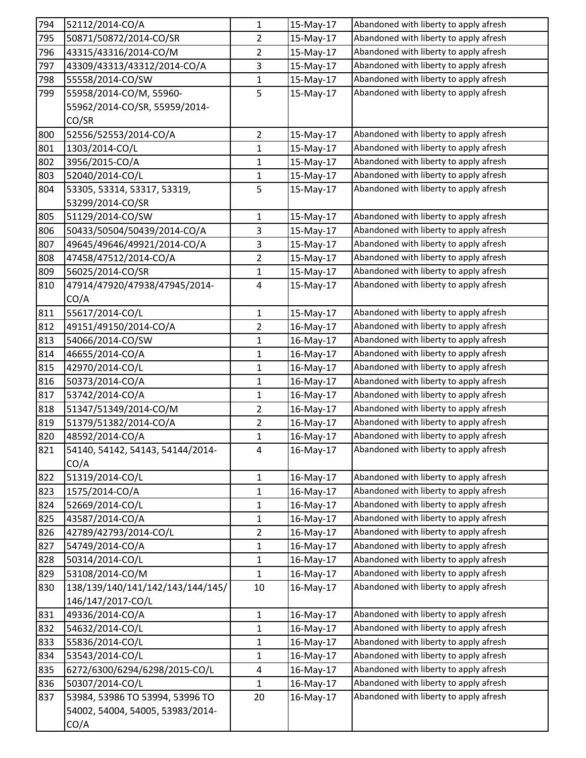| 794        | 52112/2014-CO/A                                     | $\mathbf 1$       | 15-May-17              | Abandoned with liberty to apply afresh                                           |
|------------|-----------------------------------------------------|-------------------|------------------------|----------------------------------------------------------------------------------|
| 795        | 50871/50872/2014-CO/SR                              | $\overline{2}$    | 15-May-17              | Abandoned with liberty to apply afresh                                           |
| 796        | 43315/43316/2014-CO/M                               | $\overline{2}$    | 15-May-17              | Abandoned with liberty to apply afresh                                           |
| 797        | 43309/43313/43312/2014-CO/A                         | 3                 | 15-May-17              | Abandoned with liberty to apply afresh                                           |
| 798        | 55558/2014-CO/SW                                    | 1                 | 15-May-17              | Abandoned with liberty to apply afresh                                           |
| 799        | 55958/2014-CO/M, 55960-                             | 5                 | 15-May-17              | Abandoned with liberty to apply afresh                                           |
|            | 55962/2014-CO/SR, 55959/2014-                       |                   |                        |                                                                                  |
|            | CO/SR                                               |                   |                        |                                                                                  |
| 800        | 52556/52553/2014-CO/A                               | $\overline{2}$    | 15-May-17              | Abandoned with liberty to apply afresh                                           |
| 801        | 1303/2014-CO/L                                      | $\mathbf{1}$      | 15-May-17              | Abandoned with liberty to apply afresh                                           |
| 802        | 3956/2015-CO/A                                      | $\mathbf{1}$      | 15-May-17              | Abandoned with liberty to apply afresh                                           |
| 803        | 52040/2014-CO/L                                     | $\mathbf{1}$      | 15-May-17              | Abandoned with liberty to apply afresh                                           |
| 804        | 53305, 53314, 53317, 53319,                         | 5                 | 15-May-17              | Abandoned with liberty to apply afresh                                           |
|            | 53299/2014-CO/SR                                    |                   |                        |                                                                                  |
| 805        | 51129/2014-CO/SW                                    | $\mathbf{1}$      | 15-May-17              | Abandoned with liberty to apply afresh                                           |
| 806        | 50433/50504/50439/2014-CO/A                         | 3                 | 15-May-17              | Abandoned with liberty to apply afresh                                           |
| 807        | 49645/49646/49921/2014-CO/A                         | 3                 | 15-May-17              | Abandoned with liberty to apply afresh                                           |
| 808        | 47458/47512/2014-CO/A                               | $\overline{2}$    | 15-May-17              | Abandoned with liberty to apply afresh                                           |
| 809        | 56025/2014-CO/SR                                    | $\mathbf 1$       | 15-May-17              | Abandoned with liberty to apply afresh                                           |
| 810        | 47914/47920/47938/47945/2014-                       | 4                 | 15-May-17              | Abandoned with liberty to apply afresh                                           |
|            | CO/A                                                |                   |                        |                                                                                  |
| 811        | 55617/2014-CO/L                                     | $\mathbf 1$       | 15-May-17              | Abandoned with liberty to apply afresh                                           |
| 812        | 49151/49150/2014-CO/A                               | $\overline{2}$    | 16-May-17              | Abandoned with liberty to apply afresh                                           |
| 813        | 54066/2014-CO/SW                                    | $\mathbf{1}$      | 16-May-17              | Abandoned with liberty to apply afresh                                           |
| 814        | 46655/2014-CO/A                                     | 1                 | 16-May-17              | Abandoned with liberty to apply afresh                                           |
| 815        | 42970/2014-CO/L                                     | $\mathbf{1}$      | 16-May-17              | Abandoned with liberty to apply afresh                                           |
| 816        | 50373/2014-CO/A                                     | $\mathbf{1}$      | 16-May-17              | Abandoned with liberty to apply afresh                                           |
| 817        | 53742/2014-CO/A                                     | $\mathbf{1}$      | 16-May-17              | Abandoned with liberty to apply afresh                                           |
| 818        | 51347/51349/2014-CO/M                               | $\overline{2}$    | 16-May-17              | Abandoned with liberty to apply afresh                                           |
| 819        | 51379/51382/2014-CO/A                               | $\overline{2}$    | 16-May-17              | Abandoned with liberty to apply afresh                                           |
| 820        | 48592/2014-CO/A                                     | $\mathbf{1}$      | 16-May-17              | Abandoned with liberty to apply afresh                                           |
| 821        | 54140, 54142, 54143, 54144/2014-                    | 4                 | 16-May-17              | Abandoned with liberty to apply afresh                                           |
|            | CO/A                                                |                   |                        |                                                                                  |
| 822        | 51319/2014-CO/L                                     | $\mathbf{1}$      | 16-May-17              | Abandoned with liberty to apply afresh                                           |
| 823        | 1575/2014-CO/A                                      | $\mathbf{1}$      | 16-May-17              | Abandoned with liberty to apply afresh<br>Abandoned with liberty to apply afresh |
| 824        | 52669/2014-CO/L                                     | $\mathbf{1}$      | 16-May-17              | Abandoned with liberty to apply afresh                                           |
| 825        | 43587/2014-CO/A                                     | $\mathbf{1}$      | 16-May-17              |                                                                                  |
| 826        | 42789/42793/2014-CO/L<br>54749/2014-CO/A            | $\overline{2}$    | 16-May-17              | Abandoned with liberty to apply afresh<br>Abandoned with liberty to apply afresh |
| 827        |                                                     | 1<br>$\mathbf{1}$ | 16-May-17              | Abandoned with liberty to apply afresh                                           |
| 828<br>829 | 50314/2014-CO/L                                     | $\mathbf{1}$      | 16-May-17              | Abandoned with liberty to apply afresh                                           |
| 830        | 53108/2014-CO/M<br>138/139/140/141/142/143/144/145/ | 10                | 16-May-17<br>16-May-17 | Abandoned with liberty to apply afresh                                           |
|            | 146/147/2017-CO/L                                   |                   |                        |                                                                                  |
| 831        | 49336/2014-CO/A                                     | $\mathbf{1}$      | 16-May-17              | Abandoned with liberty to apply afresh                                           |
| 832        | 54632/2014-CO/L                                     | $\mathbf 1$       | 16-May-17              | Abandoned with liberty to apply afresh                                           |
| 833        | 55836/2014-CO/L                                     | $\mathbf{1}$      | 16-May-17              | Abandoned with liberty to apply afresh                                           |
| 834        | 53543/2014-CO/L                                     | $\mathbf{1}$      | 16-May-17              | Abandoned with liberty to apply afresh                                           |
| 835        |                                                     |                   |                        | Abandoned with liberty to apply afresh                                           |
| 836        | 6272/6300/6294/6298/2015-CO/L<br>50307/2014-CO/L    | 4<br>$\mathbf{1}$ | 16-May-17<br>16-May-17 | Abandoned with liberty to apply afresh                                           |
| 837        | 53984, 53986 TO 53994, 53996 TO                     | 20                | 16-May-17              | Abandoned with liberty to apply afresh                                           |
|            | 54002, 54004, 54005, 53983/2014-                    |                   |                        |                                                                                  |
|            |                                                     |                   |                        |                                                                                  |
|            | CO/A                                                |                   |                        |                                                                                  |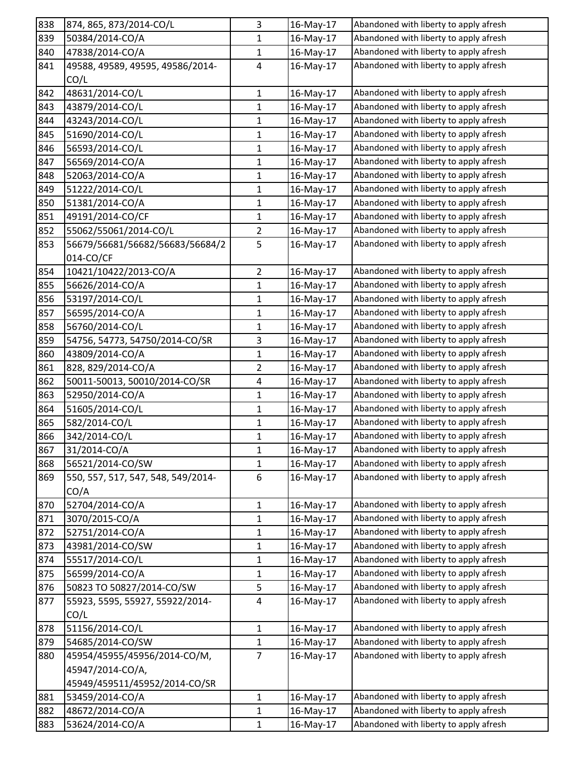| 838 | 874, 865, 873/2014-CO/L            | 3              | 16-May-17 | Abandoned with liberty to apply afresh |
|-----|------------------------------------|----------------|-----------|----------------------------------------|
| 839 | 50384/2014-CO/A                    | 1              | 16-May-17 | Abandoned with liberty to apply afresh |
| 840 | 47838/2014-CO/A                    | $\mathbf{1}$   | 16-May-17 | Abandoned with liberty to apply afresh |
| 841 | 49588, 49589, 49595, 49586/2014-   | $\overline{4}$ | 16-May-17 | Abandoned with liberty to apply afresh |
|     | CO/L                               |                |           |                                        |
| 842 | 48631/2014-CO/L                    | $\mathbf 1$    | 16-May-17 | Abandoned with liberty to apply afresh |
| 843 | 43879/2014-CO/L                    | 1              | 16-May-17 | Abandoned with liberty to apply afresh |
| 844 | 43243/2014-CO/L                    | $\mathbf{1}$   | 16-May-17 | Abandoned with liberty to apply afresh |
| 845 | 51690/2014-CO/L                    | $\mathbf{1}$   | 16-May-17 | Abandoned with liberty to apply afresh |
| 846 | 56593/2014-CO/L                    | $\mathbf{1}$   | 16-May-17 | Abandoned with liberty to apply afresh |
| 847 | 56569/2014-CO/A                    | $\mathbf{1}$   | 16-May-17 | Abandoned with liberty to apply afresh |
| 848 | 52063/2014-CO/A                    | 1              | 16-May-17 | Abandoned with liberty to apply afresh |
| 849 | 51222/2014-CO/L                    | 1              | 16-May-17 | Abandoned with liberty to apply afresh |
| 850 | 51381/2014-CO/A                    | 1              | 16-May-17 | Abandoned with liberty to apply afresh |
| 851 | 49191/2014-CO/CF                   | 1              | 16-May-17 | Abandoned with liberty to apply afresh |
| 852 | 55062/55061/2014-CO/L              | $\overline{2}$ | 16-May-17 | Abandoned with liberty to apply afresh |
| 853 | 56679/56681/56682/56683/56684/2    | 5              | 16-May-17 | Abandoned with liberty to apply afresh |
|     | 014-CO/CF                          |                |           |                                        |
| 854 | 10421/10422/2013-CO/A              | $\overline{2}$ | 16-May-17 | Abandoned with liberty to apply afresh |
| 855 | 56626/2014-CO/A                    | 1              | 16-May-17 | Abandoned with liberty to apply afresh |
| 856 | 53197/2014-CO/L                    | $\mathbf 1$    | 16-May-17 | Abandoned with liberty to apply afresh |
| 857 | 56595/2014-CO/A                    | 1              | 16-May-17 | Abandoned with liberty to apply afresh |
| 858 | 56760/2014-CO/L                    | 1              | 16-May-17 | Abandoned with liberty to apply afresh |
| 859 | 54756, 54773, 54750/2014-CO/SR     | $\mathbf{3}$   | 16-May-17 | Abandoned with liberty to apply afresh |
| 860 | 43809/2014-CO/A                    | 1              | 16-May-17 | Abandoned with liberty to apply afresh |
| 861 | 828, 829/2014-CO/A                 | $\overline{2}$ | 16-May-17 | Abandoned with liberty to apply afresh |
| 862 | 50011-50013, 50010/2014-CO/SR      | 4              | 16-May-17 | Abandoned with liberty to apply afresh |
| 863 | 52950/2014-CO/A                    | $\mathbf{1}$   | 16-May-17 | Abandoned with liberty to apply afresh |
| 864 | 51605/2014-CO/L                    | $\mathbf{1}$   | 16-May-17 | Abandoned with liberty to apply afresh |
| 865 | 582/2014-CO/L                      | $\mathbf{1}$   | 16-May-17 | Abandoned with liberty to apply afresh |
| 866 | 342/2014-CO/L                      | 1              | 16-May-17 | Abandoned with liberty to apply afresh |
| 867 | 31/2014-CO/A                       | 1              | 16-May-17 | Abandoned with liberty to apply afresh |
| 868 | 56521/2014-CO/SW                   | 1              | 16-May-17 | Abandoned with liberty to apply afresh |
| 869 | 550, 557, 517, 547, 548, 549/2014- | $\,6\,$        | 16-May-17 | Abandoned with liberty to apply afresh |
|     | CO/A                               |                |           |                                        |
| 870 | 52704/2014-CO/A                    | $\mathbf{1}$   | 16-May-17 | Abandoned with liberty to apply afresh |
| 871 | 3070/2015-CO/A                     | $\mathbf{1}$   | 16-May-17 | Abandoned with liberty to apply afresh |
| 872 | 52751/2014-CO/A                    | 1              | 16-May-17 | Abandoned with liberty to apply afresh |
| 873 | 43981/2014-CO/SW                   | $\mathbf{1}$   | 16-May-17 | Abandoned with liberty to apply afresh |
| 874 | 55517/2014-CO/L                    | $\mathbf{1}$   | 16-May-17 | Abandoned with liberty to apply afresh |
| 875 | 56599/2014-CO/A                    | $\mathbf{1}$   | 16-May-17 | Abandoned with liberty to apply afresh |
| 876 | 50823 TO 50827/2014-CO/SW          | $\overline{5}$ | 16-May-17 | Abandoned with liberty to apply afresh |
| 877 | 55923, 5595, 55927, 55922/2014-    | $\overline{a}$ | 16-May-17 | Abandoned with liberty to apply afresh |
|     | CO/L                               |                |           |                                        |
| 878 | 51156/2014-CO/L                    | $\mathbf{1}$   | 16-May-17 | Abandoned with liberty to apply afresh |
| 879 | 54685/2014-CO/SW                   | 1              | 16-May-17 | Abandoned with liberty to apply afresh |
| 880 | 45954/45955/45956/2014-CO/M,       | $\overline{7}$ | 16-May-17 | Abandoned with liberty to apply afresh |
|     | 45947/2014-CO/A,                   |                |           |                                        |
|     | 45949/459511/45952/2014-CO/SR      |                |           |                                        |
| 881 | 53459/2014-CO/A                    | $\mathbf{1}$   | 16-May-17 | Abandoned with liberty to apply afresh |
| 882 | 48672/2014-CO/A                    | $\mathbf{1}$   | 16-May-17 | Abandoned with liberty to apply afresh |
| 883 | 53624/2014-CO/A                    | $\mathbf{1}$   | 16-May-17 | Abandoned with liberty to apply afresh |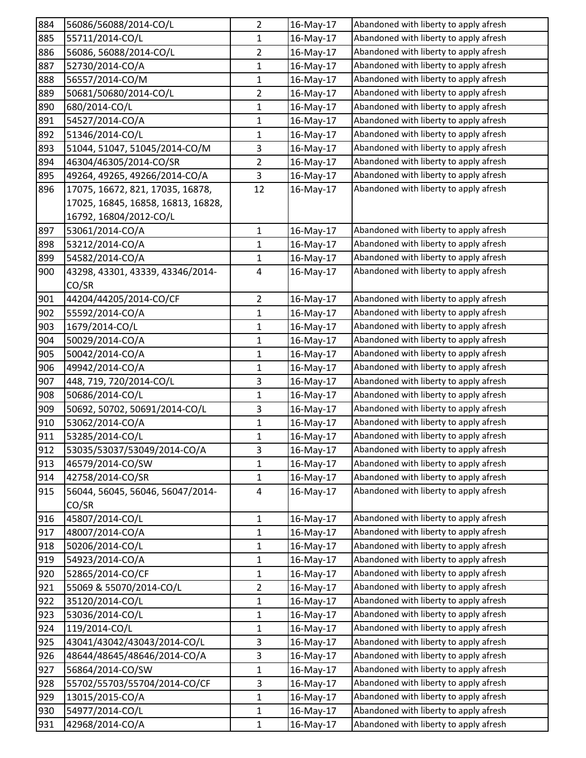| 884 | 56086/56088/2014-CO/L              | 2              | 16-May-17 | Abandoned with liberty to apply afresh |
|-----|------------------------------------|----------------|-----------|----------------------------------------|
| 885 | 55711/2014-CO/L                    | 1              | 16-May-17 | Abandoned with liberty to apply afresh |
| 886 | 56086, 56088/2014-CO/L             | $\overline{2}$ | 16-May-17 | Abandoned with liberty to apply afresh |
| 887 | 52730/2014-CO/A                    | 1              | 16-May-17 | Abandoned with liberty to apply afresh |
| 888 | 56557/2014-CO/M                    | 1              | 16-May-17 | Abandoned with liberty to apply afresh |
| 889 | 50681/50680/2014-CO/L              | 2              | 16-May-17 | Abandoned with liberty to apply afresh |
| 890 | 680/2014-CO/L                      | 1              | 16-May-17 | Abandoned with liberty to apply afresh |
| 891 | 54527/2014-CO/A                    | $\mathbf{1}$   | 16-May-17 | Abandoned with liberty to apply afresh |
| 892 | 51346/2014-CO/L                    | 1              | 16-May-17 | Abandoned with liberty to apply afresh |
| 893 | 51044, 51047, 51045/2014-CO/M      | 3              | 16-May-17 | Abandoned with liberty to apply afresh |
| 894 | 46304/46305/2014-CO/SR             | $\overline{2}$ | 16-May-17 | Abandoned with liberty to apply afresh |
| 895 | 49264, 49265, 49266/2014-CO/A      | 3              | 16-May-17 | Abandoned with liberty to apply afresh |
| 896 | 17075, 16672, 821, 17035, 16878,   | 12             | 16-May-17 | Abandoned with liberty to apply afresh |
|     | 17025, 16845, 16858, 16813, 16828, |                |           |                                        |
|     | 16792, 16804/2012-CO/L             |                |           |                                        |
| 897 | 53061/2014-CO/A                    | $\mathbf{1}$   | 16-May-17 | Abandoned with liberty to apply afresh |
| 898 | 53212/2014-CO/A                    | 1              | 16-May-17 | Abandoned with liberty to apply afresh |
| 899 | 54582/2014-CO/A                    | 1              | 16-May-17 | Abandoned with liberty to apply afresh |
| 900 | 43298, 43301, 43339, 43346/2014-   | 4              | 16-May-17 | Abandoned with liberty to apply afresh |
|     | CO/SR                              |                |           |                                        |
| 901 | 44204/44205/2014-CO/CF             | $\overline{2}$ | 16-May-17 | Abandoned with liberty to apply afresh |
| 902 | 55592/2014-CO/A                    | 1              | 16-May-17 | Abandoned with liberty to apply afresh |
| 903 | 1679/2014-CO/L                     | 1              | 16-May-17 | Abandoned with liberty to apply afresh |
| 904 | 50029/2014-CO/A                    | 1              | 16-May-17 | Abandoned with liberty to apply afresh |
| 905 | 50042/2014-CO/A                    | 1              | 16-May-17 | Abandoned with liberty to apply afresh |
| 906 | 49942/2014-CO/A                    | $\mathbf{1}$   | 16-May-17 | Abandoned with liberty to apply afresh |
| 907 | 448, 719, 720/2014-CO/L            | 3              | 16-May-17 | Abandoned with liberty to apply afresh |
| 908 | 50686/2014-CO/L                    | $\mathbf{1}$   | 16-May-17 | Abandoned with liberty to apply afresh |
| 909 | 50692, 50702, 50691/2014-CO/L      | 3              | 16-May-17 | Abandoned with liberty to apply afresh |
| 910 | 53062/2014-CO/A                    | $\mathbf{1}$   | 16-May-17 | Abandoned with liberty to apply afresh |
| 911 | 53285/2014-CO/L                    | 1              | 16-May-17 | Abandoned with liberty to apply afresh |
| 912 | 53035/53037/53049/2014-CO/A        | 3              | 16-May-17 | Abandoned with liberty to apply afresh |
| 913 | 46579/2014-CO/SW                   | $\mathbf{1}$   | 16-May-17 | Abandoned with liberty to apply afresh |
| 914 | 42758/2014-CO/SR                   | $\mathbf 1$    | 16-May-17 | Abandoned with liberty to apply afresh |
| 915 | 56044, 56045, 56046, 56047/2014-   | 4              | 16-May-17 | Abandoned with liberty to apply afresh |
|     | CO/SR                              |                |           |                                        |
| 916 | 45807/2014-CO/L                    | $\mathbf 1$    | 16-May-17 | Abandoned with liberty to apply afresh |
| 917 | 48007/2014-CO/A                    | 1              | 16-May-17 | Abandoned with liberty to apply afresh |
| 918 | 50206/2014-CO/L                    | $\mathbf 1$    | 16-May-17 | Abandoned with liberty to apply afresh |
| 919 | 54923/2014-CO/A                    | 1              | 16-May-17 | Abandoned with liberty to apply afresh |
| 920 | 52865/2014-CO/CF                   | 1              | 16-May-17 | Abandoned with liberty to apply afresh |
| 921 | 55069 & 55070/2014-CO/L            | $\overline{2}$ | 16-May-17 | Abandoned with liberty to apply afresh |
| 922 | 35120/2014-CO/L                    | 1              | 16-May-17 | Abandoned with liberty to apply afresh |
| 923 | 53036/2014-CO/L                    | $\mathbf 1$    | 16-May-17 | Abandoned with liberty to apply afresh |
| 924 | 119/2014-CO/L                      | 1              | 16-May-17 | Abandoned with liberty to apply afresh |
| 925 | 43041/43042/43043/2014-CO/L        | 3              | 16-May-17 | Abandoned with liberty to apply afresh |
| 926 | 48644/48645/48646/2014-CO/A        | 3              | 16-May-17 | Abandoned with liberty to apply afresh |
| 927 | 56864/2014-CO/SW                   | 1              | 16-May-17 | Abandoned with liberty to apply afresh |
| 928 | 55702/55703/55704/2014-CO/CF       | 3              | 16-May-17 | Abandoned with liberty to apply afresh |
| 929 | 13015/2015-CO/A                    | 1              | 16-May-17 | Abandoned with liberty to apply afresh |
| 930 | 54977/2014-CO/L                    | 1              | 16-May-17 | Abandoned with liberty to apply afresh |
| 931 | 42968/2014-CO/A                    | 1              | 16-May-17 | Abandoned with liberty to apply afresh |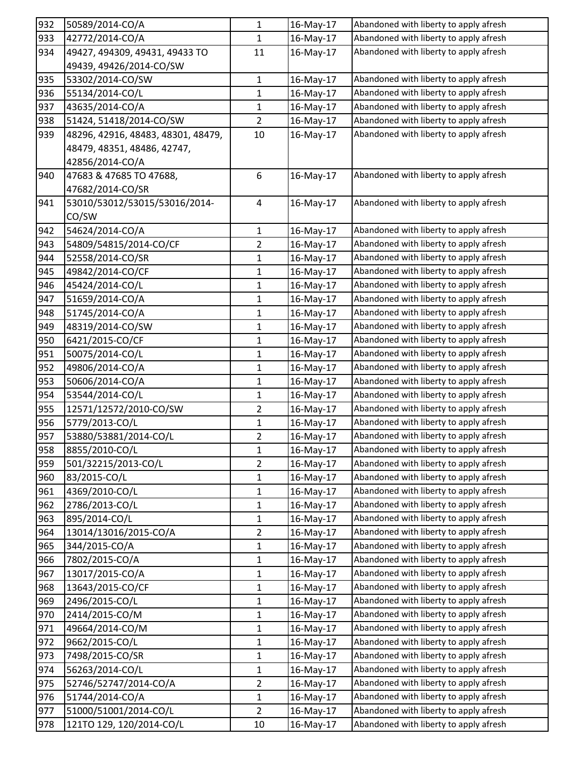| 932 | 50589/2014-CO/A                    | 1              | 16-May-17 | Abandoned with liberty to apply afresh |
|-----|------------------------------------|----------------|-----------|----------------------------------------|
| 933 | 42772/2014-CO/A                    | $\mathbf{1}$   | 16-May-17 | Abandoned with liberty to apply afresh |
| 934 | 49427, 494309, 49431, 49433 TO     | 11             | 16-May-17 | Abandoned with liberty to apply afresh |
|     | 49439, 49426/2014-CO/SW            |                |           |                                        |
| 935 | 53302/2014-CO/SW                   | $\mathbf{1}$   | 16-May-17 | Abandoned with liberty to apply afresh |
| 936 | 55134/2014-CO/L                    | $\mathbf{1}$   | 16-May-17 | Abandoned with liberty to apply afresh |
| 937 | 43635/2014-CO/A                    | 1              | 16-May-17 | Abandoned with liberty to apply afresh |
| 938 | 51424, 51418/2014-CO/SW            | $\overline{2}$ | 16-May-17 | Abandoned with liberty to apply afresh |
| 939 | 48296, 42916, 48483, 48301, 48479, | 10             | 16-May-17 | Abandoned with liberty to apply afresh |
|     | 48479, 48351, 48486, 42747,        |                |           |                                        |
|     | 42856/2014-CO/A                    |                |           |                                        |
| 940 | 47683 & 47685 TO 47688,            | 6              | 16-May-17 | Abandoned with liberty to apply afresh |
|     | 47682/2014-CO/SR                   |                |           |                                        |
| 941 | 53010/53012/53015/53016/2014-      | $\overline{a}$ | 16-May-17 | Abandoned with liberty to apply afresh |
|     | CO/SW                              |                |           |                                        |
| 942 | 54624/2014-CO/A                    | $\mathbf{1}$   | 16-May-17 | Abandoned with liberty to apply afresh |
| 943 | 54809/54815/2014-CO/CF             | $\overline{2}$ | 16-May-17 | Abandoned with liberty to apply afresh |
| 944 | 52558/2014-CO/SR                   | 1              | 16-May-17 | Abandoned with liberty to apply afresh |
| 945 | 49842/2014-CO/CF                   | $\mathbf{1}$   | 16-May-17 | Abandoned with liberty to apply afresh |
| 946 | 45424/2014-CO/L                    | 1              | 16-May-17 | Abandoned with liberty to apply afresh |
| 947 | 51659/2014-CO/A                    | 1              | 16-May-17 | Abandoned with liberty to apply afresh |
| 948 | 51745/2014-CO/A                    | 1              | 16-May-17 | Abandoned with liberty to apply afresh |
| 949 | 48319/2014-CO/SW                   | 1              | 16-May-17 | Abandoned with liberty to apply afresh |
| 950 | 6421/2015-CO/CF                    | $\mathbf{1}$   | 16-May-17 | Abandoned with liberty to apply afresh |
| 951 | 50075/2014-CO/L                    | 1              | 16-May-17 | Abandoned with liberty to apply afresh |
| 952 | 49806/2014-CO/A                    | 1              | 16-May-17 | Abandoned with liberty to apply afresh |
| 953 | 50606/2014-CO/A                    | $\mathbf{1}$   | 16-May-17 | Abandoned with liberty to apply afresh |
| 954 | 53544/2014-CO/L                    | 1              | 16-May-17 | Abandoned with liberty to apply afresh |
| 955 | 12571/12572/2010-CO/SW             | $\overline{2}$ | 16-May-17 | Abandoned with liberty to apply afresh |
| 956 | 5779/2013-CO/L                     | 1              | 16-May-17 | Abandoned with liberty to apply afresh |
| 957 | 53880/53881/2014-CO/L              | 2              | 16-May-17 | Abandoned with liberty to apply afresh |
| 958 | 8855/2010-CO/L                     | 1              | 16-May-17 | Abandoned with liberty to apply afresh |
| 959 | 501/32215/2013-CO/L                | $\overline{2}$ | 16-May-17 | Abandoned with liberty to apply afresh |
| 960 | 83/2015-CO/L                       | $\mathbf{1}$   | 16-May-17 | Abandoned with liberty to apply afresh |
| 961 | 4369/2010-CO/L                     | $\mathbf{1}$   | 16-May-17 | Abandoned with liberty to apply afresh |
| 962 | 2786/2013-CO/L                     | $\mathbf{1}$   | 16-May-17 | Abandoned with liberty to apply afresh |
| 963 | 895/2014-CO/L                      | $\mathbf{1}$   | 16-May-17 | Abandoned with liberty to apply afresh |
| 964 | 13014/13016/2015-CO/A              | $\overline{2}$ | 16-May-17 | Abandoned with liberty to apply afresh |
| 965 | 344/2015-CO/A                      | $\mathbf 1$    | 16-May-17 | Abandoned with liberty to apply afresh |
| 966 | 7802/2015-CO/A                     | $\mathbf{1}$   | 16-May-17 | Abandoned with liberty to apply afresh |
| 967 | 13017/2015-CO/A                    | $\mathbf{1}$   | 16-May-17 | Abandoned with liberty to apply afresh |
| 968 | 13643/2015-CO/CF                   | $\mathbf{1}$   | 16-May-17 | Abandoned with liberty to apply afresh |
| 969 | 2496/2015-CO/L                     | $\mathbf{1}$   | 16-May-17 | Abandoned with liberty to apply afresh |
| 970 | 2414/2015-CO/M                     | $\mathbf{1}$   | 16-May-17 | Abandoned with liberty to apply afresh |
| 971 | 49664/2014-CO/M                    | $\mathbf{1}$   | 16-May-17 | Abandoned with liberty to apply afresh |
| 972 | 9662/2015-CO/L                     | $\mathbf{1}$   | 16-May-17 | Abandoned with liberty to apply afresh |
| 973 | 7498/2015-CO/SR                    | $\mathbf{1}$   | 16-May-17 | Abandoned with liberty to apply afresh |
| 974 | 56263/2014-CO/L                    | $\mathbf{1}$   | 16-May-17 | Abandoned with liberty to apply afresh |
| 975 | 52746/52747/2014-CO/A              | $\overline{2}$ | 16-May-17 | Abandoned with liberty to apply afresh |
| 976 | 51744/2014-CO/A                    | $\mathbf 1$    | 16-May-17 | Abandoned with liberty to apply afresh |
| 977 | 51000/51001/2014-CO/L              | $\overline{2}$ | 16-May-17 | Abandoned with liberty to apply afresh |
| 978 | 121TO 129, 120/2014-CO/L           | 10             | 16-May-17 | Abandoned with liberty to apply afresh |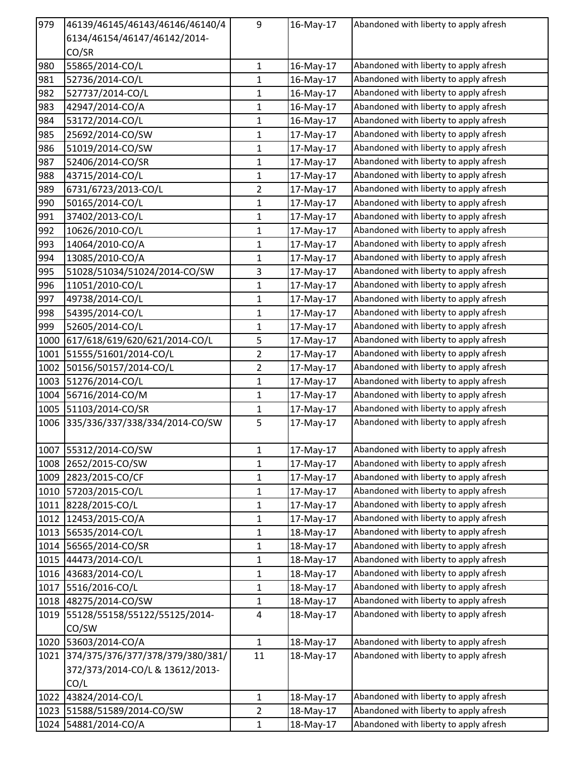| 979  | 46139/46145/46143/46146/46140/4  | 9                       | 16-May-17 | Abandoned with liberty to apply afresh |
|------|----------------------------------|-------------------------|-----------|----------------------------------------|
|      | 6134/46154/46147/46142/2014-     |                         |           |                                        |
|      | CO/SR                            |                         |           |                                        |
| 980  | 55865/2014-CO/L                  | $\mathbf{1}$            | 16-May-17 | Abandoned with liberty to apply afresh |
| 981  | 52736/2014-CO/L                  | $\mathbf{1}$            | 16-May-17 | Abandoned with liberty to apply afresh |
| 982  | 527737/2014-CO/L                 | 1                       | 16-May-17 | Abandoned with liberty to apply afresh |
| 983  | 42947/2014-CO/A                  | 1                       | 16-May-17 | Abandoned with liberty to apply afresh |
| 984  | 53172/2014-CO/L                  | 1                       | 16-May-17 | Abandoned with liberty to apply afresh |
| 985  | 25692/2014-CO/SW                 | 1                       | 17-May-17 | Abandoned with liberty to apply afresh |
| 986  | 51019/2014-CO/SW                 | 1                       | 17-May-17 | Abandoned with liberty to apply afresh |
| 987  | 52406/2014-CO/SR                 | $\mathbf{1}$            | 17-May-17 | Abandoned with liberty to apply afresh |
| 988  | 43715/2014-CO/L                  | 1                       | 17-May-17 | Abandoned with liberty to apply afresh |
| 989  | 6731/6723/2013-CO/L              | $\overline{2}$          | 17-May-17 | Abandoned with liberty to apply afresh |
| 990  | 50165/2014-CO/L                  | 1                       | 17-May-17 | Abandoned with liberty to apply afresh |
| 991  | 37402/2013-CO/L                  | 1                       | 17-May-17 | Abandoned with liberty to apply afresh |
| 992  | 10626/2010-CO/L                  | 1                       | 17-May-17 | Abandoned with liberty to apply afresh |
| 993  | 14064/2010-CO/A                  | 1                       | 17-May-17 | Abandoned with liberty to apply afresh |
| 994  | 13085/2010-CO/A                  | 1                       | 17-May-17 | Abandoned with liberty to apply afresh |
| 995  | 51028/51034/51024/2014-CO/SW     | 3                       | 17-May-17 | Abandoned with liberty to apply afresh |
| 996  | 11051/2010-CO/L                  | $\mathbf{1}$            | 17-May-17 | Abandoned with liberty to apply afresh |
| 997  | 49738/2014-CO/L                  | 1                       | 17-May-17 | Abandoned with liberty to apply afresh |
| 998  | 54395/2014-CO/L                  | 1                       | 17-May-17 | Abandoned with liberty to apply afresh |
| 999  | 52605/2014-CO/L                  | 1                       | 17-May-17 | Abandoned with liberty to apply afresh |
| 1000 | 617/618/619/620/621/2014-CO/L    | 5                       | 17-May-17 | Abandoned with liberty to apply afresh |
| 1001 | 51555/51601/2014-CO/L            | $\overline{2}$          | 17-May-17 | Abandoned with liberty to apply afresh |
| 1002 | 50156/50157/2014-CO/L            | $\overline{2}$          | 17-May-17 | Abandoned with liberty to apply afresh |
| 1003 | 51276/2014-CO/L                  | 1                       | 17-May-17 | Abandoned with liberty to apply afresh |
| 1004 | 56716/2014-CO/M                  | 1                       | 17-May-17 | Abandoned with liberty to apply afresh |
| 1005 | 51103/2014-CO/SR                 | $\mathbf{1}$            | 17-May-17 | Abandoned with liberty to apply afresh |
| 1006 | 335/336/337/338/334/2014-CO/SW   | 5                       | 17-May-17 | Abandoned with liberty to apply afresh |
|      | 1007 55312/2014-CO/SW            | 1                       | 17-May-17 | Abandoned with liberty to apply afresh |
| 1008 | 2652/2015-CO/SW                  | 1                       | 17-May-17 | Abandoned with liberty to apply afresh |
|      | 1009 2823/2015-CO/CF             | $\mathbf 1$             | 17-May-17 | Abandoned with liberty to apply afresh |
| 1010 | 57203/2015-CO/L                  | 1                       | 17-May-17 | Abandoned with liberty to apply afresh |
| 1011 | 8228/2015-CO/L                   | $\mathbf 1$             | 17-May-17 | Abandoned with liberty to apply afresh |
|      | 1012 12453/2015-CO/A             | $\mathbf{1}$            | 17-May-17 | Abandoned with liberty to apply afresh |
| 1013 | 56535/2014-CO/L                  | 1                       | 18-May-17 | Abandoned with liberty to apply afresh |
| 1014 | 56565/2014-CO/SR                 | $\mathbf{1}$            | 18-May-17 | Abandoned with liberty to apply afresh |
| 1015 | 44473/2014-CO/L                  | 1                       | 18-May-17 | Abandoned with liberty to apply afresh |
| 1016 | 43683/2014-CO/L                  | $\mathbf{1}$            | 18-May-17 | Abandoned with liberty to apply afresh |
| 1017 | 5516/2016-CO/L                   | $\mathbf{1}$            | 18-May-17 | Abandoned with liberty to apply afresh |
| 1018 | 48275/2014-CO/SW                 | $\mathbf{1}$            | 18-May-17 | Abandoned with liberty to apply afresh |
| 1019 | 55128/55158/55122/55125/2014-    | $\overline{\mathbf{4}}$ | 18-May-17 | Abandoned with liberty to apply afresh |
|      | CO/SW                            |                         |           |                                        |
| 1020 | 53603/2014-CO/A                  | $\mathbf{1}$            | 18-May-17 | Abandoned with liberty to apply afresh |
| 1021 | 374/375/376/377/378/379/380/381/ | 11                      | 18-May-17 | Abandoned with liberty to apply afresh |
|      | 372/373/2014-CO/L & 13612/2013-  |                         |           |                                        |
|      | CO/L                             |                         |           |                                        |
| 1022 | 43824/2014-CO/L                  | $\mathbf{1}$            | 18-May-17 | Abandoned with liberty to apply afresh |
| 1023 | 51588/51589/2014-CO/SW           | $\overline{2}$          | 18-May-17 | Abandoned with liberty to apply afresh |
| 1024 | 54881/2014-CO/A                  | $\mathbf{1}$            | 18-May-17 | Abandoned with liberty to apply afresh |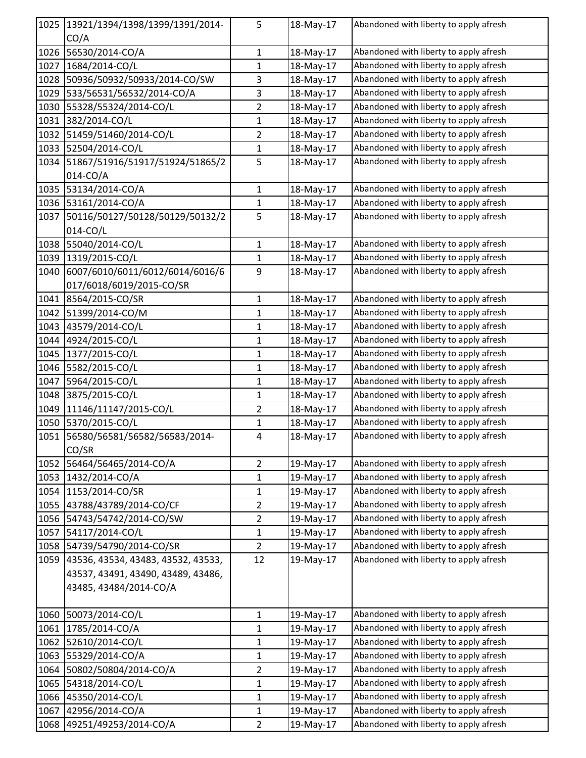| 1025         | 13921/1394/1398/1399/1391/2014-    | 5                              | 18-May-17              | Abandoned with liberty to apply afresh                                           |
|--------------|------------------------------------|--------------------------------|------------------------|----------------------------------------------------------------------------------|
|              | CO/A                               |                                |                        |                                                                                  |
| 1026         | 56530/2014-CO/A                    | $\mathbf{1}$                   | 18-May-17              | Abandoned with liberty to apply afresh                                           |
| 1027         | 1684/2014-CO/L                     | $\mathbf 1$                    | 18-May-17              | Abandoned with liberty to apply afresh                                           |
| 1028         | 50936/50932/50933/2014-CO/SW       | 3                              | 18-May-17              | Abandoned with liberty to apply afresh                                           |
| 1029         | 533/56531/56532/2014-CO/A          | $\mathsf 3$                    | 18-May-17              | Abandoned with liberty to apply afresh                                           |
| 1030         | 55328/55324/2014-CO/L              | $\overline{2}$                 | 18-May-17              | Abandoned with liberty to apply afresh                                           |
| 1031         | 382/2014-CO/L                      | $\mathbf 1$                    | 18-May-17              | Abandoned with liberty to apply afresh                                           |
| 1032         | 51459/51460/2014-CO/L              | $\overline{2}$                 | 18-May-17              | Abandoned with liberty to apply afresh                                           |
| 1033         | 52504/2014-CO/L                    | 1                              | 18-May-17              | Abandoned with liberty to apply afresh                                           |
| 1034         | 51867/51916/51917/51924/51865/2    | 5                              | 18-May-17              | Abandoned with liberty to apply afresh                                           |
|              | 014-CO/A                           |                                |                        |                                                                                  |
| 1035         | 53134/2014-CO/A                    | $\mathbf{1}$                   | 18-May-17              | Abandoned with liberty to apply afresh                                           |
| 1036         | 53161/2014-CO/A                    | $\mathbf{1}$                   | 18-May-17              | Abandoned with liberty to apply afresh                                           |
| 1037         | 50116/50127/50128/50129/50132/2    | 5                              | 18-May-17              | Abandoned with liberty to apply afresh                                           |
|              | 014-CO/L                           |                                |                        |                                                                                  |
| 1038         | 55040/2014-CO/L                    | 1                              | 18-May-17              | Abandoned with liberty to apply afresh                                           |
| 1039         | 1319/2015-CO/L                     | $\mathbf{1}$                   | 18-May-17              | Abandoned with liberty to apply afresh                                           |
| 1040         | 6007/6010/6011/6012/6014/6016/6    | 9                              | 18-May-17              | Abandoned with liberty to apply afresh                                           |
|              | 017/6018/6019/2015-CO/SR           |                                |                        |                                                                                  |
| 1041         | 8564/2015-CO/SR                    | $\mathbf{1}$                   | 18-May-17              | Abandoned with liberty to apply afresh                                           |
| 1042         | 51399/2014-CO/M                    | 1                              | 18-May-17              | Abandoned with liberty to apply afresh                                           |
| 1043         | 43579/2014-CO/L                    | 1                              | 18-May-17              | Abandoned with liberty to apply afresh                                           |
| 1044         | 4924/2015-CO/L                     | $\mathbf{1}$                   | 18-May-17              | Abandoned with liberty to apply afresh                                           |
| 1045         | 1377/2015-CO/L                     | 1                              | 18-May-17              | Abandoned with liberty to apply afresh                                           |
| 1046         | 5582/2015-CO/L                     | $\mathbf{1}$                   | 18-May-17              | Abandoned with liberty to apply afresh                                           |
| 1047         | 5964/2015-CO/L                     | 1                              | 18-May-17              | Abandoned with liberty to apply afresh                                           |
| 1048         | 3875/2015-CO/L                     | 1                              | 18-May-17              | Abandoned with liberty to apply afresh                                           |
| 1049         | 11146/11147/2015-CO/L              | $\overline{2}$                 | 18-May-17              | Abandoned with liberty to apply afresh                                           |
| 1050         | 5370/2015-CO/L                     | 1                              | 18-May-17              | Abandoned with liberty to apply afresh                                           |
| 1051         | 56580/56581/56582/56583/2014-      | $\sqrt{4}$                     | 18-May-17              | Abandoned with liberty to apply afresh                                           |
|              | CO/SR                              |                                |                        |                                                                                  |
| 1052         | 56464/56465/2014-CO/A              | $\overline{2}$                 | 19-May-17              | Abandoned with liberty to apply afresh                                           |
| 1053         | 1432/2014-CO/A                     | $\mathbf 1$                    | 19-May-17              | Abandoned with liberty to apply afresh                                           |
| 1054         | 1153/2014-CO/SR                    | $\mathbf{1}$                   | 19-May-17              | Abandoned with liberty to apply afresh                                           |
| 1055         | 43788/43789/2014-CO/CF             | $\overline{2}$                 | 19-May-17              | Abandoned with liberty to apply afresh                                           |
| 1056         | 54743/54742/2014-CO/SW             | $\overline{2}$                 | 19-May-17              | Abandoned with liberty to apply afresh                                           |
| 1057         | 54117/2014-CO/L                    | $\mathbf{1}$                   | 19-May-17              | Abandoned with liberty to apply afresh                                           |
| 1058         | 54739/54790/2014-CO/SR             | $\overline{2}$                 | 19-May-17              | Abandoned with liberty to apply afresh                                           |
| 1059         | 43536, 43534, 43483, 43532, 43533, | 12                             | 19-May-17              | Abandoned with liberty to apply afresh                                           |
|              | 43537, 43491, 43490, 43489, 43486, |                                |                        |                                                                                  |
|              | 43485, 43484/2014-CO/A             |                                |                        |                                                                                  |
|              |                                    |                                |                        |                                                                                  |
| 1060         | 50073/2014-CO/L                    | $\mathbf{1}$                   | 19-May-17              | Abandoned with liberty to apply afresh                                           |
| 1061         | 1785/2014-CO/A                     | 1                              | 19-May-17              | Abandoned with liberty to apply afresh                                           |
| 1062         | 52610/2014-CO/L                    | 1                              | 19-May-17              | Abandoned with liberty to apply afresh                                           |
| 1063         | 55329/2014-CO/A                    | $\mathbf 1$                    | 19-May-17              | Abandoned with liberty to apply afresh                                           |
| 1064         | 50802/50804/2014-CO/A              | $\overline{2}$<br>$\mathbf{1}$ | 19-May-17              | Abandoned with liberty to apply afresh<br>Abandoned with liberty to apply afresh |
| 1065<br>1066 | 54318/2014-CO/L<br>45350/2014-CO/L |                                | 19-May-17              | Abandoned with liberty to apply afresh                                           |
| 1067         | 42956/2014-CO/A                    | $\mathbf{1}$                   | 19-May-17<br>19-May-17 | Abandoned with liberty to apply afresh                                           |
|              |                                    | 1                              |                        | Abandoned with liberty to apply afresh                                           |
| 1068         | 49251/49253/2014-CO/A              | $\overline{2}$                 | 19-May-17              |                                                                                  |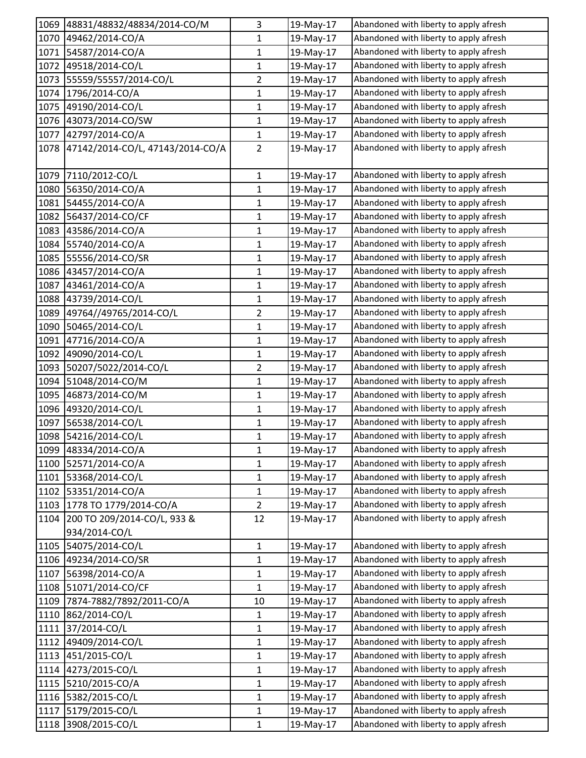| 1069 | 48831/48832/48834/2014-CO/M      | 3              | 19-May-17 | Abandoned with liberty to apply afresh |
|------|----------------------------------|----------------|-----------|----------------------------------------|
| 1070 | 49462/2014-CO/A                  | 1              | 19-May-17 | Abandoned with liberty to apply afresh |
| 1071 | 54587/2014-CO/A                  | $\mathbf{1}$   | 19-May-17 | Abandoned with liberty to apply afresh |
| 1072 | 49518/2014-CO/L                  | $\mathbf{1}$   | 19-May-17 | Abandoned with liberty to apply afresh |
| 1073 | 55559/55557/2014-CO/L            | 2              | 19-May-17 | Abandoned with liberty to apply afresh |
| 1074 | 1796/2014-CO/A                   | 1              | 19-May-17 | Abandoned with liberty to apply afresh |
| 1075 | 49190/2014-CO/L                  | 1              | 19-May-17 | Abandoned with liberty to apply afresh |
| 1076 | 43073/2014-CO/SW                 | $\mathbf{1}$   | 19-May-17 | Abandoned with liberty to apply afresh |
| 1077 | 42797/2014-CO/A                  | $\mathbf{1}$   | 19-May-17 | Abandoned with liberty to apply afresh |
| 1078 | 47142/2014-CO/L, 47143/2014-CO/A | $\overline{2}$ | 19-May-17 | Abandoned with liberty to apply afresh |
|      | 1079 7110/2012-CO/L              | $\mathbf{1}$   | 19-May-17 | Abandoned with liberty to apply afresh |
| 1080 | 56350/2014-CO/A                  | $\mathbf{1}$   | 19-May-17 | Abandoned with liberty to apply afresh |
| 1081 | 54455/2014-CO/A                  | $\mathbf{1}$   | 19-May-17 | Abandoned with liberty to apply afresh |
| 1082 | 56437/2014-CO/CF                 | $\mathbf{1}$   | 19-May-17 | Abandoned with liberty to apply afresh |
| 1083 | 43586/2014-CO/A                  | $\mathbf{1}$   | 19-May-17 | Abandoned with liberty to apply afresh |
| 1084 | 55740/2014-CO/A                  | 1              | 19-May-17 | Abandoned with liberty to apply afresh |
| 1085 | 55556/2014-CO/SR                 | 1              | 19-May-17 | Abandoned with liberty to apply afresh |
| 1086 | 43457/2014-CO/A                  | $\mathbf{1}$   | 19-May-17 | Abandoned with liberty to apply afresh |
| 1087 | 43461/2014-CO/A                  | $\mathbf{1}$   | 19-May-17 | Abandoned with liberty to apply afresh |
| 1088 | 43739/2014-CO/L                  | 1              | 19-May-17 | Abandoned with liberty to apply afresh |
| 1089 | 49764//49765/2014-CO/L           | $\overline{2}$ | 19-May-17 | Abandoned with liberty to apply afresh |
| 1090 | 50465/2014-CO/L                  | 1              | 19-May-17 | Abandoned with liberty to apply afresh |
| 1091 | 47716/2014-CO/A                  | $\mathbf 1$    | 19-May-17 | Abandoned with liberty to apply afresh |
| 1092 | 49090/2014-CO/L                  | $\mathbf{1}$   | 19-May-17 | Abandoned with liberty to apply afresh |
| 1093 | 50207/5022/2014-CO/L             | $\overline{2}$ | 19-May-17 | Abandoned with liberty to apply afresh |
| 1094 | 51048/2014-CO/M                  | $\mathbf{1}$   | 19-May-17 | Abandoned with liberty to apply afresh |
| 1095 | 46873/2014-CO/M                  | 1              | 19-May-17 | Abandoned with liberty to apply afresh |
| 1096 | 49320/2014-CO/L                  | $\mathbf{1}$   | 19-May-17 | Abandoned with liberty to apply afresh |
| 1097 | 56538/2014-CO/L                  | 1              | 19-May-17 | Abandoned with liberty to apply afresh |
| 1098 | 54216/2014-CO/L                  | $\mathbf{1}$   | 19-May-17 | Abandoned with liberty to apply afresh |
|      | 1099 48334/2014-CO/A             | 1              | 19-May-17 | Abandoned with liberty to apply afresh |
| 1100 | 52571/2014-CO/A                  | $\mathbf{1}$   | 19-May-17 | Abandoned with liberty to apply afresh |
| 1101 | 53368/2014-CO/L                  | $\mathbf{1}$   | 19-May-17 | Abandoned with liberty to apply afresh |
| 1102 | 53351/2014-CO/A                  | 1              | 19-May-17 | Abandoned with liberty to apply afresh |
| 1103 | 1778 TO 1779/2014-CO/A           | $\overline{2}$ | 19-May-17 | Abandoned with liberty to apply afresh |
| 1104 | 200 TO 209/2014-CO/L, 933 &      | 12             | 19-May-17 | Abandoned with liberty to apply afresh |
|      | 934/2014-CO/L                    |                |           |                                        |
| 1105 | 54075/2014-CO/L                  | $\mathbf{1}$   | 19-May-17 | Abandoned with liberty to apply afresh |
| 1106 | 49234/2014-CO/SR                 | $\mathbf{1}$   | 19-May-17 | Abandoned with liberty to apply afresh |
| 1107 | 56398/2014-CO/A                  | 1              | 19-May-17 | Abandoned with liberty to apply afresh |
| 1108 | 51071/2014-CO/CF                 | $\mathbf{1}$   | 19-May-17 | Abandoned with liberty to apply afresh |
| 1109 | 7874-7882/7892/2011-CO/A         | 10             | 19-May-17 | Abandoned with liberty to apply afresh |
| 1110 | 862/2014-CO/L                    | $\mathbf{1}$   | 19-May-17 | Abandoned with liberty to apply afresh |
| 1111 | 37/2014-CO/L                     | $\mathbf{1}$   | 19-May-17 | Abandoned with liberty to apply afresh |
| 1112 | 49409/2014-CO/L                  | 1              | 19-May-17 | Abandoned with liberty to apply afresh |
| 1113 | 451/2015-CO/L                    | $\mathbf 1$    | 19-May-17 | Abandoned with liberty to apply afresh |
| 1114 | 4273/2015-CO/L                   | $\mathbf{1}$   | 19-May-17 | Abandoned with liberty to apply afresh |
| 1115 | 5210/2015-CO/A                   | $\mathbf{1}$   | 19-May-17 | Abandoned with liberty to apply afresh |
| 1116 | 5382/2015-CO/L                   | 1              | 19-May-17 | Abandoned with liberty to apply afresh |
| 1117 | 5179/2015-CO/L                   | 1              | 19-May-17 | Abandoned with liberty to apply afresh |
| 1118 | 3908/2015-CO/L                   | $\mathbf{1}$   | 19-May-17 | Abandoned with liberty to apply afresh |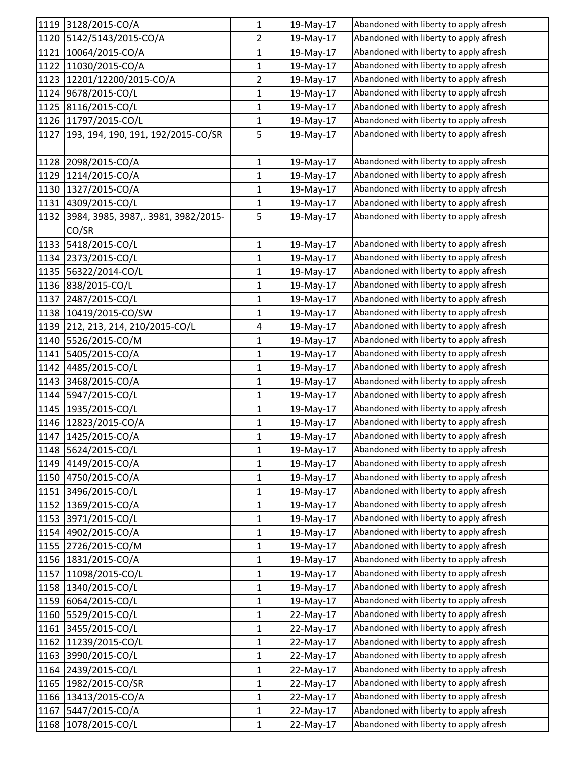|      | 1119 3128/2015-CO/A                | $\mathbf{1}$   | 19-May-17 | Abandoned with liberty to apply afresh |
|------|------------------------------------|----------------|-----------|----------------------------------------|
| 1120 | 5142/5143/2015-CO/A                | $\overline{2}$ | 19-May-17 | Abandoned with liberty to apply afresh |
|      | 1121 10064/2015-CO/A               | $\mathbf{1}$   | 19-May-17 | Abandoned with liberty to apply afresh |
| 1122 | 11030/2015-CO/A                    | $\mathbf{1}$   | 19-May-17 | Abandoned with liberty to apply afresh |
| 1123 | 12201/12200/2015-CO/A              | $\overline{2}$ | 19-May-17 | Abandoned with liberty to apply afresh |
| 1124 | 9678/2015-CO/L                     | $\mathbf{1}$   | 19-May-17 | Abandoned with liberty to apply afresh |
| 1125 | 8116/2015-CO/L                     | $\mathbf{1}$   | 19-May-17 | Abandoned with liberty to apply afresh |
| 1126 | 11797/2015-CO/L                    | $\mathbf{1}$   | 19-May-17 | Abandoned with liberty to apply afresh |
| 1127 | 193, 194, 190, 191, 192/2015-CO/SR | 5              | 19-May-17 | Abandoned with liberty to apply afresh |
| 1128 | 2098/2015-CO/A                     | $\mathbf{1}$   | 19-May-17 | Abandoned with liberty to apply afresh |
| 1129 | 1214/2015-CO/A                     | $\mathbf{1}$   | 19-May-17 | Abandoned with liberty to apply afresh |
| 1130 | 1327/2015-CO/A                     | 1              | 19-May-17 | Abandoned with liberty to apply afresh |
| 1131 | 4309/2015-CO/L                     | 1              | 19-May-17 | Abandoned with liberty to apply afresh |
| 1132 | 3984, 3985, 3987, 3981, 3982/2015- | 5              | 19-May-17 | Abandoned with liberty to apply afresh |
|      | CO/SR                              |                |           |                                        |
|      | 1133 5418/2015-CO/L                | $\mathbf{1}$   | 19-May-17 | Abandoned with liberty to apply afresh |
| 1134 | 2373/2015-CO/L                     | $\mathbf{1}$   | 19-May-17 | Abandoned with liberty to apply afresh |
| 1135 | 56322/2014-CO/L                    | $\mathbf 1$    | 19-May-17 | Abandoned with liberty to apply afresh |
| 1136 | 838/2015-CO/L                      | 1              | 19-May-17 | Abandoned with liberty to apply afresh |
| 1137 | 2487/2015-CO/L                     | $\mathbf 1$    | 19-May-17 | Abandoned with liberty to apply afresh |
| 1138 | 10419/2015-CO/SW                   | 1              | 19-May-17 | Abandoned with liberty to apply afresh |
| 1139 | 212, 213, 214, 210/2015-CO/L       | 4              | 19-May-17 | Abandoned with liberty to apply afresh |
| 1140 | 5526/2015-CO/M                     | $\mathbf 1$    | 19-May-17 | Abandoned with liberty to apply afresh |
| 1141 | 5405/2015-CO/A                     | $\mathbf{1}$   | 19-May-17 | Abandoned with liberty to apply afresh |
| 1142 | 4485/2015-CO/L                     | $\mathbf{1}$   | 19-May-17 | Abandoned with liberty to apply afresh |
| 1143 | 3468/2015-CO/A                     | $\mathbf{1}$   | 19-May-17 | Abandoned with liberty to apply afresh |
| 1144 | 5947/2015-CO/L                     | $\mathbf{1}$   | 19-May-17 | Abandoned with liberty to apply afresh |
| 1145 | 1935/2015-CO/L                     | $\mathbf{1}$   | 19-May-17 | Abandoned with liberty to apply afresh |
| 1146 | 12823/2015-CO/A                    | $\mathbf{1}$   | 19-May-17 | Abandoned with liberty to apply afresh |
| 1147 | 1425/2015-CO/A                     | $\mathbf{1}$   | 19-May-17 | Abandoned with liberty to apply afresh |
|      | 1148  5624/2015-CO/L               | 1              | 19-May-17 | Abandoned with liberty to apply afresh |
|      | 1149 4149/2015-CO/A                | $\mathbf{1}$   | 19-May-17 | Abandoned with liberty to apply afresh |
|      | 1150 4750/2015-CO/A                | $\mathbf 1$    | 19-May-17 | Abandoned with liberty to apply afresh |
|      | 1151 3496/2015-CO/L                | $\mathbf{1}$   | 19-May-17 | Abandoned with liberty to apply afresh |
| 1152 | 1369/2015-CO/A                     | $\mathbf{1}$   | 19-May-17 | Abandoned with liberty to apply afresh |
| 1153 | 3971/2015-CO/L                     | $\mathbf{1}$   | 19-May-17 | Abandoned with liberty to apply afresh |
| 1154 | 4902/2015-CO/A                     | $\mathbf{1}$   | 19-May-17 | Abandoned with liberty to apply afresh |
| 1155 | 2726/2015-CO/M                     | 1              | 19-May-17 | Abandoned with liberty to apply afresh |
|      | 1156 1831/2015-CO/A                | $\mathbf{1}$   | 19-May-17 | Abandoned with liberty to apply afresh |
| 1157 | 11098/2015-CO/L                    | $\mathbf{1}$   | 19-May-17 | Abandoned with liberty to apply afresh |
| 1158 | 1340/2015-CO/L                     | $\mathbf 1$    | 19-May-17 | Abandoned with liberty to apply afresh |
| 1159 | 6064/2015-CO/L                     | $\mathbf{1}$   | 19-May-17 | Abandoned with liberty to apply afresh |
| 1160 | 5529/2015-CO/L                     | $\mathbf 1$    | 22-May-17 | Abandoned with liberty to apply afresh |
| 1161 | 3455/2015-CO/L                     | $\mathbf{1}$   | 22-May-17 | Abandoned with liberty to apply afresh |
| 1162 | 11239/2015-CO/L                    | $\mathbf{1}$   | 22-May-17 | Abandoned with liberty to apply afresh |
| 1163 | 3990/2015-CO/L                     | $\mathbf 1$    | 22-May-17 | Abandoned with liberty to apply afresh |
| 1164 | 2439/2015-CO/L                     | $\mathbf{1}$   | 22-May-17 | Abandoned with liberty to apply afresh |
| 1165 | 1982/2015-CO/SR                    | $\mathbf{1}$   | 22-May-17 | Abandoned with liberty to apply afresh |
| 1166 | 13413/2015-CO/A                    | $\mathbf{1}$   | 22-May-17 | Abandoned with liberty to apply afresh |
| 1167 | 5447/2015-CO/A                     | $\mathbf{1}$   | 22-May-17 | Abandoned with liberty to apply afresh |
| 1168 | 1078/2015-CO/L                     | $\mathbf{1}$   | 22-May-17 | Abandoned with liberty to apply afresh |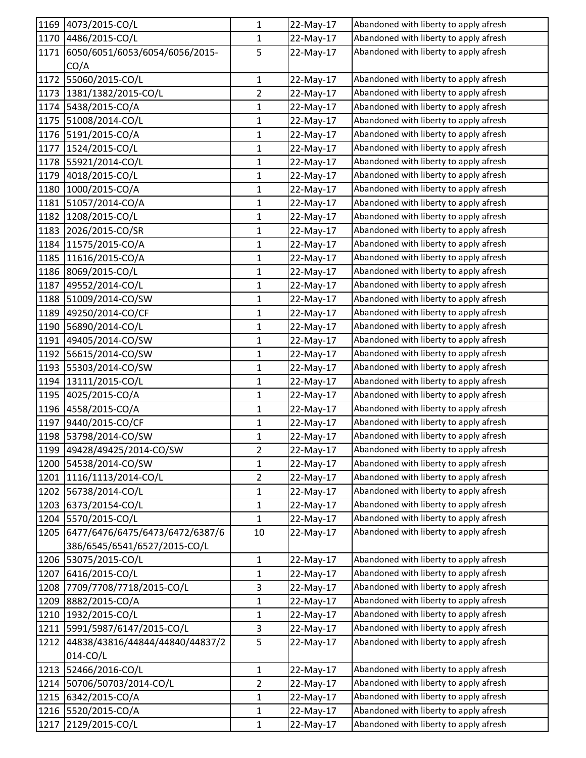| 1169 | 4073/2015-CO/L                  | 1              | 22-May-17 | Abandoned with liberty to apply afresh |
|------|---------------------------------|----------------|-----------|----------------------------------------|
|      | 1170 4486/2015-CO/L             | $\mathbf{1}$   | 22-May-17 | Abandoned with liberty to apply afresh |
| 1171 | 6050/6051/6053/6054/6056/2015-  | 5              | 22-May-17 | Abandoned with liberty to apply afresh |
|      | CO/A                            |                |           |                                        |
| 1172 | 55060/2015-CO/L                 | $\mathbf{1}$   | 22-May-17 | Abandoned with liberty to apply afresh |
| 1173 | 1381/1382/2015-CO/L             | $\overline{2}$ | 22-May-17 | Abandoned with liberty to apply afresh |
| 1174 | 5438/2015-CO/A                  | $\mathbf{1}$   | 22-May-17 | Abandoned with liberty to apply afresh |
| 1175 | 51008/2014-CO/L                 | $\mathbf 1$    | 22-May-17 | Abandoned with liberty to apply afresh |
| 1176 | 5191/2015-CO/A                  | 1              | 22-May-17 | Abandoned with liberty to apply afresh |
| 1177 | 1524/2015-CO/L                  | 1              | 22-May-17 | Abandoned with liberty to apply afresh |
| 1178 | 55921/2014-CO/L                 | $\mathbf 1$    | 22-May-17 | Abandoned with liberty to apply afresh |
| 1179 | 4018/2015-CO/L                  | $\mathbf{1}$   | 22-May-17 | Abandoned with liberty to apply afresh |
| 1180 | 1000/2015-CO/A                  | $\mathbf{1}$   | 22-May-17 | Abandoned with liberty to apply afresh |
| 1181 | 51057/2014-CO/A                 | $\mathbf{1}$   | 22-May-17 | Abandoned with liberty to apply afresh |
| 1182 | 1208/2015-CO/L                  | $\mathbf{1}$   | 22-May-17 | Abandoned with liberty to apply afresh |
| 1183 | 2026/2015-CO/SR                 | $\mathbf 1$    | 22-May-17 | Abandoned with liberty to apply afresh |
| 1184 | 11575/2015-CO/A                 | $\mathbf{1}$   | 22-May-17 | Abandoned with liberty to apply afresh |
| 1185 | 11616/2015-CO/A                 | 1              | 22-May-17 | Abandoned with liberty to apply afresh |
| 1186 | 8069/2015-CO/L                  | 1              | 22-May-17 | Abandoned with liberty to apply afresh |
| 1187 | 49552/2014-CO/L                 | $\mathbf{1}$   | 22-May-17 | Abandoned with liberty to apply afresh |
| 1188 | 51009/2014-CO/SW                | $\mathbf{1}$   | 22-May-17 | Abandoned with liberty to apply afresh |
| 1189 | 49250/2014-CO/CF                | $\mathbf{1}$   | 22-May-17 | Abandoned with liberty to apply afresh |
| 1190 | 56890/2014-CO/L                 | $\mathbf{1}$   | 22-May-17 | Abandoned with liberty to apply afresh |
| 1191 | 49405/2014-CO/SW                | $\mathbf 1$    | 22-May-17 | Abandoned with liberty to apply afresh |
| 1192 | 56615/2014-CO/SW                | 1              | 22-May-17 | Abandoned with liberty to apply afresh |
| 1193 | 55303/2014-CO/SW                | $\mathbf{1}$   | 22-May-17 | Abandoned with liberty to apply afresh |
| 1194 | 13111/2015-CO/L                 | $\mathbf{1}$   | 22-May-17 | Abandoned with liberty to apply afresh |
| 1195 | 4025/2015-CO/A                  | 1              | 22-May-17 | Abandoned with liberty to apply afresh |
| 1196 | 4558/2015-CO/A                  | $\mathbf 1$    | 22-May-17 | Abandoned with liberty to apply afresh |
| 1197 | 9440/2015-CO/CF                 | $\mathbf{1}$   | 22-May-17 | Abandoned with liberty to apply afresh |
| 1198 | 53798/2014-CO/SW                | $\mathbf 1$    | 22-May-17 | Abandoned with liberty to apply afresh |
|      | 1199 49428/49425/2014-CO/SW     | 2              | 22-May-17 | Abandoned with liberty to apply afresh |
| 1200 | 54538/2014-CO/SW                | $\mathbf{1}$   | 22-May-17 | Abandoned with liberty to apply afresh |
| 1201 | 1116/1113/2014-CO/L             | $\overline{2}$ | 22-May-17 | Abandoned with liberty to apply afresh |
| 1202 | 56738/2014-CO/L                 | 1              | 22-May-17 | Abandoned with liberty to apply afresh |
| 1203 | 6373/20154-CO/L                 | $\mathbf{1}$   | 22-May-17 | Abandoned with liberty to apply afresh |
| 1204 | 5570/2015-CO/L                  | $\mathbf{1}$   | 22-May-17 | Abandoned with liberty to apply afresh |
| 1205 | 6477/6476/6475/6473/6472/6387/6 | 10             | 22-May-17 | Abandoned with liberty to apply afresh |
|      | 386/6545/6541/6527/2015-CO/L    |                |           |                                        |
| 1206 | 53075/2015-CO/L                 | $\mathbf{1}$   | 22-May-17 | Abandoned with liberty to apply afresh |
| 1207 | 6416/2015-CO/L                  | $\mathbf{1}$   | 22-May-17 | Abandoned with liberty to apply afresh |
| 1208 | 7709/7708/7718/2015-CO/L        | 3              | 22-May-17 | Abandoned with liberty to apply afresh |
| 1209 | 8882/2015-CO/A                  | $\mathbf{1}$   | 22-May-17 | Abandoned with liberty to apply afresh |
| 1210 | 1932/2015-CO/L                  | $\mathbf 1$    | 22-May-17 | Abandoned with liberty to apply afresh |
| 1211 | 5991/5987/6147/2015-CO/L        | 3              | 22-May-17 | Abandoned with liberty to apply afresh |
| 1212 | 44838/43816/44844/44840/44837/2 | 5              | 22-May-17 | Abandoned with liberty to apply afresh |
|      | 014-CO/L                        |                |           |                                        |
| 1213 | 52466/2016-CO/L                 | $\mathbf 1$    | 22-May-17 | Abandoned with liberty to apply afresh |
| 1214 | 50706/50703/2014-CO/L           | $\overline{2}$ | 22-May-17 | Abandoned with liberty to apply afresh |
| 1215 | 6342/2015-CO/A                  | $\mathbf{1}$   | 22-May-17 | Abandoned with liberty to apply afresh |
| 1216 | 5520/2015-CO/A                  | $\mathbf{1}$   | 22-May-17 | Abandoned with liberty to apply afresh |
| 1217 | 2129/2015-CO/L                  | $\mathbf{1}$   | 22-May-17 | Abandoned with liberty to apply afresh |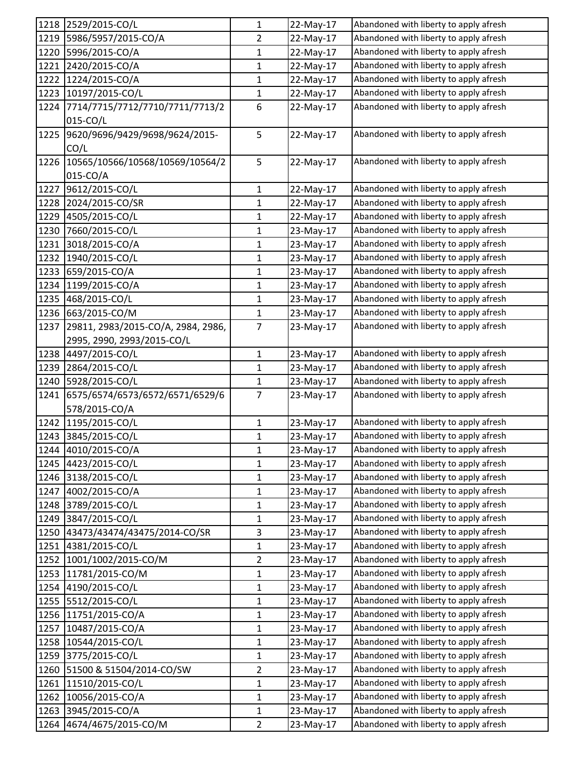|      | 1218 2529/2015-CO/L                | 1              | 22-May-17 | Abandoned with liberty to apply afresh |
|------|------------------------------------|----------------|-----------|----------------------------------------|
| 1219 | 5986/5957/2015-CO/A                | $\overline{2}$ | 22-May-17 | Abandoned with liberty to apply afresh |
| 1220 | 5996/2015-CO/A                     | 1              | 22-May-17 | Abandoned with liberty to apply afresh |
| 1221 | 2420/2015-CO/A                     | 1              | 22-May-17 | Abandoned with liberty to apply afresh |
| 1222 | 1224/2015-CO/A                     | $\mathbf{1}$   | 22-May-17 | Abandoned with liberty to apply afresh |
| 1223 | 10197/2015-CO/L                    | $\mathbf 1$    | 22-May-17 | Abandoned with liberty to apply afresh |
| 1224 | 7714/7715/7712/7710/7711/7713/2    | 6              | 22-May-17 | Abandoned with liberty to apply afresh |
|      | 015-CO/L                           |                |           |                                        |
| 1225 | 9620/9696/9429/9698/9624/2015-     | 5              | 22-May-17 | Abandoned with liberty to apply afresh |
|      | CO/L                               |                |           |                                        |
| 1226 | 10565/10566/10568/10569/10564/2    | 5              | 22-May-17 | Abandoned with liberty to apply afresh |
|      | 015-CO/A                           |                |           |                                        |
| 1227 | 9612/2015-CO/L                     | 1              | 22-May-17 | Abandoned with liberty to apply afresh |
| 1228 | 2024/2015-CO/SR                    | $\mathbf 1$    | 22-May-17 | Abandoned with liberty to apply afresh |
| 1229 | 4505/2015-CO/L                     | $\mathbf 1$    | 22-May-17 | Abandoned with liberty to apply afresh |
| 1230 | 7660/2015-CO/L                     | $\mathbf 1$    | 23-May-17 | Abandoned with liberty to apply afresh |
| 1231 | 3018/2015-CO/A                     | 1              | 23-May-17 | Abandoned with liberty to apply afresh |
| 1232 | 1940/2015-CO/L                     | $\mathbf{1}$   | 23-May-17 | Abandoned with liberty to apply afresh |
| 1233 | 659/2015-CO/A                      | 1              | 23-May-17 | Abandoned with liberty to apply afresh |
| 1234 | 1199/2015-CO/A                     | $\mathbf{1}$   | 23-May-17 | Abandoned with liberty to apply afresh |
| 1235 | 468/2015-CO/L                      | 1              | 23-May-17 | Abandoned with liberty to apply afresh |
| 1236 | 663/2015-CO/M                      | $\mathbf{1}$   | 23-May-17 | Abandoned with liberty to apply afresh |
| 1237 | 29811, 2983/2015-CO/A, 2984, 2986, | $\overline{7}$ | 23-May-17 | Abandoned with liberty to apply afresh |
|      | 2995, 2990, 2993/2015-CO/L         |                |           |                                        |
| 1238 | 4497/2015-CO/L                     | $\mathbf 1$    | 23-May-17 | Abandoned with liberty to apply afresh |
| 1239 | 2864/2015-CO/L                     | 1              | 23-May-17 | Abandoned with liberty to apply afresh |
| 1240 | 5928/2015-CO/L                     | $\mathbf{1}$   | 23-May-17 | Abandoned with liberty to apply afresh |
| 1241 | 6575/6574/6573/6572/6571/6529/6    | $\overline{7}$ | 23-May-17 | Abandoned with liberty to apply afresh |
|      | 578/2015-CO/A                      |                |           |                                        |
|      | 1242 1195/2015-CO/L                | $\mathbf 1$    | 23-May-17 | Abandoned with liberty to apply afresh |
| 1243 | 3845/2015-CO/L                     | 1              | 23-May-17 | Abandoned with liberty to apply afresh |
|      | 1244 4010/2015-CO/A                | 1              | 23-May-17 | Abandoned with liberty to apply afresh |
|      | 1245 4423/2015-CO/L                | 1              | 23-May-17 | Abandoned with liberty to apply afresh |
| 1246 | 3138/2015-CO/L                     | $\mathbf{1}$   | 23-May-17 | Abandoned with liberty to apply afresh |
| 1247 | 4002/2015-CO/A                     | 1              | 23-May-17 | Abandoned with liberty to apply afresh |
| 1248 | 3789/2015-CO/L                     | $\mathbf{1}$   | 23-May-17 | Abandoned with liberty to apply afresh |
| 1249 | 3847/2015-CO/L                     | $\mathbf{1}$   | 23-May-17 | Abandoned with liberty to apply afresh |
| 1250 | 43473/43474/43475/2014-CO/SR       | 3              | 23-May-17 | Abandoned with liberty to apply afresh |
| 1251 | 4381/2015-CO/L                     | $\mathbf 1$    | 23-May-17 | Abandoned with liberty to apply afresh |
| 1252 | 1001/1002/2015-CO/M                | $\overline{2}$ | 23-May-17 | Abandoned with liberty to apply afresh |
| 1253 | 11781/2015-CO/M                    | $\mathbf{1}$   | 23-May-17 | Abandoned with liberty to apply afresh |
| 1254 | 4190/2015-CO/L                     | $\mathbf 1$    | 23-May-17 | Abandoned with liberty to apply afresh |
| 1255 | 5512/2015-CO/L                     | $\mathbf{1}$   | 23-May-17 | Abandoned with liberty to apply afresh |
| 1256 | 11751/2015-CO/A                    | 1              | 23-May-17 | Abandoned with liberty to apply afresh |
| 1257 | 10487/2015-CO/A                    | $\mathbf{1}$   | 23-May-17 | Abandoned with liberty to apply afresh |
| 1258 | 10544/2015-CO/L                    | 1              | 23-May-17 | Abandoned with liberty to apply afresh |
| 1259 | 3775/2015-CO/L                     | $\mathbf 1$    | 23-May-17 | Abandoned with liberty to apply afresh |
| 1260 | 51500 & 51504/2014-CO/SW           | $\overline{2}$ | 23-May-17 | Abandoned with liberty to apply afresh |
| 1261 | 11510/2015-CO/L                    | 1              | 23-May-17 | Abandoned with liberty to apply afresh |
| 1262 | 10056/2015-CO/A                    | $\mathbf 1$    | 23-May-17 | Abandoned with liberty to apply afresh |
| 1263 | 3945/2015-CO/A                     | $\mathbf{1}$   | 23-May-17 | Abandoned with liberty to apply afresh |
| 1264 | 4674/4675/2015-CO/M                | $\overline{2}$ | 23-May-17 | Abandoned with liberty to apply afresh |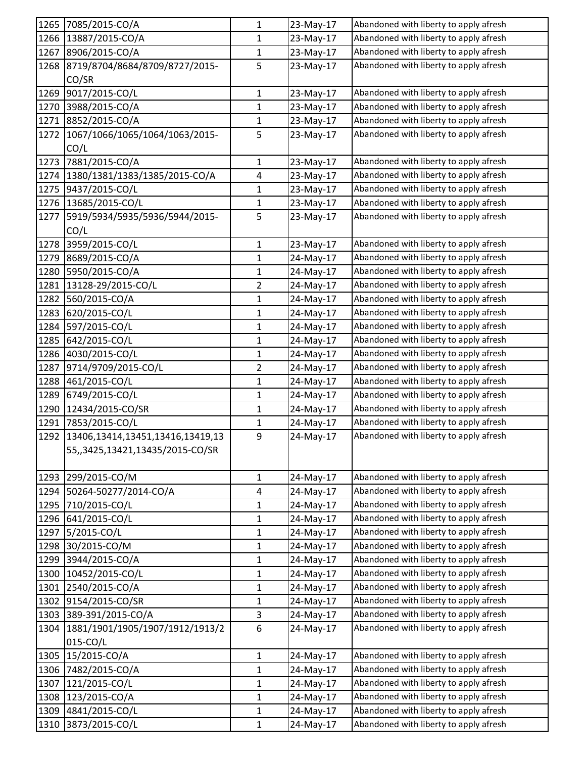| 1265 | 7085/2015-CO/A                   | $\mathbf{1}$   | 23-May-17 | Abandoned with liberty to apply afresh |
|------|----------------------------------|----------------|-----------|----------------------------------------|
| 1266 | 13887/2015-CO/A                  | 1              | 23-May-17 | Abandoned with liberty to apply afresh |
| 1267 | 8906/2015-CO/A                   | $\mathbf{1}$   | 23-May-17 | Abandoned with liberty to apply afresh |
| 1268 | 8719/8704/8684/8709/8727/2015-   | 5              | 23-May-17 | Abandoned with liberty to apply afresh |
|      | CO/SR                            |                |           |                                        |
| 1269 | 9017/2015-CO/L                   | $\mathbf 1$    | 23-May-17 | Abandoned with liberty to apply afresh |
| 1270 | 3988/2015-CO/A                   | 1              | 23-May-17 | Abandoned with liberty to apply afresh |
| 1271 | 8852/2015-CO/A                   | $\mathbf{1}$   | 23-May-17 | Abandoned with liberty to apply afresh |
| 1272 | 1067/1066/1065/1064/1063/2015-   | 5              | 23-May-17 | Abandoned with liberty to apply afresh |
|      | CO/L                             |                |           |                                        |
| 1273 | 7881/2015-CO/A                   | $\mathbf{1}$   | 23-May-17 | Abandoned with liberty to apply afresh |
| 1274 | 1380/1381/1383/1385/2015-CO/A    | 4              | 23-May-17 | Abandoned with liberty to apply afresh |
| 1275 | 9437/2015-CO/L                   | 1              | 23-May-17 | Abandoned with liberty to apply afresh |
| 1276 | 13685/2015-CO/L                  | 1              | 23-May-17 | Abandoned with liberty to apply afresh |
| 1277 | 5919/5934/5935/5936/5944/2015-   | 5              | 23-May-17 | Abandoned with liberty to apply afresh |
|      | CO/L                             |                |           |                                        |
| 1278 | 3959/2015-CO/L                   | $\mathbf{1}$   | 23-May-17 | Abandoned with liberty to apply afresh |
| 1279 | 8689/2015-CO/A                   | 1              | 24-May-17 | Abandoned with liberty to apply afresh |
| 1280 | 5950/2015-CO/A                   | $\mathbf{1}$   | 24-May-17 | Abandoned with liberty to apply afresh |
| 1281 | 13128-29/2015-CO/L               | $\overline{2}$ | 24-May-17 | Abandoned with liberty to apply afresh |
| 1282 | 560/2015-CO/A                    | $\mathbf{1}$   | 24-May-17 | Abandoned with liberty to apply afresh |
| 1283 | 620/2015-CO/L                    | 1              | 24-May-17 | Abandoned with liberty to apply afresh |
| 1284 | 597/2015-CO/L                    | 1              | 24-May-17 | Abandoned with liberty to apply afresh |
| 1285 | 642/2015-CO/L                    | $\mathbf 1$    | 24-May-17 | Abandoned with liberty to apply afresh |
| 1286 | 4030/2015-CO/L                   | $\mathbf{1}$   | 24-May-17 | Abandoned with liberty to apply afresh |
| 1287 | 9714/9709/2015-CO/L              | $\overline{2}$ | 24-May-17 | Abandoned with liberty to apply afresh |
| 1288 | 461/2015-CO/L                    | 1              | 24-May-17 | Abandoned with liberty to apply afresh |
| 1289 | 6749/2015-CO/L                   | $\mathbf{1}$   | 24-May-17 | Abandoned with liberty to apply afresh |
| 1290 | 12434/2015-CO/SR                 | $\mathbf{1}$   | 24-May-17 | Abandoned with liberty to apply afresh |
| 1291 | 7853/2015-CO/L                   | $\mathbf{1}$   | 24-May-17 | Abandoned with liberty to apply afresh |
| 1292 | 13406,13414,13451,13416,13419,13 | 9              | 24-May-17 | Abandoned with liberty to apply afresh |
|      | 55,,3425,13421,13435/2015-CO/SR  |                |           |                                        |
|      |                                  |                |           |                                        |
|      | 1293 299/2015-CO/M               | $\mathbf{1}$   | 24-May-17 | Abandoned with liberty to apply afresh |
| 1294 | 50264-50277/2014-CO/A            | 4              | 24-May-17 | Abandoned with liberty to apply afresh |
| 1295 | 710/2015-CO/L                    | $\mathbf{1}$   | 24-May-17 | Abandoned with liberty to apply afresh |
| 1296 | 641/2015-CO/L                    | $\mathbf{1}$   | 24-May-17 | Abandoned with liberty to apply afresh |
| 1297 | 5/2015-CO/L                      | $\mathbf{1}$   | 24-May-17 | Abandoned with liberty to apply afresh |
| 1298 | 30/2015-CO/M                     | $\mathbf 1$    | 24-May-17 | Abandoned with liberty to apply afresh |
| 1299 | 3944/2015-CO/A                   | $\mathbf{1}$   | 24-May-17 | Abandoned with liberty to apply afresh |
| 1300 | 10452/2015-CO/L                  | $\mathbf{1}$   | 24-May-17 | Abandoned with liberty to apply afresh |
| 1301 | 2540/2015-CO/A                   | $\mathbf 1$    | 24-May-17 | Abandoned with liberty to apply afresh |
| 1302 | 9154/2015-CO/SR                  | $\mathbf{1}$   | 24-May-17 | Abandoned with liberty to apply afresh |
| 1303 | 389-391/2015-CO/A                | 3              | 24-May-17 | Abandoned with liberty to apply afresh |
| 1304 | 1881/1901/1905/1907/1912/1913/2  | 6              | 24-May-17 | Abandoned with liberty to apply afresh |
|      | 015-CO/L                         |                |           |                                        |
| 1305 | 15/2015-CO/A                     | $\mathbf 1$    | 24-May-17 | Abandoned with liberty to apply afresh |
| 1306 | 7482/2015-CO/A                   | $\mathbf{1}$   | 24-May-17 | Abandoned with liberty to apply afresh |
| 1307 | 121/2015-CO/L                    | $\mathbf{1}$   | 24-May-17 | Abandoned with liberty to apply afresh |
| 1308 | 123/2015-CO/A                    | $\mathbf{1}$   | 24-May-17 | Abandoned with liberty to apply afresh |
| 1309 | 4841/2015-CO/L                   | $\mathbf{1}$   | 24-May-17 | Abandoned with liberty to apply afresh |
| 1310 | 3873/2015-CO/L                   | $\mathbf 1$    | 24-May-17 | Abandoned with liberty to apply afresh |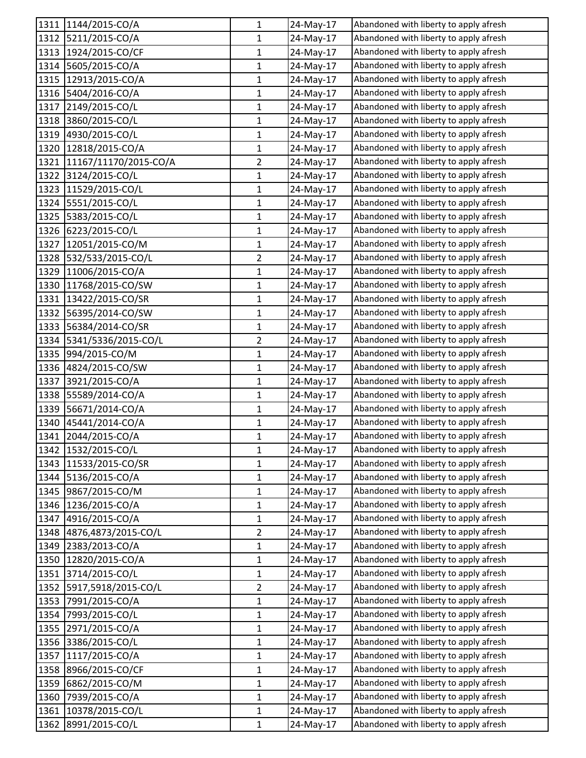|      | 1311 1144/2015-CO/A      | 1              | 24-May-17 | Abandoned with liberty to apply afresh |
|------|--------------------------|----------------|-----------|----------------------------------------|
|      | 1312 5211/2015-CO/A      | 1              | 24-May-17 | Abandoned with liberty to apply afresh |
|      | 1313 1924/2015-CO/CF     | $\mathbf{1}$   | 24-May-17 | Abandoned with liberty to apply afresh |
|      | 1314 5605/2015-CO/A      | 1              | 24-May-17 | Abandoned with liberty to apply afresh |
| 1315 | 12913/2015-CO/A          | 1              | 24-May-17 | Abandoned with liberty to apply afresh |
| 1316 | 5404/2016-CO/A           | $\mathbf{1}$   | 24-May-17 | Abandoned with liberty to apply afresh |
| 1317 | 2149/2015-CO/L           | 1              | 24-May-17 | Abandoned with liberty to apply afresh |
| 1318 | 3860/2015-CO/L           | $\mathbf{1}$   | 24-May-17 | Abandoned with liberty to apply afresh |
| 1319 | 4930/2015-CO/L           | $\mathbf{1}$   | 24-May-17 | Abandoned with liberty to apply afresh |
| 1320 | 12818/2015-CO/A          | 1              | 24-May-17 | Abandoned with liberty to apply afresh |
| 1321 | 11167/11170/2015-CO/A    | $\overline{2}$ | 24-May-17 | Abandoned with liberty to apply afresh |
|      | 1322 3124/2015-CO/L      | 1              | 24-May-17 | Abandoned with liberty to apply afresh |
|      | 1323 11529/2015-CO/L     | 1              | 24-May-17 | Abandoned with liberty to apply afresh |
|      | 1324 5551/2015-CO/L      | 1              | 24-May-17 | Abandoned with liberty to apply afresh |
| 1325 | 5383/2015-CO/L           | $\mathbf{1}$   | 24-May-17 | Abandoned with liberty to apply afresh |
| 1326 | 6223/2015-CO/L           | $\mathbf 1$    | 24-May-17 | Abandoned with liberty to apply afresh |
| 1327 | 12051/2015-CO/M          | 1              | 24-May-17 | Abandoned with liberty to apply afresh |
| 1328 | 532/533/2015-CO/L        | $\overline{2}$ | 24-May-17 | Abandoned with liberty to apply afresh |
| 1329 | 11006/2015-CO/A          | 1              | 24-May-17 | Abandoned with liberty to apply afresh |
| 1330 | 11768/2015-CO/SW         | 1              | 24-May-17 | Abandoned with liberty to apply afresh |
| 1331 | 13422/2015-CO/SR         | $\mathbf{1}$   | 24-May-17 | Abandoned with liberty to apply afresh |
|      | 1332 56395/2014-CO/SW    | $\mathbf{1}$   | 24-May-17 | Abandoned with liberty to apply afresh |
| 1333 | 56384/2014-CO/SR         | 1              | 24-May-17 | Abandoned with liberty to apply afresh |
|      | 1334 5341/5336/2015-CO/L | $\overline{2}$ | 24-May-17 | Abandoned with liberty to apply afresh |
| 1335 | 994/2015-CO/M            | 1              | 24-May-17 | Abandoned with liberty to apply afresh |
| 1336 | 4824/2015-CO/SW          | $\mathbf{1}$   | 24-May-17 | Abandoned with liberty to apply afresh |
| 1337 | 3921/2015-CO/A           | $\mathbf{1}$   | 24-May-17 | Abandoned with liberty to apply afresh |
| 1338 | 55589/2014-CO/A          | 1              | 24-May-17 | Abandoned with liberty to apply afresh |
| 1339 | 56671/2014-CO/A          | $\mathbf{1}$   | 24-May-17 | Abandoned with liberty to apply afresh |
| 1340 | 45441/2014-CO/A          | 1              | 24-May-17 | Abandoned with liberty to apply afresh |
| 1341 | 2044/2015-CO/A           | $\mathbf{1}$   | 24-May-17 | Abandoned with liberty to apply afresh |
|      | 1342 1532/2015-CO/L      | 1              | 24-May-17 | Abandoned with liberty to apply afresh |
|      | 1343 11533/2015-CO/SR    | $\mathbf{1}$   | 24-May-17 | Abandoned with liberty to apply afresh |
|      | 1344 5136/2015-CO/A      | $\mathbf{1}$   | 24-May-17 | Abandoned with liberty to apply afresh |
|      | 1345 9867/2015-CO/M      | 1              | 24-May-17 | Abandoned with liberty to apply afresh |
| 1346 | 1236/2015-CO/A           | 1              | 24-May-17 | Abandoned with liberty to apply afresh |
| 1347 | 4916/2015-CO/A           | 1              | 24-May-17 | Abandoned with liberty to apply afresh |
| 1348 | 4876,4873/2015-CO/L      | $\overline{2}$ | 24-May-17 | Abandoned with liberty to apply afresh |
| 1349 | 2383/2013-CO/A           | $\mathbf{1}$   | 24-May-17 | Abandoned with liberty to apply afresh |
| 1350 | 12820/2015-CO/A          | 1              | 24-May-17 | Abandoned with liberty to apply afresh |
| 1351 | 3714/2015-CO/L           | 1              | 24-May-17 | Abandoned with liberty to apply afresh |
|      | 1352 5917,5918/2015-CO/L | $\overline{2}$ | 24-May-17 | Abandoned with liberty to apply afresh |
| 1353 | 7991/2015-CO/A           | 1              | 24-May-17 | Abandoned with liberty to apply afresh |
| 1354 | 7993/2015-CO/L           | $\mathbf{1}$   | 24-May-17 | Abandoned with liberty to apply afresh |
| 1355 | 2971/2015-CO/A           | $\mathbf{1}$   | 24-May-17 | Abandoned with liberty to apply afresh |
| 1356 | 3386/2015-CO/L           | 1              | 24-May-17 | Abandoned with liberty to apply afresh |
| 1357 | 1117/2015-CO/A           | $\mathbf 1$    | 24-May-17 | Abandoned with liberty to apply afresh |
| 1358 | 8966/2015-CO/CF          | 1              | 24-May-17 | Abandoned with liberty to apply afresh |
| 1359 | 6862/2015-CO/M           | $\mathbf{1}$   | 24-May-17 | Abandoned with liberty to apply afresh |
| 1360 | 7939/2015-CO/A           | 1              | 24-May-17 | Abandoned with liberty to apply afresh |
| 1361 | 10378/2015-CO/L          | $\mathbf{1}$   | 24-May-17 | Abandoned with liberty to apply afresh |
| 1362 | 8991/2015-CO/L           | $\mathbf{1}$   | 24-May-17 | Abandoned with liberty to apply afresh |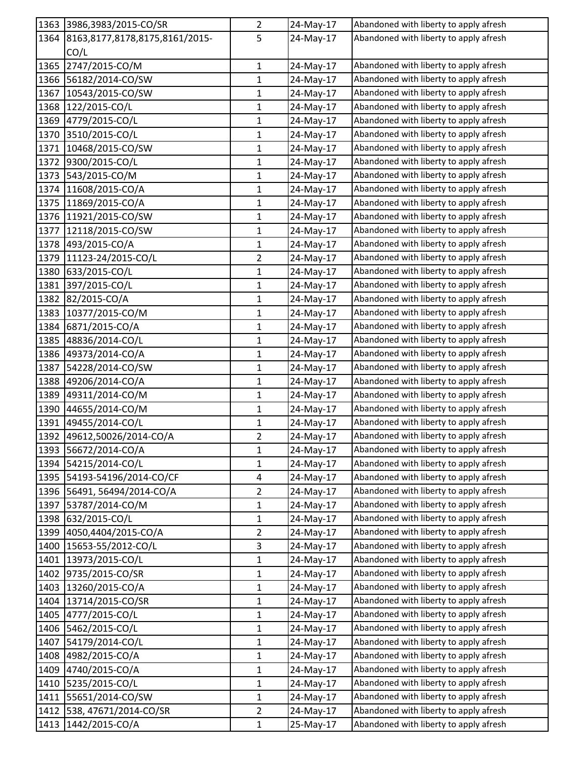| Abandoned with liberty to apply afresh<br>1364<br>8163,8177,8178,8175,8161/2015-<br>5<br>24-May-17<br>CO/L<br>1365<br>2747/2015-CO/M<br>Abandoned with liberty to apply afresh<br>$\mathbf 1$<br>24-May-17<br>Abandoned with liberty to apply afresh<br>1366<br>56182/2014-CO/SW<br>1<br>24-May-17<br>Abandoned with liberty to apply afresh<br>1367<br>10543/2015-CO/SW<br>1<br>24-May-17<br>Abandoned with liberty to apply afresh<br>1368<br>122/2015-CO/L<br>1<br>24-May-17 |  |
|---------------------------------------------------------------------------------------------------------------------------------------------------------------------------------------------------------------------------------------------------------------------------------------------------------------------------------------------------------------------------------------------------------------------------------------------------------------------------------|--|
|                                                                                                                                                                                                                                                                                                                                                                                                                                                                                 |  |
|                                                                                                                                                                                                                                                                                                                                                                                                                                                                                 |  |
|                                                                                                                                                                                                                                                                                                                                                                                                                                                                                 |  |
|                                                                                                                                                                                                                                                                                                                                                                                                                                                                                 |  |
|                                                                                                                                                                                                                                                                                                                                                                                                                                                                                 |  |
|                                                                                                                                                                                                                                                                                                                                                                                                                                                                                 |  |
| Abandoned with liberty to apply afresh<br>1369<br>4779/2015-CO/L<br>1<br>24-May-17                                                                                                                                                                                                                                                                                                                                                                                              |  |
| 1370<br>3510/2015-CO/L<br>Abandoned with liberty to apply afresh<br>24-May-17<br>1                                                                                                                                                                                                                                                                                                                                                                                              |  |
| Abandoned with liberty to apply afresh<br>1371<br>$\mathbf{1}$<br>10468/2015-CO/SW<br>24-May-17                                                                                                                                                                                                                                                                                                                                                                                 |  |
| 1372<br>9300/2015-CO/L<br>24-May-17<br>Abandoned with liberty to apply afresh<br>1                                                                                                                                                                                                                                                                                                                                                                                              |  |
| Abandoned with liberty to apply afresh<br>1373<br>543/2015-CO/M<br>1<br>24-May-17                                                                                                                                                                                                                                                                                                                                                                                               |  |
| Abandoned with liberty to apply afresh<br>1374<br>11608/2015-CO/A<br>1<br>24-May-17                                                                                                                                                                                                                                                                                                                                                                                             |  |
| Abandoned with liberty to apply afresh<br>1375<br>11869/2015-CO/A<br>1<br>24-May-17                                                                                                                                                                                                                                                                                                                                                                                             |  |
| Abandoned with liberty to apply afresh<br>1376<br>11921/2015-CO/SW<br>$\mathbf{1}$<br>24-May-17                                                                                                                                                                                                                                                                                                                                                                                 |  |
| 1377<br>24-May-17<br>Abandoned with liberty to apply afresh<br>12118/2015-CO/SW<br>1                                                                                                                                                                                                                                                                                                                                                                                            |  |
| Abandoned with liberty to apply afresh<br>1378<br>493/2015-CO/A<br>1<br>24-May-17                                                                                                                                                                                                                                                                                                                                                                                               |  |
| 1379<br>11123-24/2015-CO/L<br>$\overline{2}$<br>Abandoned with liberty to apply afresh<br>24-May-17                                                                                                                                                                                                                                                                                                                                                                             |  |
| Abandoned with liberty to apply afresh<br>1380<br>633/2015-CO/L<br>$\mathbf 1$<br>24-May-17                                                                                                                                                                                                                                                                                                                                                                                     |  |
| 1381<br>Abandoned with liberty to apply afresh<br>397/2015-CO/L<br>1<br>24-May-17                                                                                                                                                                                                                                                                                                                                                                                               |  |
| 1382<br>Abandoned with liberty to apply afresh<br>82/2015-CO/A<br>$\mathbf{1}$<br>24-May-17                                                                                                                                                                                                                                                                                                                                                                                     |  |
| 1383<br>Abandoned with liberty to apply afresh<br>10377/2015-CO/M<br>1<br>24-May-17                                                                                                                                                                                                                                                                                                                                                                                             |  |
| Abandoned with liberty to apply afresh<br>1384<br>6871/2015-CO/A<br>24-May-17<br>1                                                                                                                                                                                                                                                                                                                                                                                              |  |
| 1385<br>48836/2014-CO/L<br>Abandoned with liberty to apply afresh<br>1<br>24-May-17                                                                                                                                                                                                                                                                                                                                                                                             |  |
| 1386<br>Abandoned with liberty to apply afresh<br>49373/2014-CO/A<br>$\mathbf{1}$<br>24-May-17                                                                                                                                                                                                                                                                                                                                                                                  |  |
| 1387<br>$\mathbf 1$<br>Abandoned with liberty to apply afresh<br>54228/2014-CO/SW<br>24-May-17                                                                                                                                                                                                                                                                                                                                                                                  |  |
| Abandoned with liberty to apply afresh<br>1388<br>49206/2014-CO/A<br>24-May-17<br>1                                                                                                                                                                                                                                                                                                                                                                                             |  |
| Abandoned with liberty to apply afresh<br>1389<br>49311/2014-CO/M<br>$\mathbf 1$<br>24-May-17                                                                                                                                                                                                                                                                                                                                                                                   |  |
| Abandoned with liberty to apply afresh<br>1390<br>44655/2014-CO/M<br>$\mathbf{1}$<br>24-May-17                                                                                                                                                                                                                                                                                                                                                                                  |  |
| 1391<br>49455/2014-CO/L<br>Abandoned with liberty to apply afresh<br>$\mathbf 1$<br>24-May-17                                                                                                                                                                                                                                                                                                                                                                                   |  |
| Abandoned with liberty to apply afresh<br>1392<br>49612,50026/2014-CO/A<br>$\overline{2}$<br>24-May-17                                                                                                                                                                                                                                                                                                                                                                          |  |
| Abandoned with liberty to apply afresh<br>1393<br>56672/2014-CO/A<br>1<br>24-May-17                                                                                                                                                                                                                                                                                                                                                                                             |  |
| 54215/2014-CO/L<br>Abandoned with liberty to apply afresh<br>1394<br>$\mathbf{1}$<br>24-May-17                                                                                                                                                                                                                                                                                                                                                                                  |  |
| Abandoned with liberty to apply afresh<br>1395<br>54193-54196/2014-CO/CF<br>$\overline{\mathbf{4}}$<br>24-May-17                                                                                                                                                                                                                                                                                                                                                                |  |
| Abandoned with liberty to apply afresh<br>1396<br>56491, 56494/2014-CO/A<br>$\overline{2}$<br>24-May-17                                                                                                                                                                                                                                                                                                                                                                         |  |
| Abandoned with liberty to apply afresh<br>1397<br>53787/2014-CO/M<br>24-May-17<br>1                                                                                                                                                                                                                                                                                                                                                                                             |  |
| 1398<br>632/2015-CO/L<br>Abandoned with liberty to apply afresh<br>$\mathbf{1}$<br>24-May-17                                                                                                                                                                                                                                                                                                                                                                                    |  |
| Abandoned with liberty to apply afresh<br>1399<br>4050,4404/2015-CO/A<br>$\overline{2}$<br>24-May-17                                                                                                                                                                                                                                                                                                                                                                            |  |
| Abandoned with liberty to apply afresh<br>1400<br>15653-55/2012-CO/L<br>$\mathbf{3}$<br>24-May-17                                                                                                                                                                                                                                                                                                                                                                               |  |
| Abandoned with liberty to apply afresh<br>13973/2015-CO/L<br>1401<br>24-May-17<br>1                                                                                                                                                                                                                                                                                                                                                                                             |  |
| Abandoned with liberty to apply afresh<br>1402<br>9735/2015-CO/SR<br>24-May-17<br>1                                                                                                                                                                                                                                                                                                                                                                                             |  |
| 13260/2015-CO/A<br>$\mathbf 1$<br>Abandoned with liberty to apply afresh<br>1403<br>24-May-17                                                                                                                                                                                                                                                                                                                                                                                   |  |
| Abandoned with liberty to apply afresh<br>1404<br>13714/2015-CO/SR<br>$\mathbf{1}$<br>24-May-17                                                                                                                                                                                                                                                                                                                                                                                 |  |
| Abandoned with liberty to apply afresh<br>1405<br>4777/2015-CO/L<br>$\mathbf 1$<br>24-May-17                                                                                                                                                                                                                                                                                                                                                                                    |  |
| Abandoned with liberty to apply afresh<br>5462/2015-CO/L<br>1406<br>24-May-17<br>$\mathbf{1}$                                                                                                                                                                                                                                                                                                                                                                                   |  |
| Abandoned with liberty to apply afresh<br>1407<br>54179/2014-CO/L<br>1<br>24-May-17                                                                                                                                                                                                                                                                                                                                                                                             |  |
| Abandoned with liberty to apply afresh<br>1408<br>4982/2015-CO/A<br>$\mathbf{1}$<br>24-May-17                                                                                                                                                                                                                                                                                                                                                                                   |  |
| Abandoned with liberty to apply afresh<br>1409<br>4740/2015-CO/A<br>1<br>24-May-17                                                                                                                                                                                                                                                                                                                                                                                              |  |
| Abandoned with liberty to apply afresh<br>24-May-17<br>1410<br>5235/2015-CO/L<br>$\mathbf{1}$                                                                                                                                                                                                                                                                                                                                                                                   |  |
| Abandoned with liberty to apply afresh<br>55651/2014-CO/SW<br>1411<br>$\mathbf{1}$<br>24-May-17                                                                                                                                                                                                                                                                                                                                                                                 |  |
| Abandoned with liberty to apply afresh<br>538, 47671/2014-CO/SR<br>$\overline{2}$<br>1412<br>24-May-17                                                                                                                                                                                                                                                                                                                                                                          |  |
| Abandoned with liberty to apply afresh<br>1442/2015-CO/A<br>1413<br>$\mathbf{1}$<br>25-May-17                                                                                                                                                                                                                                                                                                                                                                                   |  |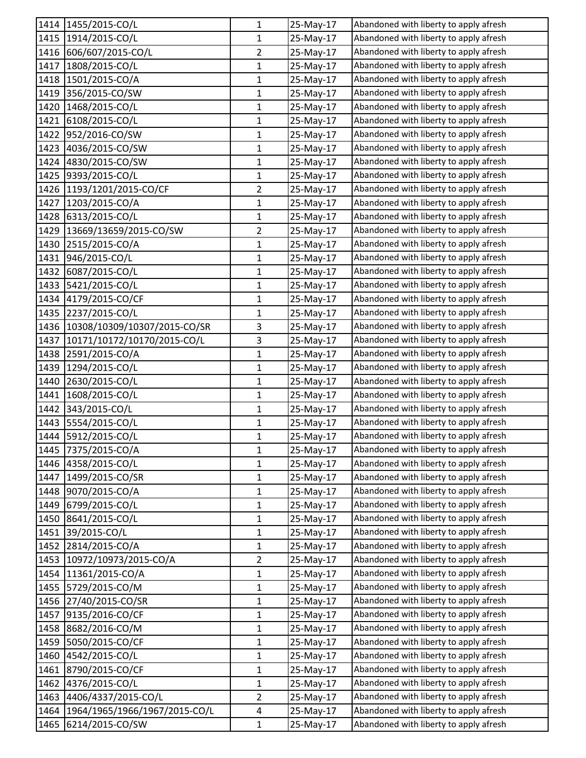|      | 1414 1455/2015-CO/L           | 1              | 25-May-17 | Abandoned with liberty to apply afresh |
|------|-------------------------------|----------------|-----------|----------------------------------------|
| 1415 | 1914/2015-CO/L                | 1              | 25-May-17 | Abandoned with liberty to apply afresh |
| 1416 | 606/607/2015-CO/L             | $\overline{2}$ | 25-May-17 | Abandoned with liberty to apply afresh |
| 1417 | 1808/2015-CO/L                | 1              | 25-May-17 | Abandoned with liberty to apply afresh |
| 1418 | 1501/2015-CO/A                | 1              | 25-May-17 | Abandoned with liberty to apply afresh |
|      | 1419 356/2015-CO/SW           | $\mathbf{1}$   | 25-May-17 | Abandoned with liberty to apply afresh |
| 1420 | 1468/2015-CO/L                | 1              | 25-May-17 | Abandoned with liberty to apply afresh |
| 1421 | 6108/2015-CO/L                | $\mathbf{1}$   | 25-May-17 | Abandoned with liberty to apply afresh |
| 1422 | 952/2016-CO/SW                | 1              | 25-May-17 | Abandoned with liberty to apply afresh |
| 1423 | 4036/2015-CO/SW               | 1              | 25-May-17 | Abandoned with liberty to apply afresh |
| 1424 | 4830/2015-CO/SW               | $\mathbf{1}$   | 25-May-17 | Abandoned with liberty to apply afresh |
|      | 1425 9393/2015-CO/L           | 1              | 25-May-17 | Abandoned with liberty to apply afresh |
|      | 1426 1193/1201/2015-CO/CF     | $\overline{2}$ | 25-May-17 | Abandoned with liberty to apply afresh |
| 1427 | 1203/2015-CO/A                | 1              | 25-May-17 | Abandoned with liberty to apply afresh |
| 1428 | 6313/2015-CO/L                | $\mathbf{1}$   | 25-May-17 | Abandoned with liberty to apply afresh |
| 1429 | 13669/13659/2015-CO/SW        | $\overline{2}$ | 25-May-17 | Abandoned with liberty to apply afresh |
| 1430 | 2515/2015-CO/A                | 1              | 25-May-17 | Abandoned with liberty to apply afresh |
| 1431 | 946/2015-CO/L                 | 1              | 25-May-17 | Abandoned with liberty to apply afresh |
| 1432 | 6087/2015-CO/L                | 1              | 25-May-17 | Abandoned with liberty to apply afresh |
| 1433 | 5421/2015-CO/L                | 1              | 25-May-17 | Abandoned with liberty to apply afresh |
| 1434 | 4179/2015-CO/CF               | $\mathbf{1}$   | 25-May-17 | Abandoned with liberty to apply afresh |
|      | 1435 2237/2015-CO/L           | $\mathbf{1}$   | 25-May-17 | Abandoned with liberty to apply afresh |
| 1436 | 10308/10309/10307/2015-CO/SR  | 3              | 25-May-17 | Abandoned with liberty to apply afresh |
| 1437 | 10171/10172/10170/2015-CO/L   | 3              | 25-May-17 | Abandoned with liberty to apply afresh |
| 1438 | 2591/2015-CO/A                | $\mathbf 1$    | 25-May-17 | Abandoned with liberty to apply afresh |
| 1439 | 1294/2015-CO/L                | $\mathbf{1}$   | 25-May-17 | Abandoned with liberty to apply afresh |
| 1440 | 2630/2015-CO/L                | 1              | 25-May-17 | Abandoned with liberty to apply afresh |
| 1441 | 1608/2015-CO/L                | 1              | 25-May-17 | Abandoned with liberty to apply afresh |
| 1442 | 343/2015-CO/L                 | $\mathbf{1}$   | 25-May-17 | Abandoned with liberty to apply afresh |
| 1443 | 5554/2015-CO/L                | 1              | 25-May-17 | Abandoned with liberty to apply afresh |
|      | 1444 5912/2015-CO/L           | $\mathbf{1}$   | 25-May-17 | Abandoned with liberty to apply afresh |
|      | 1445 7375/2015-CO/A           | 1              | 25-May-17 | Abandoned with liberty to apply afresh |
| 1446 | 4358/2015-CO/L                | $\mathbf{1}$   | 25-May-17 | Abandoned with liberty to apply afresh |
| 1447 | 1499/2015-CO/SR               | $\mathbf{1}$   | 25-May-17 | Abandoned with liberty to apply afresh |
| 1448 | 9070/2015-CO/A                | 1              | 25-May-17 | Abandoned with liberty to apply afresh |
| 1449 | 6799/2015-CO/L                | 1              | 25-May-17 | Abandoned with liberty to apply afresh |
|      | 1450 8641/2015-CO/L           | 1              | 25-May-17 | Abandoned with liberty to apply afresh |
| 1451 | 39/2015-CO/L                  | $\mathbf{1}$   | 25-May-17 | Abandoned with liberty to apply afresh |
| 1452 | 2814/2015-CO/A                | 1              | 25-May-17 | Abandoned with liberty to apply afresh |
|      | 1453 10972/10973/2015-CO/A    | $\overline{2}$ | 25-May-17 | Abandoned with liberty to apply afresh |
| 1454 | 11361/2015-CO/A               | 1              | 25-May-17 | Abandoned with liberty to apply afresh |
| 1455 | 5729/2015-CO/M                | $\mathbf{1}$   | 25-May-17 | Abandoned with liberty to apply afresh |
| 1456 | 27/40/2015-CO/SR              | 1              | 25-May-17 | Abandoned with liberty to apply afresh |
| 1457 | 9135/2016-CO/CF               | $\mathbf{1}$   | 25-May-17 | Abandoned with liberty to apply afresh |
| 1458 | 8682/2016-CO/M                | 1              | 25-May-17 | Abandoned with liberty to apply afresh |
| 1459 | 5050/2015-CO/CF               | 1              | 25-May-17 | Abandoned with liberty to apply afresh |
| 1460 | 4542/2015-CO/L                | $\mathbf 1$    | 25-May-17 | Abandoned with liberty to apply afresh |
| 1461 | 8790/2015-CO/CF               | 1              | 25-May-17 | Abandoned with liberty to apply afresh |
| 1462 | 4376/2015-CO/L                | $\mathbf 1$    | 25-May-17 | Abandoned with liberty to apply afresh |
| 1463 | 4406/4337/2015-CO/L           | $\overline{2}$ | 25-May-17 | Abandoned with liberty to apply afresh |
| 1464 | 1964/1965/1966/1967/2015-CO/L | 4              | 25-May-17 | Abandoned with liberty to apply afresh |
| 1465 | 6214/2015-CO/SW               | $\mathbf{1}$   | 25-May-17 | Abandoned with liberty to apply afresh |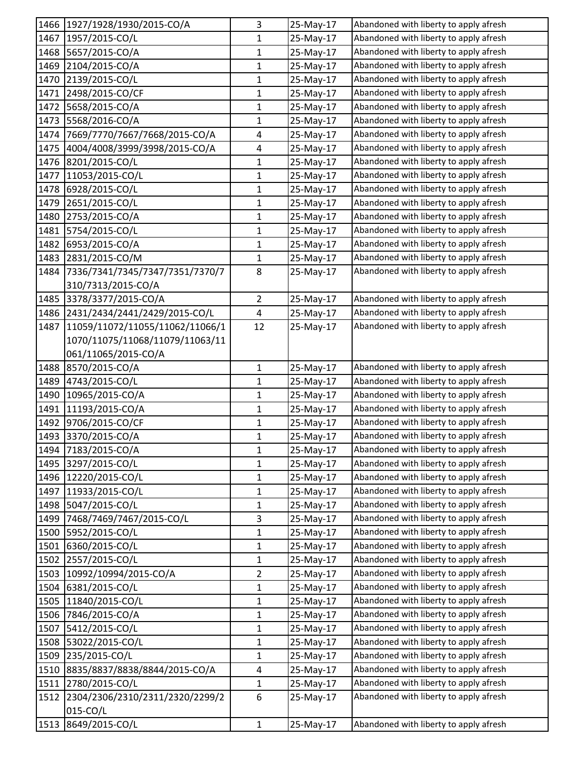|      | 1466 1927/1928/1930/2015-CO/A        | 3              | 25-May-17 | Abandoned with liberty to apply afresh |
|------|--------------------------------------|----------------|-----------|----------------------------------------|
| 1467 | 1957/2015-CO/L                       | 1              | 25-May-17 | Abandoned with liberty to apply afresh |
|      | 1468 5657/2015-CO/A                  | $\mathbf{1}$   | 25-May-17 | Abandoned with liberty to apply afresh |
|      | 1469 2104/2015-CO/A                  | 1              | 25-May-17 | Abandoned with liberty to apply afresh |
| 1470 | 2139/2015-CO/L                       | $\mathbf 1$    | 25-May-17 | Abandoned with liberty to apply afresh |
| 1471 | 2498/2015-CO/CF                      | $\mathbf 1$    | 25-May-17 | Abandoned with liberty to apply afresh |
| 1472 | 5658/2015-CO/A                       | 1              | 25-May-17 | Abandoned with liberty to apply afresh |
|      | 1473 5568/2016-CO/A                  | $\mathbf{1}$   | 25-May-17 | Abandoned with liberty to apply afresh |
| 1474 | 7669/7770/7667/7668/2015-CO/A        | 4              | 25-May-17 | Abandoned with liberty to apply afresh |
| 1475 | 4004/4008/3999/3998/2015-CO/A        | 4              | 25-May-17 | Abandoned with liberty to apply afresh |
| 1476 | 8201/2015-CO/L                       | $\mathbf 1$    | 25-May-17 | Abandoned with liberty to apply afresh |
| 1477 | 11053/2015-CO/L                      | 1              | 25-May-17 | Abandoned with liberty to apply afresh |
| 1478 | 6928/2015-CO/L                       | 1              | 25-May-17 | Abandoned with liberty to apply afresh |
| 1479 | 2651/2015-CO/L                       | 1              | 25-May-17 | Abandoned with liberty to apply afresh |
| 1480 | 2753/2015-CO/A                       | $\mathbf{1}$   | 25-May-17 | Abandoned with liberty to apply afresh |
| 1481 | 5754/2015-CO/L                       | $\mathbf{1}$   | 25-May-17 | Abandoned with liberty to apply afresh |
| 1482 | 6953/2015-CO/A                       | 1              | 25-May-17 | Abandoned with liberty to apply afresh |
| 1483 | 2831/2015-CO/M                       | 1              | 25-May-17 | Abandoned with liberty to apply afresh |
| 1484 | 7336/7341/7345/7347/7351/7370/7      | 8              | 25-May-17 | Abandoned with liberty to apply afresh |
|      | 310/7313/2015-CO/A                   |                |           |                                        |
| 1485 | 3378/3377/2015-CO/A                  | $\overline{2}$ | 25-May-17 | Abandoned with liberty to apply afresh |
|      | 1486 2431/2434/2441/2429/2015-CO/L   | 4              | 25-May-17 | Abandoned with liberty to apply afresh |
|      | 1487 11059/11072/11055/11062/11066/1 | 12             | 25-May-17 | Abandoned with liberty to apply afresh |
|      | 1070/11075/11068/11079/11063/11      |                |           |                                        |
|      | 061/11065/2015-CO/A                  |                |           |                                        |
| 1488 | 8570/2015-CO/A                       | $\mathbf{1}$   | 25-May-17 | Abandoned with liberty to apply afresh |
| 1489 | 4743/2015-CO/L                       | 1              | 25-May-17 | Abandoned with liberty to apply afresh |
| 1490 | 10965/2015-CO/A                      | $\mathbf{1}$   | 25-May-17 | Abandoned with liberty to apply afresh |
| 1491 | 11193/2015-CO/A                      | $\mathbf{1}$   | 25-May-17 | Abandoned with liberty to apply afresh |
| 1492 | 9706/2015-CO/CF                      | $\mathbf{1}$   | 25-May-17 | Abandoned with liberty to apply afresh |
| 1493 | 3370/2015-CO/A                       | $\mathbf{1}$   | 25-May-17 | Abandoned with liberty to apply afresh |
|      | 1494 7183/2015-CO/A                  | 1              | 25-May-17 | Abandoned with liberty to apply afresh |
| 1495 | 3297/2015-CO/L                       | 1              | 25-May-17 | Abandoned with liberty to apply afresh |
| 1496 | 12220/2015-CO/L                      | $\mathbf{1}$   | 25-May-17 | Abandoned with liberty to apply afresh |
|      | 1497 11933/2015-CO/L                 | $\mathbf{1}$   | 25-May-17 | Abandoned with liberty to apply afresh |
|      | 1498 5047/2015-CO/L                  | 1              | 25-May-17 | Abandoned with liberty to apply afresh |
|      | 1499 7468/7469/7467/2015-CO/L        | $\mathbf{3}$   | 25-May-17 | Abandoned with liberty to apply afresh |
| 1500 | 5952/2015-CO/L                       | 1              | 25-May-17 | Abandoned with liberty to apply afresh |
| 1501 | 6360/2015-CO/L                       | $\mathbf{1}$   | 25-May-17 | Abandoned with liberty to apply afresh |
|      | 1502 2557/2015-CO/L                  | $\mathbf{1}$   | 25-May-17 | Abandoned with liberty to apply afresh |
| 1503 | 10992/10994/2015-CO/A                | $\overline{2}$ | 25-May-17 | Abandoned with liberty to apply afresh |
|      | 1504 6381/2015-CO/L                  | $\mathbf{1}$   | 25-May-17 | Abandoned with liberty to apply afresh |
| 1505 | 11840/2015-CO/L                      | 1              | 25-May-17 | Abandoned with liberty to apply afresh |
| 1506 | 7846/2015-CO/A                       | $\mathbf{1}$   | 25-May-17 | Abandoned with liberty to apply afresh |
| 1507 | 5412/2015-CO/L                       | 1              | 25-May-17 | Abandoned with liberty to apply afresh |
| 1508 | 53022/2015-CO/L                      | 1              | 25-May-17 | Abandoned with liberty to apply afresh |
| 1509 | 235/2015-CO/L                        | $\mathbf{1}$   | 25-May-17 | Abandoned with liberty to apply afresh |
| 1510 | 8835/8837/8838/8844/2015-CO/A        | 4              | 25-May-17 | Abandoned with liberty to apply afresh |
| 1511 | 2780/2015-CO/L                       | $\mathbf{1}$   | 25-May-17 | Abandoned with liberty to apply afresh |
| 1512 | 2304/2306/2310/2311/2320/2299/2      | 6              | 25-May-17 | Abandoned with liberty to apply afresh |
|      | 015-CO/L                             |                |           |                                        |
| 1513 | 8649/2015-CO/L                       | $\mathbf{1}$   | 25-May-17 | Abandoned with liberty to apply afresh |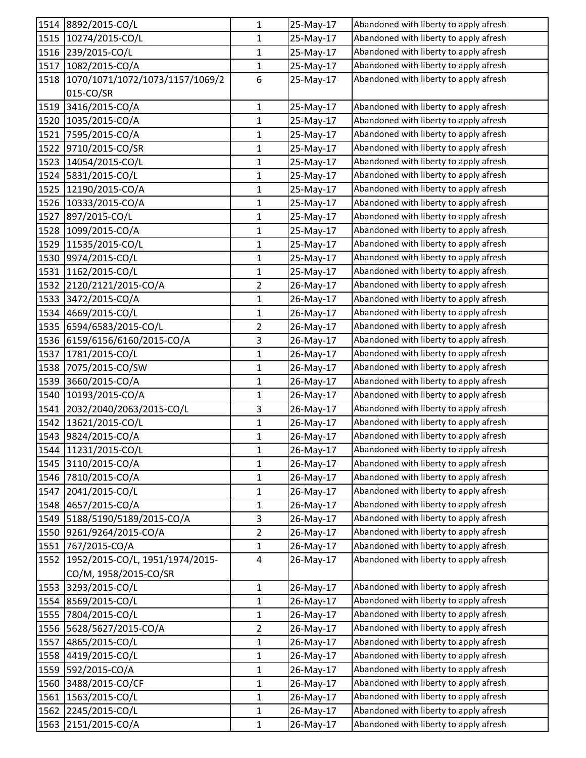| 1514 | 8892/2015-CO/L                  | $\mathbf{1}$   | 25-May-17 | Abandoned with liberty to apply afresh |
|------|---------------------------------|----------------|-----------|----------------------------------------|
| 1515 | 10274/2015-CO/L                 | $\mathbf{1}$   | 25-May-17 | Abandoned with liberty to apply afresh |
| 1516 | 239/2015-CO/L                   | $\mathbf{1}$   | 25-May-17 | Abandoned with liberty to apply afresh |
| 1517 | 1082/2015-CO/A                  | $\mathbf{1}$   | 25-May-17 | Abandoned with liberty to apply afresh |
| 1518 | 1070/1071/1072/1073/1157/1069/2 | 6              | 25-May-17 | Abandoned with liberty to apply afresh |
|      | 015-CO/SR                       |                |           |                                        |
| 1519 | 3416/2015-CO/A                  | $\mathbf{1}$   | 25-May-17 | Abandoned with liberty to apply afresh |
| 1520 | 1035/2015-CO/A                  | $\mathbf{1}$   | 25-May-17 | Abandoned with liberty to apply afresh |
| 1521 | 7595/2015-CO/A                  | $\mathbf{1}$   | 25-May-17 | Abandoned with liberty to apply afresh |
| 1522 | 9710/2015-CO/SR                 | $\mathbf{1}$   | 25-May-17 | Abandoned with liberty to apply afresh |
| 1523 | 14054/2015-CO/L                 | $\mathbf{1}$   | 25-May-17 | Abandoned with liberty to apply afresh |
| 1524 | 5831/2015-CO/L                  | 1              | 25-May-17 | Abandoned with liberty to apply afresh |
| 1525 | 12190/2015-CO/A                 | $\mathbf{1}$   | 25-May-17 | Abandoned with liberty to apply afresh |
| 1526 | 10333/2015-CO/A                 | $\mathbf{1}$   | 25-May-17 | Abandoned with liberty to apply afresh |
| 1527 | 897/2015-CO/L                   | 1              | 25-May-17 | Abandoned with liberty to apply afresh |
| 1528 | 1099/2015-CO/A                  | $\mathbf{1}$   | 25-May-17 | Abandoned with liberty to apply afresh |
| 1529 | 11535/2015-CO/L                 | 1              | 25-May-17 | Abandoned with liberty to apply afresh |
| 1530 | 9974/2015-CO/L                  | $\mathbf{1}$   | 25-May-17 | Abandoned with liberty to apply afresh |
| 1531 | 1162/2015-CO/L                  | $\mathbf{1}$   | 25-May-17 | Abandoned with liberty to apply afresh |
| 1532 | 2120/2121/2015-CO/A             | $\overline{2}$ | 26-May-17 | Abandoned with liberty to apply afresh |
| 1533 | 3472/2015-CO/A                  | $\mathbf{1}$   | 26-May-17 | Abandoned with liberty to apply afresh |
| 1534 | 4669/2015-CO/L                  | 1              | 26-May-17 | Abandoned with liberty to apply afresh |
| 1535 | 6594/6583/2015-CO/L             | 2              | 26-May-17 | Abandoned with liberty to apply afresh |
| 1536 | 6159/6156/6160/2015-CO/A        | $\mathbf{3}$   | 26-May-17 | Abandoned with liberty to apply afresh |
| 1537 | 1781/2015-CO/L                  | $\mathbf{1}$   | 26-May-17 | Abandoned with liberty to apply afresh |
| 1538 | 7075/2015-CO/SW                 | 1              | 26-May-17 | Abandoned with liberty to apply afresh |
| 1539 | 3660/2015-CO/A                  | 1              | 26-May-17 | Abandoned with liberty to apply afresh |
| 1540 | 10193/2015-CO/A                 | $\mathbf{1}$   | 26-May-17 | Abandoned with liberty to apply afresh |
| 1541 | 2032/2040/2063/2015-CO/L        | $\overline{3}$ | 26-May-17 | Abandoned with liberty to apply afresh |
| 1542 | 13621/2015-CO/L                 | $\mathbf 1$    | 26-May-17 | Abandoned with liberty to apply afresh |
| 1543 | 9824/2015-CO/A                  | $\mathbf{1}$   | 26-May-17 | Abandoned with liberty to apply afresh |
|      | 1544 11231/2015-CO/L            | 1              | 26-May-17 | Abandoned with liberty to apply afresh |
| 1545 | 3110/2015-CO/A                  | 1              | 26-May-17 | Abandoned with liberty to apply afresh |
| 1546 | 7810/2015-CO/A                  | $\mathbf 1$    | 26-May-17 | Abandoned with liberty to apply afresh |
| 1547 | 2041/2015-CO/L                  | $\mathbf{1}$   | 26-May-17 | Abandoned with liberty to apply afresh |
| 1548 | 4657/2015-CO/A                  | $\mathbf{1}$   | 26-May-17 | Abandoned with liberty to apply afresh |
| 1549 | 5188/5190/5189/2015-CO/A        | 3              | 26-May-17 | Abandoned with liberty to apply afresh |
| 1550 | 9261/9264/2015-CO/A             | $\overline{2}$ | 26-May-17 | Abandoned with liberty to apply afresh |
| 1551 | 767/2015-CO/A                   | $\mathbf{1}$   | 26-May-17 | Abandoned with liberty to apply afresh |
| 1552 | 1952/2015-CO/L, 1951/1974/2015- | $\overline{4}$ | 26-May-17 | Abandoned with liberty to apply afresh |
|      | CO/M, 1958/2015-CO/SR           |                |           |                                        |
| 1553 | 3293/2015-CO/L                  | $\mathbf{1}$   | 26-May-17 | Abandoned with liberty to apply afresh |
| 1554 | 8569/2015-CO/L                  | $\mathbf{1}$   | 26-May-17 | Abandoned with liberty to apply afresh |
| 1555 | 7804/2015-CO/L                  | $\mathbf{1}$   | 26-May-17 | Abandoned with liberty to apply afresh |
| 1556 | 5628/5627/2015-CO/A             | $\overline{2}$ | 26-May-17 | Abandoned with liberty to apply afresh |
| 1557 | 4865/2015-CO/L                  | $\mathbf{1}$   | 26-May-17 | Abandoned with liberty to apply afresh |
| 1558 | 4419/2015-CO/L                  | $\mathbf{1}$   | 26-May-17 | Abandoned with liberty to apply afresh |
| 1559 | 592/2015-CO/A                   | $\mathbf{1}$   | 26-May-17 | Abandoned with liberty to apply afresh |
| 1560 | 3488/2015-CO/CF                 | $\mathbf{1}$   | 26-May-17 | Abandoned with liberty to apply afresh |
| 1561 | 1563/2015-CO/L                  | $\mathbf{1}$   | 26-May-17 | Abandoned with liberty to apply afresh |
| 1562 | 2245/2015-CO/L                  | $\mathbf{1}$   | 26-May-17 | Abandoned with liberty to apply afresh |
| 1563 | 2151/2015-CO/A                  | $\mathbf{1}$   | 26-May-17 | Abandoned with liberty to apply afresh |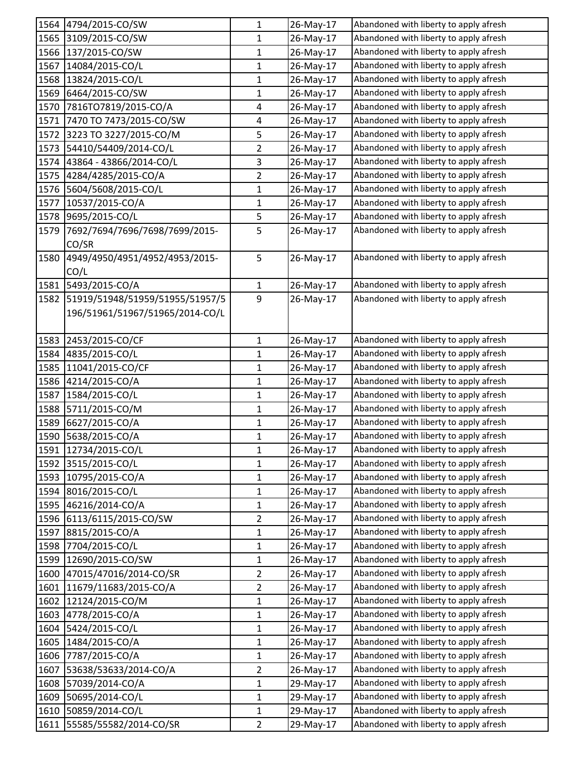|      | 1564 4794/2015-CO/SW                        | 1              | 26-May-17 | Abandoned with liberty to apply afresh |
|------|---------------------------------------------|----------------|-----------|----------------------------------------|
|      | 1565 3109/2015-CO/SW                        | 1              | 26-May-17 | Abandoned with liberty to apply afresh |
| 1566 | 137/2015-CO/SW                              | $\mathbf{1}$   | 26-May-17 | Abandoned with liberty to apply afresh |
| 1567 | 14084/2015-CO/L                             | $\mathbf{1}$   | 26-May-17 | Abandoned with liberty to apply afresh |
| 1568 | 13824/2015-CO/L                             | 1              | 26-May-17 | Abandoned with liberty to apply afresh |
| 1569 | 6464/2015-CO/SW                             | $\mathbf{1}$   | 26-May-17 | Abandoned with liberty to apply afresh |
| 1570 | 7816TO7819/2015-CO/A                        | 4              | 26-May-17 | Abandoned with liberty to apply afresh |
| 1571 | 7470 TO 7473/2015-CO/SW                     | 4              | 26-May-17 | Abandoned with liberty to apply afresh |
|      | 1572 3223 TO 3227/2015-CO/M                 | 5              | 26-May-17 | Abandoned with liberty to apply afresh |
| 1573 | 54410/54409/2014-CO/L                       | $\overline{2}$ | 26-May-17 | Abandoned with liberty to apply afresh |
| 1574 | 43864 - 43866/2014-CO/L                     | $\mathbf{3}$   | 26-May-17 | Abandoned with liberty to apply afresh |
| 1575 | 4284/4285/2015-CO/A                         | $\overline{2}$ | 26-May-17 | Abandoned with liberty to apply afresh |
| 1576 | 5604/5608/2015-CO/L                         | $\mathbf{1}$   | 26-May-17 | Abandoned with liberty to apply afresh |
| 1577 | 10537/2015-CO/A                             | 1              | 26-May-17 | Abandoned with liberty to apply afresh |
| 1578 | 9695/2015-CO/L                              | 5              | 26-May-17 | Abandoned with liberty to apply afresh |
| 1579 | 7692/7694/7696/7698/7699/2015-              | 5              | 26-May-17 | Abandoned with liberty to apply afresh |
|      | CO/SR                                       |                |           |                                        |
| 1580 | 4949/4950/4951/4952/4953/2015-              | 5              | 26-May-17 | Abandoned with liberty to apply afresh |
|      | CO/L                                        |                |           |                                        |
|      | 1581 5493/2015-CO/A                         | $\mathbf 1$    | 26-May-17 | Abandoned with liberty to apply afresh |
| 1582 | 51919/51948/51959/51955/51957/5             | 9              | 26-May-17 | Abandoned with liberty to apply afresh |
|      | 196/51961/51967/51965/2014-CO/L             |                |           |                                        |
|      |                                             |                |           |                                        |
|      | 1583 2453/2015-CO/CF                        | $\mathbf{1}$   | 26-May-17 | Abandoned with liberty to apply afresh |
| 1584 | 4835/2015-CO/L                              | 1              | 26-May-17 | Abandoned with liberty to apply afresh |
| 1585 | 11041/2015-CO/CF                            | $\mathbf{1}$   | 26-May-17 | Abandoned with liberty to apply afresh |
| 1586 | 4214/2015-CO/A                              | 1              | 26-May-17 | Abandoned with liberty to apply afresh |
| 1587 | 1584/2015-CO/L                              | 1              | 26-May-17 | Abandoned with liberty to apply afresh |
| 1588 | 5711/2015-CO/M                              | $\mathbf{1}$   | 26-May-17 | Abandoned with liberty to apply afresh |
| 1589 | 6627/2015-CO/A                              | 1              | 26-May-17 | Abandoned with liberty to apply afresh |
| 1590 | 5638/2015-CO/A                              | $\mathbf{1}$   | 26-May-17 | Abandoned with liberty to apply afresh |
|      | 1591 12734/2015-CO/L                        | 1              | 26-May-17 | Abandoned with liberty to apply afresh |
|      | 1592 3515/2015-CO/L                         | $\mathbf{1}$   | 26-May-17 | Abandoned with liberty to apply afresh |
|      | 1593 10795/2015-CO/A                        | $\mathbf{1}$   | 26-May-17 | Abandoned with liberty to apply afresh |
|      | 1594 8016/2015-CO/L                         | 1              | 26-May-17 | Abandoned with liberty to apply afresh |
| 1595 | 46216/2014-CO/A                             | $\mathbf{1}$   |           | Abandoned with liberty to apply afresh |
|      |                                             | $\overline{2}$ | 26-May-17 | Abandoned with liberty to apply afresh |
| 1597 | 1596 6113/6115/2015-CO/SW<br>8815/2015-CO/A | $\mathbf{1}$   | 26-May-17 | Abandoned with liberty to apply afresh |
|      |                                             |                | 26-May-17 | Abandoned with liberty to apply afresh |
| 1598 | 7704/2015-CO/L<br>12690/2015-CO/SW          | 1              | 26-May-17 | Abandoned with liberty to apply afresh |
| 1599 |                                             | 1              | 26-May-17 | Abandoned with liberty to apply afresh |
| 1600 | 47015/47016/2014-CO/SR                      | $\overline{2}$ | 26-May-17 |                                        |
| 1601 | 11679/11683/2015-CO/A                       | $\overline{2}$ | 26-May-17 | Abandoned with liberty to apply afresh |
| 1602 | 12124/2015-CO/M                             | 1              | 26-May-17 | Abandoned with liberty to apply afresh |
| 1603 | 4778/2015-CO/A                              | $\mathbf 1$    | 26-May-17 | Abandoned with liberty to apply afresh |
| 1604 | 5424/2015-CO/L                              | 1              | 26-May-17 | Abandoned with liberty to apply afresh |
| 1605 | 1484/2015-CO/A                              | 1              | 26-May-17 | Abandoned with liberty to apply afresh |
| 1606 | 7787/2015-CO/A                              | $\mathbf 1$    | 26-May-17 | Abandoned with liberty to apply afresh |
| 1607 | 53638/53633/2014-CO/A                       | $\overline{2}$ | 26-May-17 | Abandoned with liberty to apply afresh |
| 1608 | 57039/2014-CO/A                             | $\mathbf{1}$   | 29-May-17 | Abandoned with liberty to apply afresh |
| 1609 | 50695/2014-CO/L                             | 1              | 29-May-17 | Abandoned with liberty to apply afresh |
| 1610 | 50859/2014-CO/L                             | $\mathbf{1}$   | 29-May-17 | Abandoned with liberty to apply afresh |
| 1611 | 55585/55582/2014-CO/SR                      | $\overline{2}$ | 29-May-17 | Abandoned with liberty to apply afresh |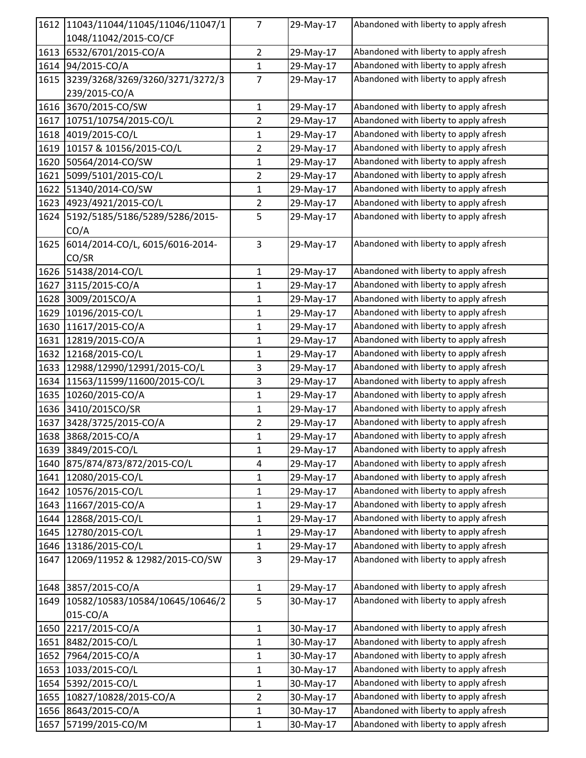| 1612 | 11043/11044/11045/11046/11047/1 | 7              | 29-May-17 | Abandoned with liberty to apply afresh |
|------|---------------------------------|----------------|-----------|----------------------------------------|
|      | 1048/11042/2015-CO/CF           |                |           |                                        |
| 1613 | 6532/6701/2015-CO/A             | $\overline{2}$ | 29-May-17 | Abandoned with liberty to apply afresh |
| 1614 | 94/2015-CO/A                    | $\mathbf{1}$   | 29-May-17 | Abandoned with liberty to apply afresh |
| 1615 | 3239/3268/3269/3260/3271/3272/3 | $\overline{7}$ | 29-May-17 | Abandoned with liberty to apply afresh |
|      | 239/2015-CO/A                   |                |           |                                        |
| 1616 | 3670/2015-CO/SW                 | $\mathbf{1}$   | 29-May-17 | Abandoned with liberty to apply afresh |
| 1617 | 10751/10754/2015-CO/L           | $\overline{2}$ | 29-May-17 | Abandoned with liberty to apply afresh |
| 1618 | 4019/2015-CO/L                  | 1              | 29-May-17 | Abandoned with liberty to apply afresh |
| 1619 | 10157 & 10156/2015-CO/L         | $\overline{2}$ | 29-May-17 | Abandoned with liberty to apply afresh |
| 1620 | 50564/2014-CO/SW                | 1              | 29-May-17 | Abandoned with liberty to apply afresh |
| 1621 | 5099/5101/2015-CO/L             | 2              | 29-May-17 | Abandoned with liberty to apply afresh |
| 1622 | 51340/2014-CO/SW                | 1              | 29-May-17 | Abandoned with liberty to apply afresh |
| 1623 | 4923/4921/2015-CO/L             | $\overline{2}$ | 29-May-17 | Abandoned with liberty to apply afresh |
| 1624 | 5192/5185/5186/5289/5286/2015-  | 5              | 29-May-17 | Abandoned with liberty to apply afresh |
|      | CO/A                            |                |           |                                        |
| 1625 | 6014/2014-CO/L, 6015/6016-2014- | 3              | 29-May-17 | Abandoned with liberty to apply afresh |
|      | CO/SR                           |                |           |                                        |
|      | 1626 51438/2014-CO/L            | $\mathbf{1}$   | 29-May-17 | Abandoned with liberty to apply afresh |
| 1627 | 3115/2015-CO/A                  | $\mathbf{1}$   | 29-May-17 | Abandoned with liberty to apply afresh |
| 1628 | 3009/2015CO/A                   | $\mathbf{1}$   | 29-May-17 | Abandoned with liberty to apply afresh |
| 1629 | 10196/2015-CO/L                 | 1              | 29-May-17 | Abandoned with liberty to apply afresh |
| 1630 | 11617/2015-CO/A                 | 1              | 29-May-17 | Abandoned with liberty to apply afresh |
| 1631 | 12819/2015-CO/A                 | 1              | 29-May-17 | Abandoned with liberty to apply afresh |
| 1632 | 12168/2015-CO/L                 | $\mathbf{1}$   | 29-May-17 | Abandoned with liberty to apply afresh |
| 1633 | 12988/12990/12991/2015-CO/L     | $\mathbf{3}$   | 29-May-17 | Abandoned with liberty to apply afresh |
| 1634 | 11563/11599/11600/2015-CO/L     | $\mathbf{3}$   | 29-May-17 | Abandoned with liberty to apply afresh |
| 1635 | 10260/2015-CO/A                 | 1              | 29-May-17 | Abandoned with liberty to apply afresh |
| 1636 | 3410/2015CO/SR                  | $\mathbf{1}$   | 29-May-17 | Abandoned with liberty to apply afresh |
| 1637 | 3428/3725/2015-CO/A             | $\overline{2}$ | 29-May-17 | Abandoned with liberty to apply afresh |
| 1638 | 3868/2015-CO/A                  | 1              | 29-May-17 | Abandoned with liberty to apply afresh |
|      | 1639 3849/2015-CO/L             | 1              | 29-May-17 | Abandoned with liberty to apply afresh |
| 1640 | 875/874/873/872/2015-CO/L       | 4              | 29-May-17 | Abandoned with liberty to apply afresh |
| 1641 | 12080/2015-CO/L                 | $\mathbf 1$    | 29-May-17 | Abandoned with liberty to apply afresh |
| 1642 | 10576/2015-CO/L                 | $\mathbf{1}$   | 29-May-17 | Abandoned with liberty to apply afresh |
| 1643 | 11667/2015-CO/A                 | $\mathbf{1}$   | 29-May-17 | Abandoned with liberty to apply afresh |
| 1644 | 12868/2015-CO/L                 | $\mathbf{1}$   | 29-May-17 | Abandoned with liberty to apply afresh |
| 1645 | 12780/2015-CO/L                 | 1              | 29-May-17 | Abandoned with liberty to apply afresh |
| 1646 | 13186/2015-CO/L                 | $\mathbf{1}$   | 29-May-17 | Abandoned with liberty to apply afresh |
| 1647 | 12069/11952 & 12982/2015-CO/SW  | 3              | 29-May-17 | Abandoned with liberty to apply afresh |
|      |                                 |                |           |                                        |
|      | 1648 3857/2015-CO/A             | 1              | 29-May-17 | Abandoned with liberty to apply afresh |
| 1649 | 10582/10583/10584/10645/10646/2 | 5              | 30-May-17 | Abandoned with liberty to apply afresh |
|      | 015-CO/A                        |                |           |                                        |
| 1650 | 2217/2015-CO/A                  | $\mathbf{1}$   | 30-May-17 | Abandoned with liberty to apply afresh |
| 1651 | 8482/2015-CO/L                  | $\mathbf{1}$   | 30-May-17 | Abandoned with liberty to apply afresh |
| 1652 | 7964/2015-CO/A                  | $\mathbf{1}$   | 30-May-17 | Abandoned with liberty to apply afresh |
| 1653 | 1033/2015-CO/L                  | $\mathbf{1}$   | 30-May-17 | Abandoned with liberty to apply afresh |
| 1654 | 5392/2015-CO/L                  | $\mathbf{1}$   | 30-May-17 | Abandoned with liberty to apply afresh |
| 1655 | 10827/10828/2015-CO/A           | $\overline{2}$ | 30-May-17 | Abandoned with liberty to apply afresh |
| 1656 | 8643/2015-CO/A                  | 1              | 30-May-17 | Abandoned with liberty to apply afresh |
| 1657 | 57199/2015-CO/M                 | $\mathbf{1}$   | 30-May-17 | Abandoned with liberty to apply afresh |
|      |                                 |                |           |                                        |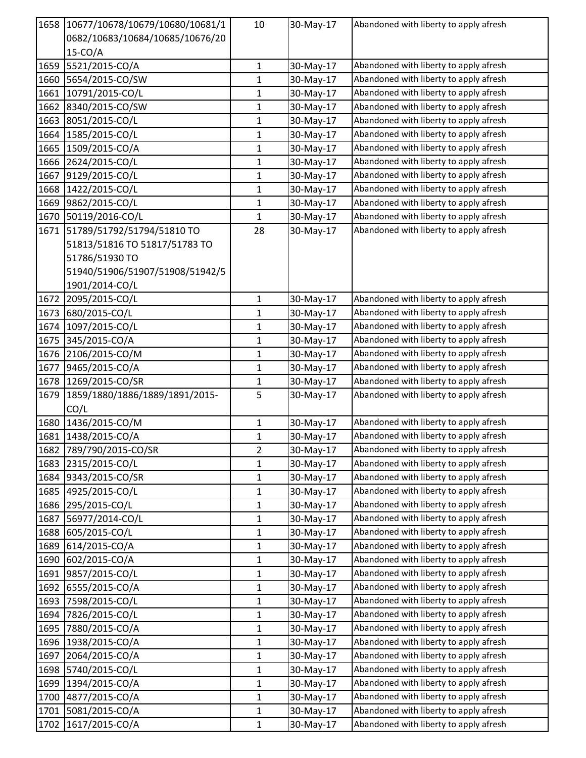| 1658 | 10677/10678/10679/10680/10681/1 | 10           | 30-May-17 | Abandoned with liberty to apply afresh |
|------|---------------------------------|--------------|-----------|----------------------------------------|
|      | 0682/10683/10684/10685/10676/20 |              |           |                                        |
|      | $15-CO/A$                       |              |           |                                        |
| 1659 | 5521/2015-CO/A                  | $\mathbf{1}$ | 30-May-17 | Abandoned with liberty to apply afresh |
| 1660 | 5654/2015-CO/SW                 | $\mathbf{1}$ | 30-May-17 | Abandoned with liberty to apply afresh |
| 1661 | 10791/2015-CO/L                 | 1            | 30-May-17 | Abandoned with liberty to apply afresh |
| 1662 | 8340/2015-CO/SW                 | $\mathbf{1}$ | 30-May-17 | Abandoned with liberty to apply afresh |
| 1663 | 8051/2015-CO/L                  | 1            | 30-May-17 | Abandoned with liberty to apply afresh |
| 1664 | 1585/2015-CO/L                  | 1            | 30-May-17 | Abandoned with liberty to apply afresh |
| 1665 | 1509/2015-CO/A                  | 1            | 30-May-17 | Abandoned with liberty to apply afresh |
| 1666 | 2624/2015-CO/L                  | 1            | 30-May-17 | Abandoned with liberty to apply afresh |
| 1667 | 9129/2015-CO/L                  | 1            | 30-May-17 | Abandoned with liberty to apply afresh |
| 1668 | 1422/2015-CO/L                  | $\mathbf{1}$ | 30-May-17 | Abandoned with liberty to apply afresh |
| 1669 | 9862/2015-CO/L                  | 1            | 30-May-17 | Abandoned with liberty to apply afresh |
| 1670 | 50119/2016-CO/L                 | 1            | 30-May-17 | Abandoned with liberty to apply afresh |
| 1671 | 51789/51792/51794/51810 TO      | 28           | 30-May-17 | Abandoned with liberty to apply afresh |
|      | 51813/51816 TO 51817/51783 TO   |              |           |                                        |
|      | 51786/51930 TO                  |              |           |                                        |
|      | 51940/51906/51907/51908/51942/5 |              |           |                                        |
|      | 1901/2014-CO/L                  |              |           |                                        |
| 1672 | 2095/2015-CO/L                  | $\mathbf{1}$ | 30-May-17 | Abandoned with liberty to apply afresh |
| 1673 | 680/2015-CO/L                   | 1            | 30-May-17 | Abandoned with liberty to apply afresh |
| 1674 | 1097/2015-CO/L                  | 1            | 30-May-17 | Abandoned with liberty to apply afresh |
| 1675 | 345/2015-CO/A                   | 1            | 30-May-17 | Abandoned with liberty to apply afresh |
| 1676 | 2106/2015-CO/M                  | $\mathbf{1}$ | 30-May-17 | Abandoned with liberty to apply afresh |
| 1677 | 9465/2015-CO/A                  | 1            | 30-May-17 | Abandoned with liberty to apply afresh |
|      | 1678 1269/2015-CO/SR            | 1            | 30-May-17 | Abandoned with liberty to apply afresh |
| 1679 | 1859/1880/1886/1889/1891/2015-  | 5            | 30-May-17 | Abandoned with liberty to apply afresh |
|      | CO/L                            |              |           |                                        |
| 1680 | 1436/2015-CO/M                  | $\mathbf{1}$ | 30-May-17 | Abandoned with liberty to apply afresh |
| 1681 | 1438/2015-CO/A                  | $\mathbf{1}$ | 30-May-17 | Abandoned with liberty to apply afresh |
|      | 1682 789/790/2015-CO/SR         | 2            | 30-May-17 | Abandoned with liberty to apply afresh |
| 1683 | 2315/2015-CO/L                  | 1            | 30-May-17 | Abandoned with liberty to apply afresh |
| 1684 | 9343/2015-CO/SR                 | $\mathbf 1$  | 30-May-17 | Abandoned with liberty to apply afresh |
| 1685 | 4925/2015-CO/L                  | $\mathbf{1}$ | 30-May-17 | Abandoned with liberty to apply afresh |
| 1686 | 295/2015-CO/L                   | $\mathbf{1}$ | 30-May-17 | Abandoned with liberty to apply afresh |
| 1687 | 56977/2014-CO/L                 | $\mathbf{1}$ | 30-May-17 | Abandoned with liberty to apply afresh |
| 1688 | 605/2015-CO/L                   | 1            | 30-May-17 | Abandoned with liberty to apply afresh |
| 1689 | 614/2015-CO/A                   | $\mathbf{1}$ | 30-May-17 | Abandoned with liberty to apply afresh |
| 1690 | 602/2015-CO/A                   | 1            | 30-May-17 | Abandoned with liberty to apply afresh |
| 1691 | 9857/2015-CO/L                  | $\mathbf{1}$ | 30-May-17 | Abandoned with liberty to apply afresh |
| 1692 | 6555/2015-CO/A                  | $\mathbf{1}$ | 30-May-17 | Abandoned with liberty to apply afresh |
| 1693 | 7598/2015-CO/L                  | $\mathbf{1}$ | 30-May-17 | Abandoned with liberty to apply afresh |
| 1694 | 7826/2015-CO/L                  | $\mathbf{1}$ | 30-May-17 | Abandoned with liberty to apply afresh |
| 1695 | 7880/2015-CO/A                  | 1            | 30-May-17 | Abandoned with liberty to apply afresh |
| 1696 | 1938/2015-CO/A                  | 1            | 30-May-17 | Abandoned with liberty to apply afresh |
| 1697 | 2064/2015-CO/A                  | $\mathbf{1}$ | 30-May-17 | Abandoned with liberty to apply afresh |
| 1698 | 5740/2015-CO/L                  | $\mathbf{1}$ | 30-May-17 | Abandoned with liberty to apply afresh |
| 1699 | 1394/2015-CO/A                  | 1            | 30-May-17 | Abandoned with liberty to apply afresh |
| 1700 | 4877/2015-CO/A                  | $\mathbf{1}$ | 30-May-17 | Abandoned with liberty to apply afresh |
| 1701 | 5081/2015-CO/A                  | $\mathbf{1}$ | 30-May-17 | Abandoned with liberty to apply afresh |
| 1702 | 1617/2015-CO/A                  | $\mathbf{1}$ | 30-May-17 | Abandoned with liberty to apply afresh |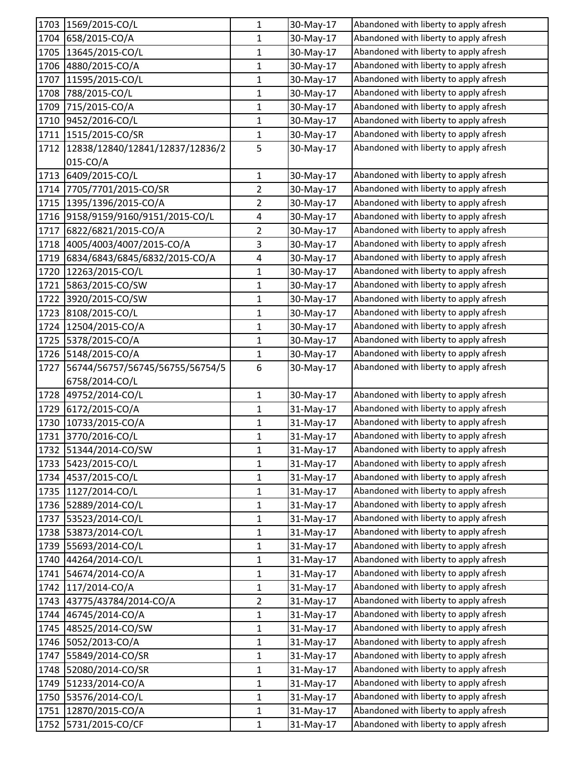|      | 1703 1569/2015-CO/L             | 1              | 30-May-17 | Abandoned with liberty to apply afresh |
|------|---------------------------------|----------------|-----------|----------------------------------------|
| 1704 | 658/2015-CO/A                   | $\mathbf{1}$   | 30-May-17 | Abandoned with liberty to apply afresh |
| 1705 | 13645/2015-CO/L                 | $\mathbf{1}$   | 30-May-17 | Abandoned with liberty to apply afresh |
| 1706 | 4880/2015-CO/A                  | $\mathbf{1}$   | 30-May-17 | Abandoned with liberty to apply afresh |
| 1707 | 11595/2015-CO/L                 | $\mathbf{1}$   | 30-May-17 | Abandoned with liberty to apply afresh |
| 1708 | 788/2015-CO/L                   | 1              | 30-May-17 | Abandoned with liberty to apply afresh |
| 1709 | 715/2015-CO/A                   | $\mathbf{1}$   | 30-May-17 | Abandoned with liberty to apply afresh |
| 1710 | 9452/2016-CO/L                  | $\mathbf{1}$   | 30-May-17 | Abandoned with liberty to apply afresh |
|      | 1711 1515/2015-CO/SR            | $\mathbf{1}$   | 30-May-17 | Abandoned with liberty to apply afresh |
| 1712 | 12838/12840/12841/12837/12836/2 | 5              | 30-May-17 | Abandoned with liberty to apply afresh |
|      | 015-CO/A                        |                |           |                                        |
| 1713 | 6409/2015-CO/L                  | $\mathbf 1$    | 30-May-17 | Abandoned with liberty to apply afresh |
| 1714 | 7705/7701/2015-CO/SR            | $\overline{2}$ | 30-May-17 | Abandoned with liberty to apply afresh |
| 1715 | 1395/1396/2015-CO/A             | $\overline{2}$ | 30-May-17 | Abandoned with liberty to apply afresh |
| 1716 | 9158/9159/9160/9151/2015-CO/L   | 4              | 30-May-17 | Abandoned with liberty to apply afresh |
| 1717 | 6822/6821/2015-CO/A             | $\overline{2}$ | 30-May-17 | Abandoned with liberty to apply afresh |
| 1718 | 4005/4003/4007/2015-CO/A        | 3              | 30-May-17 | Abandoned with liberty to apply afresh |
| 1719 | 6834/6843/6845/6832/2015-CO/A   | 4              | 30-May-17 | Abandoned with liberty to apply afresh |
| 1720 | 12263/2015-CO/L                 | 1              | 30-May-17 | Abandoned with liberty to apply afresh |
| 1721 | 5863/2015-CO/SW                 | $\mathbf{1}$   | 30-May-17 | Abandoned with liberty to apply afresh |
| 1722 | 3920/2015-CO/SW                 | 1              | 30-May-17 | Abandoned with liberty to apply afresh |
| 1723 | 8108/2015-CO/L                  | $\mathbf{1}$   | 30-May-17 | Abandoned with liberty to apply afresh |
| 1724 | 12504/2015-CO/A                 | 1              | 30-May-17 | Abandoned with liberty to apply afresh |
| 1725 | 5378/2015-CO/A                  | 1              | 30-May-17 | Abandoned with liberty to apply afresh |
| 1726 | 5148/2015-CO/A                  | $\mathbf{1}$   | 30-May-17 | Abandoned with liberty to apply afresh |
| 1727 | 56744/56757/56745/56755/56754/5 | 6              | 30-May-17 | Abandoned with liberty to apply afresh |
|      | 6758/2014-CO/L                  |                |           |                                        |
| 1728 | 49752/2014-CO/L                 | 1              | 30-May-17 | Abandoned with liberty to apply afresh |
| 1729 | 6172/2015-CO/A                  | $\mathbf{1}$   | 31-May-17 | Abandoned with liberty to apply afresh |
| 1730 | 10733/2015-CO/A                 | 1              | 31-May-17 | Abandoned with liberty to apply afresh |
| 1731 | 3770/2016-CO/L                  | $\mathbf{1}$   | 31-May-17 | Abandoned with liberty to apply afresh |
|      | 1732 51344/2014-CO/SW           | 1              | 31-May-17 | Abandoned with liberty to apply afresh |
| 1733 | 5423/2015-CO/L                  | $\mathbf{1}$   | 31-May-17 | Abandoned with liberty to apply afresh |
|      | 1734 4537/2015-CO/L             | $\mathbf 1$    | 31-May-17 | Abandoned with liberty to apply afresh |
|      | 1735 1127/2014-CO/L             | $\mathbf{1}$   | 31-May-17 | Abandoned with liberty to apply afresh |
| 1736 | 52889/2014-CO/L                 | $\mathbf{1}$   | 31-May-17 | Abandoned with liberty to apply afresh |
| 1737 | 53523/2014-CO/L                 | $\mathbf{1}$   | 31-May-17 | Abandoned with liberty to apply afresh |
| 1738 | 53873/2014-CO/L                 | $\mathbf{1}$   |           | Abandoned with liberty to apply afresh |
|      |                                 |                | 31-May-17 | Abandoned with liberty to apply afresh |
| 1739 | 55693/2014-CO/L                 | $\mathbf{1}$   | 31-May-17 | Abandoned with liberty to apply afresh |
| 1740 | 44264/2014-CO/L                 | 1              | 31-May-17 | Abandoned with liberty to apply afresh |
| 1741 | 54674/2014-CO/A                 | $\mathbf{1}$   | 31-May-17 | Abandoned with liberty to apply afresh |
| 1742 | 117/2014-CO/A                   | $\mathbf{1}$   | 31-May-17 |                                        |
| 1743 | 43775/43784/2014-CO/A           | $\overline{2}$ | 31-May-17 | Abandoned with liberty to apply afresh |
| 1744 | 46745/2014-CO/A                 | $\mathbf 1$    | 31-May-17 | Abandoned with liberty to apply afresh |
| 1745 | 48525/2014-CO/SW                | $\mathbf{1}$   | 31-May-17 | Abandoned with liberty to apply afresh |
| 1746 | 5052/2013-CO/A                  | $\mathbf{1}$   | 31-May-17 | Abandoned with liberty to apply afresh |
| 1747 | 55849/2014-CO/SR                | $\mathbf{1}$   | 31-May-17 | Abandoned with liberty to apply afresh |
| 1748 | 52080/2014-CO/SR                | $\mathbf{1}$   | 31-May-17 | Abandoned with liberty to apply afresh |
| 1749 | 51233/2014-CO/A                 | $\mathbf{1}$   | 31-May-17 | Abandoned with liberty to apply afresh |
| 1750 | 53576/2014-CO/L                 | $\mathbf{1}$   | 31-May-17 | Abandoned with liberty to apply afresh |
| 1751 | 12870/2015-CO/A                 | $\mathbf{1}$   | 31-May-17 | Abandoned with liberty to apply afresh |
| 1752 | 5731/2015-CO/CF                 | $\mathbf{1}$   | 31-May-17 | Abandoned with liberty to apply afresh |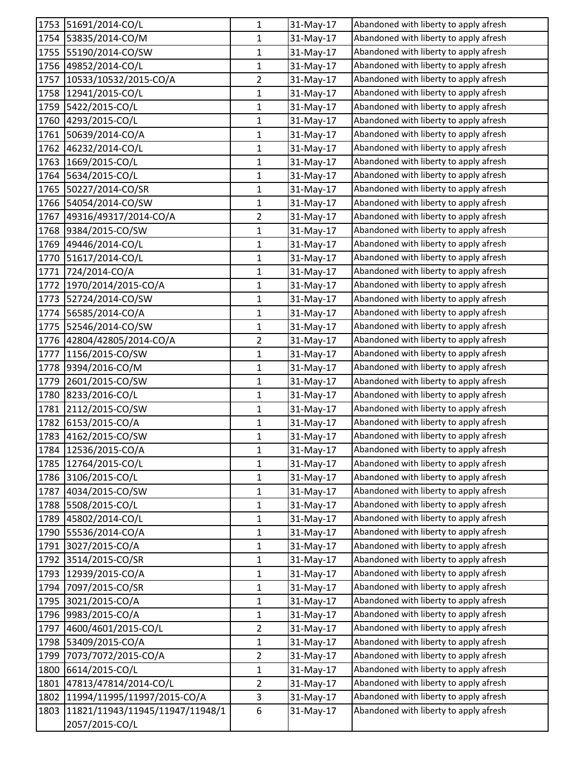| 1753 | 51691/2014-CO/L                     | $\mathbf{1}$   | 31-May-17 | Abandoned with liberty to apply afresh |
|------|-------------------------------------|----------------|-----------|----------------------------------------|
| 1754 | 53835/2014-CO/M                     | 1              | 31-May-17 | Abandoned with liberty to apply afresh |
| 1755 | 55190/2014-CO/SW                    | $\mathbf{1}$   | 31-May-17 | Abandoned with liberty to apply afresh |
| 1756 | 49852/2014-CO/L                     | $\mathbf{1}$   | 31-May-17 | Abandoned with liberty to apply afresh |
| 1757 | 10533/10532/2015-CO/A               | $\overline{2}$ | 31-May-17 | Abandoned with liberty to apply afresh |
| 1758 | 12941/2015-CO/L                     | $\mathbf{1}$   | 31-May-17 | Abandoned with liberty to apply afresh |
| 1759 | 5422/2015-CO/L                      | 1              | 31-May-17 | Abandoned with liberty to apply afresh |
| 1760 | 4293/2015-CO/L                      | $\mathbf{1}$   | 31-May-17 | Abandoned with liberty to apply afresh |
| 1761 | 50639/2014-CO/A                     | $\mathbf{1}$   | 31-May-17 | Abandoned with liberty to apply afresh |
| 1762 | 46232/2014-CO/L                     | $\mathbf{1}$   | 31-May-17 | Abandoned with liberty to apply afresh |
| 1763 | 1669/2015-CO/L                      | $\mathbf{1}$   | 31-May-17 | Abandoned with liberty to apply afresh |
| 1764 | 5634/2015-CO/L                      | $\mathbf{1}$   | 31-May-17 | Abandoned with liberty to apply afresh |
| 1765 | 50227/2014-CO/SR                    | 1              | 31-May-17 | Abandoned with liberty to apply afresh |
| 1766 | 54054/2014-CO/SW                    | 1              | 31-May-17 | Abandoned with liberty to apply afresh |
| 1767 | 49316/49317/2014-CO/A               | $\overline{2}$ | 31-May-17 | Abandoned with liberty to apply afresh |
| 1768 | 9384/2015-CO/SW                     | $\mathbf 1$    | 31-May-17 | Abandoned with liberty to apply afresh |
| 1769 | 49446/2014-CO/L                     | $\mathbf{1}$   | 31-May-17 | Abandoned with liberty to apply afresh |
| 1770 | 51617/2014-CO/L                     | 1              | 31-May-17 | Abandoned with liberty to apply afresh |
| 1771 | 724/2014-CO/A                       | $\mathbf 1$    | 31-May-17 | Abandoned with liberty to apply afresh |
| 1772 | 1970/2014/2015-CO/A                 | 1              | 31-May-17 | Abandoned with liberty to apply afresh |
| 1773 | 52724/2014-CO/SW                    | $\mathbf 1$    | 31-May-17 | Abandoned with liberty to apply afresh |
| 1774 | 56585/2014-CO/A                     | 1              | 31-May-17 | Abandoned with liberty to apply afresh |
| 1775 | 52546/2014-CO/SW                    | 1              | 31-May-17 | Abandoned with liberty to apply afresh |
| 1776 | 42804/42805/2014-CO/A               | $\overline{2}$ | 31-May-17 | Abandoned with liberty to apply afresh |
| 1777 | 1156/2015-CO/SW                     | 1              | 31-May-17 | Abandoned with liberty to apply afresh |
| 1778 | 9394/2016-CO/M                      | $\mathbf{1}$   | 31-May-17 | Abandoned with liberty to apply afresh |
| 1779 | 2601/2015-CO/SW                     | $\mathbf{1}$   | 31-May-17 | Abandoned with liberty to apply afresh |
| 1780 | 8233/2016-CO/L                      | $\mathbf{1}$   | 31-May-17 | Abandoned with liberty to apply afresh |
| 1781 | 2112/2015-CO/SW                     | $\mathbf{1}$   | 31-May-17 | Abandoned with liberty to apply afresh |
| 1782 | 6153/2015-CO/A                      | $\mathbf{1}$   | 31-May-17 | Abandoned with liberty to apply afresh |
| 1783 | 4162/2015-CO/SW                     | $\mathbf 1$    | 31-May-17 | Abandoned with liberty to apply afresh |
|      | 1784 12536/2015-CO/A                | 1              | 31-May-17 | Abandoned with liberty to apply afresh |
| 1785 | 12764/2015-CO/L                     | $\mathbf{1}$   | 31-May-17 | Abandoned with liberty to apply afresh |
| 1786 | 3106/2015-CO/L                      | $\mathbf 1$    | 31-May-17 | Abandoned with liberty to apply afresh |
| 1787 | 4034/2015-CO/SW                     | $\mathbf{1}$   | 31-May-17 | Abandoned with liberty to apply afresh |
| 1788 | 5508/2015-CO/L                      | 1              | 31-May-17 | Abandoned with liberty to apply afresh |
| 1789 | 45802/2014-CO/L                     | $\mathbf{1}$   | 31-May-17 | Abandoned with liberty to apply afresh |
| 1790 | 55536/2014-CO/A                     | 1              | 31-May-17 | Abandoned with liberty to apply afresh |
| 1791 | 3027/2015-CO/A                      | 1              | 31-May-17 | Abandoned with liberty to apply afresh |
| 1792 | 3514/2015-CO/SR                     | $\mathbf{1}$   | 31-May-17 | Abandoned with liberty to apply afresh |
| 1793 | 12939/2015-CO/A                     | $\mathbf{1}$   | 31-May-17 | Abandoned with liberty to apply afresh |
|      | 1794 7097/2015-CO/SR                | $\mathbf 1$    | 31-May-17 | Abandoned with liberty to apply afresh |
| 1795 | 3021/2015-CO/A                      | $\mathbf{1}$   | 31-May-17 | Abandoned with liberty to apply afresh |
| 1796 | 9983/2015-CO/A                      | $\mathbf 1$    | 31-May-17 | Abandoned with liberty to apply afresh |
| 1797 | 4600/4601/2015-CO/L                 | $\overline{2}$ | 31-May-17 | Abandoned with liberty to apply afresh |
| 1798 | 53409/2015-CO/A                     | $\mathbf{1}$   | 31-May-17 | Abandoned with liberty to apply afresh |
| 1799 | 7073/7072/2015-CO/A                 | $\overline{2}$ | 31-May-17 | Abandoned with liberty to apply afresh |
| 1800 | 6614/2015-CO/L                      | $\mathbf{1}$   | 31-May-17 | Abandoned with liberty to apply afresh |
| 1801 | 47813/47814/2014-CO/L               | $\overline{2}$ | 31-May-17 | Abandoned with liberty to apply afresh |
| 1802 | 11994/11995/11997/2015-CO/A         | 3              | 31-May-17 | Abandoned with liberty to apply afresh |
|      | 1803 1821/11943/11945/11947/11948/1 | 6              | 31-May-17 | Abandoned with liberty to apply afresh |
|      | 2057/2015-CO/L                      |                |           |                                        |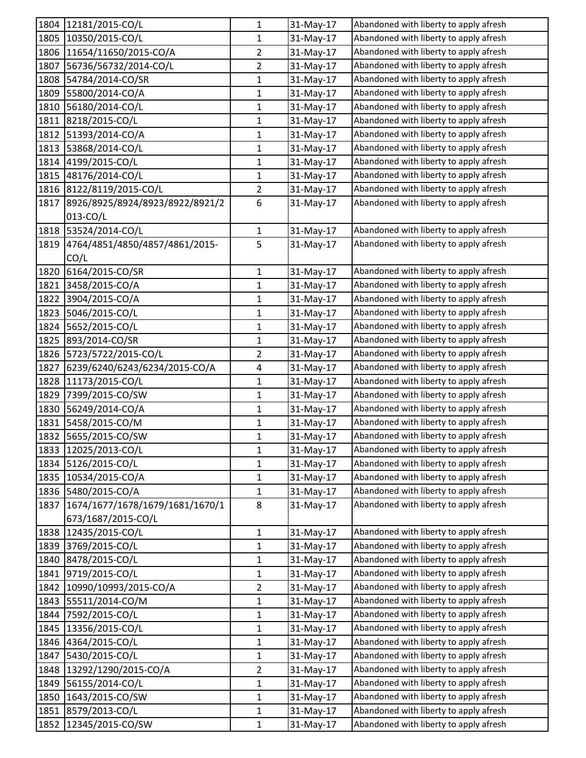|      | 1804 12181/2015-CO/L                   | 1              | 31-May-17 | Abandoned with liberty to apply afresh |
|------|----------------------------------------|----------------|-----------|----------------------------------------|
| 1805 | 10350/2015-CO/L                        | $\mathbf{1}$   | 31-May-17 | Abandoned with liberty to apply afresh |
| 1806 | 11654/11650/2015-CO/A                  | $\overline{2}$ | 31-May-17 | Abandoned with liberty to apply afresh |
| 1807 | 56736/56732/2014-CO/L                  | $\overline{2}$ | 31-May-17 | Abandoned with liberty to apply afresh |
| 1808 | 54784/2014-CO/SR                       | $\mathbf 1$    | 31-May-17 | Abandoned with liberty to apply afresh |
| 1809 | 55800/2014-CO/A                        | 1              | 31-May-17 | Abandoned with liberty to apply afresh |
| 1810 | 56180/2014-CO/L                        | 1              | 31-May-17 | Abandoned with liberty to apply afresh |
| 1811 | 8218/2015-CO/L                         | $\mathbf{1}$   | 31-May-17 | Abandoned with liberty to apply afresh |
|      | 1812 51393/2014-CO/A                   | 1              | 31-May-17 | Abandoned with liberty to apply afresh |
| 1813 | 53868/2014-CO/L                        | 1              | 31-May-17 | Abandoned with liberty to apply afresh |
| 1814 | 4199/2015-CO/L                         | $\mathbf{1}$   | 31-May-17 | Abandoned with liberty to apply afresh |
| 1815 | 48176/2014-CO/L                        | 1              | 31-May-17 | Abandoned with liberty to apply afresh |
|      | 1816 8122/8119/2015-CO/L               | $\overline{2}$ | 31-May-17 | Abandoned with liberty to apply afresh |
| 1817 | 8926/8925/8924/8923/8922/8921/2        | 6              | 31-May-17 | Abandoned with liberty to apply afresh |
|      | 013-CO/L                               |                |           |                                        |
|      | 1818 53524/2014-CO/L                   | $\mathbf{1}$   | 31-May-17 | Abandoned with liberty to apply afresh |
| 1819 | 4764/4851/4850/4857/4861/2015-         | 5              | 31-May-17 | Abandoned with liberty to apply afresh |
|      | CO/L                                   |                |           |                                        |
|      | 1820 6164/2015-CO/SR                   | $\mathbf{1}$   | 31-May-17 | Abandoned with liberty to apply afresh |
|      | 1821 3458/2015-CO/A                    | $\mathbf{1}$   | 31-May-17 | Abandoned with liberty to apply afresh |
| 1822 | 3904/2015-CO/A                         | $\mathbf 1$    | 31-May-17 | Abandoned with liberty to apply afresh |
| 1823 | 5046/2015-CO/L                         | 1              | 31-May-17 | Abandoned with liberty to apply afresh |
| 1824 | 5652/2015-CO/L                         | 1              | 31-May-17 | Abandoned with liberty to apply afresh |
| 1825 | 893/2014-CO/SR                         | 1              | 31-May-17 | Abandoned with liberty to apply afresh |
| 1826 | 5723/5722/2015-CO/L                    | $\overline{2}$ | 31-May-17 | Abandoned with liberty to apply afresh |
| 1827 | 6239/6240/6243/6234/2015-CO/A          | 4              | 31-May-17 | Abandoned with liberty to apply afresh |
|      | 1828 11173/2015-CO/L                   | 1              | 31-May-17 | Abandoned with liberty to apply afresh |
| 1829 | 7399/2015-CO/SW                        | 1              | 31-May-17 | Abandoned with liberty to apply afresh |
| 1830 | 56249/2014-CO/A                        | $\mathbf{1}$   | 31-May-17 | Abandoned with liberty to apply afresh |
| 1831 | 5458/2015-CO/M                         | 1              | 31-May-17 | Abandoned with liberty to apply afresh |
| 1832 | 5655/2015-CO/SW                        | $\mathbf 1$    | 31-May-17 | Abandoned with liberty to apply afresh |
|      | 1833 12025/2013-CO/L                   | 1              | 31-May-17 | Abandoned with liberty to apply afresh |
| 1834 | 5126/2015-CO/L                         | 1              | 31-May-17 | Abandoned with liberty to apply afresh |
| 1835 | 10534/2015-CO/A                        | $\mathbf{1}$   | 31-May-17 | Abandoned with liberty to apply afresh |
|      | 1836 5480/2015-CO/A                    | 1              | 31-May-17 | Abandoned with liberty to apply afresh |
|      | 1837   1674/1677/1678/1679/1681/1670/1 | 8              | 31-May-17 | Abandoned with liberty to apply afresh |
|      | 673/1687/2015-CO/L                     |                |           |                                        |
| 1838 | 12435/2015-CO/L                        | $\mathbf{1}$   | 31-May-17 | Abandoned with liberty to apply afresh |
| 1839 | 3769/2015-CO/L                         | $\mathbf{1}$   | 31-May-17 | Abandoned with liberty to apply afresh |
| 1840 | 8478/2015-CO/L                         | 1              | 31-May-17 | Abandoned with liberty to apply afresh |
| 1841 | 9719/2015-CO/L                         | $\mathbf{1}$   | 31-May-17 | Abandoned with liberty to apply afresh |
| 1842 | 10990/10993/2015-CO/A                  | $\overline{2}$ | 31-May-17 | Abandoned with liberty to apply afresh |
| 1843 | 55511/2014-CO/M                        | $\mathbf{1}$   | 31-May-17 | Abandoned with liberty to apply afresh |
| 1844 | 7592/2015-CO/L                         | $\mathbf 1$    | 31-May-17 | Abandoned with liberty to apply afresh |
| 1845 | 13356/2015-CO/L                        | $\mathbf{1}$   | 31-May-17 | Abandoned with liberty to apply afresh |
| 1846 | 4364/2015-CO/L                         | 1              | 31-May-17 | Abandoned with liberty to apply afresh |
| 1847 | 5430/2015-CO/L                         | 1              | 31-May-17 | Abandoned with liberty to apply afresh |
| 1848 | 13292/1290/2015-CO/A                   | $\overline{2}$ | 31-May-17 | Abandoned with liberty to apply afresh |
| 1849 | 56155/2014-CO/L                        | $\mathbf{1}$   | 31-May-17 | Abandoned with liberty to apply afresh |
| 1850 | 1643/2015-CO/SW                        | $\mathbf{1}$   | 31-May-17 | Abandoned with liberty to apply afresh |
| 1851 | 8579/2013-CO/L                         | 1              | 31-May-17 | Abandoned with liberty to apply afresh |
| 1852 | 12345/2015-CO/SW                       | $\mathbf{1}$   | 31-May-17 | Abandoned with liberty to apply afresh |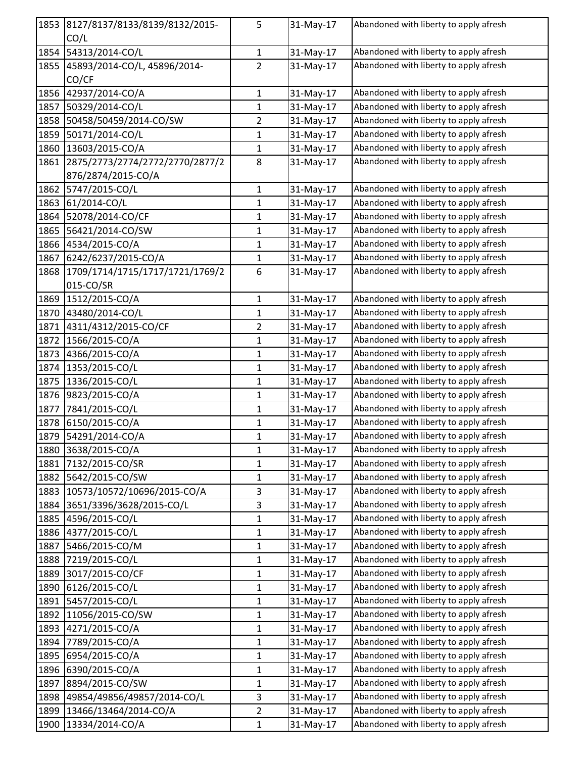| 1853 | 8127/8137/8133/8139/8132/2015-  | 5              | 31-May-17 | Abandoned with liberty to apply afresh |
|------|---------------------------------|----------------|-----------|----------------------------------------|
|      | CO/L                            |                |           |                                        |
| 1854 | 54313/2014-CO/L                 | $\mathbf{1}$   | 31-May-17 | Abandoned with liberty to apply afresh |
| 1855 | 45893/2014-CO/L, 45896/2014-    | $\overline{2}$ | 31-May-17 | Abandoned with liberty to apply afresh |
|      | CO/CF                           |                |           |                                        |
| 1856 | 42937/2014-CO/A                 | 1              | 31-May-17 | Abandoned with liberty to apply afresh |
| 1857 | 50329/2014-CO/L                 | $\mathbf{1}$   | 31-May-17 | Abandoned with liberty to apply afresh |
| 1858 | 50458/50459/2014-CO/SW          | $\overline{2}$ | 31-May-17 | Abandoned with liberty to apply afresh |
| 1859 | 50171/2014-CO/L                 | $\mathbf{1}$   | 31-May-17 | Abandoned with liberty to apply afresh |
| 1860 | 13603/2015-CO/A                 | $\mathbf{1}$   | 31-May-17 | Abandoned with liberty to apply afresh |
| 1861 | 2875/2773/2774/2772/2770/2877/2 | 8              | 31-May-17 | Abandoned with liberty to apply afresh |
|      | 876/2874/2015-CO/A              |                |           |                                        |
| 1862 | 5747/2015-CO/L                  | $\mathbf 1$    | 31-May-17 | Abandoned with liberty to apply afresh |
| 1863 | 61/2014-CO/L                    | $\mathbf{1}$   | 31-May-17 | Abandoned with liberty to apply afresh |
| 1864 | 52078/2014-CO/CF                | 1              | 31-May-17 | Abandoned with liberty to apply afresh |
| 1865 | 56421/2014-CO/SW                | 1              | 31-May-17 | Abandoned with liberty to apply afresh |
| 1866 | 4534/2015-CO/A                  | $\mathbf{1}$   | 31-May-17 | Abandoned with liberty to apply afresh |
| 1867 | 6242/6237/2015-CO/A             | $\mathbf{1}$   | 31-May-17 | Abandoned with liberty to apply afresh |
| 1868 | 1709/1714/1715/1717/1721/1769/2 | 6              | 31-May-17 | Abandoned with liberty to apply afresh |
|      | 015-CO/SR                       |                |           |                                        |
| 1869 | 1512/2015-CO/A                  | $\mathbf{1}$   | 31-May-17 | Abandoned with liberty to apply afresh |
| 1870 | 43480/2014-CO/L                 | $\mathbf{1}$   | 31-May-17 | Abandoned with liberty to apply afresh |
| 1871 | 4311/4312/2015-CO/CF            | $\overline{2}$ | 31-May-17 | Abandoned with liberty to apply afresh |
| 1872 | 1566/2015-CO/A                  | 1              | 31-May-17 | Abandoned with liberty to apply afresh |
| 1873 | 4366/2015-CO/A                  | $\mathbf{1}$   | 31-May-17 | Abandoned with liberty to apply afresh |
| 1874 | 1353/2015-CO/L                  | 1              | 31-May-17 | Abandoned with liberty to apply afresh |
| 1875 | 1336/2015-CO/L                  | $\mathbf{1}$   | 31-May-17 | Abandoned with liberty to apply afresh |
| 1876 | 9823/2015-CO/A                  | 1              | 31-May-17 | Abandoned with liberty to apply afresh |
| 1877 | 7841/2015-CO/L                  | $\mathbf{1}$   | 31-May-17 | Abandoned with liberty to apply afresh |
| 1878 | 6150/2015-CO/A                  | 1              | 31-May-17 | Abandoned with liberty to apply afresh |
| 1879 | 54291/2014-CO/A                 | $\mathbf{1}$   | 31-May-17 | Abandoned with liberty to apply afresh |
|      | 1880 3638/2015-CO/A             | 1              | 31-May-17 | Abandoned with liberty to apply afresh |
| 1881 | 7132/2015-CO/SR                 | 1              | 31-May-17 | Abandoned with liberty to apply afresh |
| 1882 | 5642/2015-CO/SW                 | $\mathbf 1$    | 31-May-17 | Abandoned with liberty to apply afresh |
| 1883 | 10573/10572/10696/2015-CO/A     | 3              | 31-May-17 | Abandoned with liberty to apply afresh |
| 1884 | 3651/3396/3628/2015-CO/L        | 3              | 31-May-17 | Abandoned with liberty to apply afresh |
| 1885 | 4596/2015-CO/L                  | $\mathbf{1}$   | 31-May-17 | Abandoned with liberty to apply afresh |
| 1886 | 4377/2015-CO/L                  | $\mathbf{1}$   | 31-May-17 | Abandoned with liberty to apply afresh |
| 1887 | 5466/2015-CO/M                  | $\mathbf{1}$   | 31-May-17 | Abandoned with liberty to apply afresh |
| 1888 | 7219/2015-CO/L                  | 1              | 31-May-17 | Abandoned with liberty to apply afresh |
| 1889 | 3017/2015-CO/CF                 | $\mathbf{1}$   | 31-May-17 | Abandoned with liberty to apply afresh |
| 1890 | 6126/2015-CO/L                  | $\mathbf{1}$   | 31-May-17 | Abandoned with liberty to apply afresh |
| 1891 | 5457/2015-CO/L                  | $\mathbf{1}$   | 31-May-17 | Abandoned with liberty to apply afresh |
| 1892 | 11056/2015-CO/SW                | $\mathbf{1}$   | 31-May-17 | Abandoned with liberty to apply afresh |
| 1893 | 4271/2015-CO/A                  | $\mathbf{1}$   | 31-May-17 | Abandoned with liberty to apply afresh |
| 1894 | 7789/2015-CO/A                  | $\mathbf{1}$   | 31-May-17 | Abandoned with liberty to apply afresh |
| 1895 | 6954/2015-CO/A                  | $\mathbf{1}$   | 31-May-17 | Abandoned with liberty to apply afresh |
| 1896 | 6390/2015-CO/A                  | $\mathbf{1}$   | 31-May-17 | Abandoned with liberty to apply afresh |
| 1897 | 8894/2015-CO/SW                 | $\mathbf 1$    | 31-May-17 | Abandoned with liberty to apply afresh |
| 1898 | 49854/49856/49857/2014-CO/L     | 3              | 31-May-17 | Abandoned with liberty to apply afresh |
| 1899 | 13466/13464/2014-CO/A           | $\overline{2}$ | 31-May-17 | Abandoned with liberty to apply afresh |
| 1900 | 13334/2014-CO/A                 | $\mathbf 1$    | 31-May-17 | Abandoned with liberty to apply afresh |